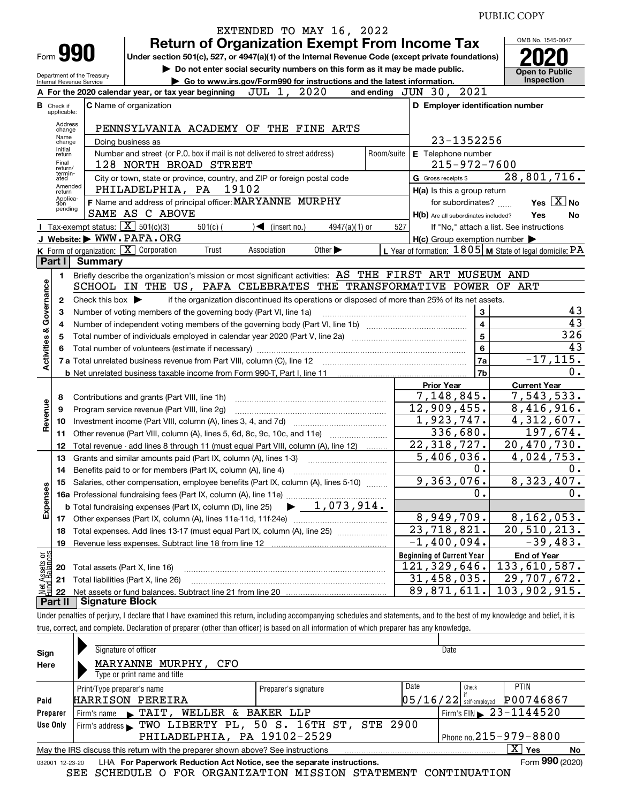PUBLIC COPY

|                                                              |                                                                                                                                  |                                                   | EXTENDED TO MAY 16, 2022                                                                                                                                                                                                       |            |                                                     |                                                           |  |  |  |  |
|--------------------------------------------------------------|----------------------------------------------------------------------------------------------------------------------------------|---------------------------------------------------|--------------------------------------------------------------------------------------------------------------------------------------------------------------------------------------------------------------------------------|------------|-----------------------------------------------------|-----------------------------------------------------------|--|--|--|--|
|                                                              |                                                                                                                                  |                                                   | <b>Return of Organization Exempt From Income Tax</b>                                                                                                                                                                           |            |                                                     | OMB No. 1545-0047                                         |  |  |  |  |
|                                                              |                                                                                                                                  | Form 990                                          | Under section 501(c), 527, or 4947(a)(1) of the Internal Revenue Code (except private foundations)                                                                                                                             |            |                                                     |                                                           |  |  |  |  |
|                                                              |                                                                                                                                  |                                                   | Do not enter social security numbers on this form as it may be made public.                                                                                                                                                    |            |                                                     | <b>Open to Public</b>                                     |  |  |  |  |
|                                                              | Department of the Treasury<br>Go to www.irs.gov/Form990 for instructions and the latest information.<br>Internal Revenue Service |                                                   |                                                                                                                                                                                                                                |            |                                                     |                                                           |  |  |  |  |
|                                                              |                                                                                                                                  |                                                   | 2020<br>JUL 1,<br>A For the 2020 calendar year, or tax year beginning                                                                                                                                                          |            | 2021<br>and ending $JUN$ 30,                        |                                                           |  |  |  |  |
| <b>B</b> Check if                                            | applicable:                                                                                                                      |                                                   | <b>C</b> Name of organization                                                                                                                                                                                                  |            | D Employer identification number                    |                                                           |  |  |  |  |
|                                                              |                                                                                                                                  | Address<br>change                                 | PENNSYLVANIA ACADEMY OF THE FINE ARTS                                                                                                                                                                                          |            |                                                     |                                                           |  |  |  |  |
|                                                              | Name<br>change                                                                                                                   |                                                   | Doing business as                                                                                                                                                                                                              |            | 23-1352256                                          |                                                           |  |  |  |  |
|                                                              | Initial<br>return                                                                                                                |                                                   | Number and street (or P.O. box if mail is not delivered to street address)                                                                                                                                                     | Room/suite | E Telephone number                                  |                                                           |  |  |  |  |
|                                                              | Final<br>return/                                                                                                                 |                                                   | 128 NORTH BROAD STREET                                                                                                                                                                                                         |            | $215 - 972 - 7600$                                  |                                                           |  |  |  |  |
|                                                              | termin-<br>ated                                                                                                                  |                                                   | City or town, state or province, country, and ZIP or foreign postal code                                                                                                                                                       |            | G Gross receipts \$                                 | 28,801,716.                                               |  |  |  |  |
|                                                              | return                                                                                                                           | Amended                                           | 19102<br>PHILADELPHIA, PA                                                                                                                                                                                                      |            | H(a) Is this a group return                         |                                                           |  |  |  |  |
|                                                              | tion                                                                                                                             | Applica-                                          | F Name and address of principal officer: MARYANNE MURPHY                                                                                                                                                                       |            | for subordinates?                                   | Yes $X $ No                                               |  |  |  |  |
|                                                              |                                                                                                                                  | pending                                           | SAME AS C ABOVE                                                                                                                                                                                                                |            | H(b) Are all subordinates included?                 | Yes<br>No                                                 |  |  |  |  |
|                                                              |                                                                                                                                  | Tax-exempt status: $\boxed{\mathbf{X}}$ 501(c)(3) | $501(c)$ (<br>$\sqrt{\frac{1}{1}}$ (insert no.)<br>4947(a)(1) or                                                                                                                                                               | 527        |                                                     | If "No," attach a list. See instructions                  |  |  |  |  |
|                                                              |                                                                                                                                  |                                                   | J Website: WWW.PAFA.ORG                                                                                                                                                                                                        |            | $H(c)$ Group exemption number $\blacktriangleright$ |                                                           |  |  |  |  |
|                                                              |                                                                                                                                  | K Form of organization: X Corporation             | Other $\blacktriangleright$<br>Trust<br>Association                                                                                                                                                                            |            |                                                     | L Year of formation: $1805$ M State of legal domicile: PA |  |  |  |  |
|                                                              | Part I                                                                                                                           | <b>Summary</b>                                    |                                                                                                                                                                                                                                |            |                                                     |                                                           |  |  |  |  |
|                                                              | 1.                                                                                                                               |                                                   | Briefly describe the organization's mission or most significant activities: AS THE FIRST ART MUSEUM AND                                                                                                                        |            |                                                     |                                                           |  |  |  |  |
|                                                              |                                                                                                                                  |                                                   | SCHOOL IN THE US, PAFA CELEBRATES THE TRANSFORMATIVE POWER OF ART                                                                                                                                                              |            |                                                     |                                                           |  |  |  |  |
|                                                              | $\mathbf{2}$                                                                                                                     | Check this box $\blacktriangleright$              | if the organization discontinued its operations or disposed of more than 25% of its net assets.                                                                                                                                |            |                                                     |                                                           |  |  |  |  |
|                                                              | 3                                                                                                                                |                                                   | Number of voting members of the governing body (Part VI, line 1a)                                                                                                                                                              |            | 3                                                   | 43<br>43                                                  |  |  |  |  |
|                                                              | 4                                                                                                                                |                                                   | $\overline{\mathbf{4}}$<br>5                                                                                                                                                                                                   | 326        |                                                     |                                                           |  |  |  |  |
|                                                              | 5                                                                                                                                |                                                   |                                                                                                                                                                                                                                |            | $\bf{6}$                                            | 43                                                        |  |  |  |  |
|                                                              |                                                                                                                                  |                                                   | Total number of volunteers (estimate if necessary) manufactured content to the content of volunteers (estimate if necessary) manufactured content to the content of the content of the content of the content of the content o |            | 7a                                                  | $-17, 115.$                                               |  |  |  |  |
|                                                              |                                                                                                                                  |                                                   |                                                                                                                                                                                                                                |            | 7b                                                  | 0.                                                        |  |  |  |  |
|                                                              |                                                                                                                                  |                                                   |                                                                                                                                                                                                                                |            | <b>Prior Year</b>                                   | <b>Current Year</b>                                       |  |  |  |  |
|                                                              |                                                                                                                                  |                                                   | Contributions and grants (Part VIII, line 1h)                                                                                                                                                                                  |            | 7,148,845.                                          | 7,543,533.                                                |  |  |  |  |
|                                                              |                                                                                                                                  |                                                   | Program service revenue (Part VIII, line 2g)                                                                                                                                                                                   |            | 12,909,455.                                         | 8,416,916.                                                |  |  |  |  |
|                                                              | 10                                                                                                                               |                                                   |                                                                                                                                                                                                                                |            | 1,923,747.                                          | 4,312,607.                                                |  |  |  |  |
|                                                              | 11                                                                                                                               |                                                   | Other revenue (Part VIII, column (A), lines 5, 6d, 8c, 9c, 10c, and 11e)                                                                                                                                                       |            | 336,680.                                            | 197,674.                                                  |  |  |  |  |
| <b>Activities &amp; Governance</b><br>6<br>8<br>Revenue<br>9 | 12                                                                                                                               |                                                   | Total revenue - add lines 8 through 11 (must equal Part VIII, column (A), line 12)                                                                                                                                             |            | 22, 318, 727.                                       | 20,470,730.                                               |  |  |  |  |
|                                                              | 13                                                                                                                               |                                                   | Grants and similar amounts paid (Part IX, column (A), lines 1-3)                                                                                                                                                               |            | 5,406,036.                                          | 4,024,753.                                                |  |  |  |  |
|                                                              | 14                                                                                                                               |                                                   | Benefits paid to or for members (Part IX, column (A), line 4)                                                                                                                                                                  |            | О.                                                  | 0.                                                        |  |  |  |  |
|                                                              | 15                                                                                                                               |                                                   | Salaries, other compensation, employee benefits (Part IX, column (A), lines 5-10)                                                                                                                                              |            | 9,363,076.                                          | 8,323,407.                                                |  |  |  |  |
| Expenses                                                     |                                                                                                                                  |                                                   |                                                                                                                                                                                                                                |            | 0.                                                  | 0.                                                        |  |  |  |  |
|                                                              |                                                                                                                                  |                                                   | 1,073,914.<br><b>b</b> Total fundraising expenses (Part IX, column (D), line 25)                                                                                                                                               |            |                                                     |                                                           |  |  |  |  |
|                                                              |                                                                                                                                  |                                                   |                                                                                                                                                                                                                                |            | 8,949,709.                                          | 8, 162, 053.                                              |  |  |  |  |
|                                                              | 18                                                                                                                               |                                                   | Total expenses. Add lines 13-17 (must equal Part IX, column (A), line 25)                                                                                                                                                      |            | $\overline{23,718,821}$ .                           | $\overline{20,510,213}$ .                                 |  |  |  |  |
|                                                              | 19                                                                                                                               |                                                   |                                                                                                                                                                                                                                |            | $-1,400,094$ .                                      | $-39,483.$                                                |  |  |  |  |
|                                                              |                                                                                                                                  |                                                   |                                                                                                                                                                                                                                |            | <b>Beginning of Current Year</b>                    | <b>End of Year</b>                                        |  |  |  |  |
| Net Assets or<br>Eund Balances                               | 20                                                                                                                               | Total assets (Part X, line 16)                    |                                                                                                                                                                                                                                |            | 121, 329, 646.                                      | 133,610,587.                                              |  |  |  |  |
|                                                              | 21                                                                                                                               |                                                   | Total liabilities (Part X, line 26)                                                                                                                                                                                            |            | 31,458,035.                                         | 29,707,672.                                               |  |  |  |  |
|                                                              | 22<br>Part II                                                                                                                    | <b>Signature Block</b>                            |                                                                                                                                                                                                                                |            | 89,871,611.                                         | 103,902,915.                                              |  |  |  |  |
|                                                              |                                                                                                                                  |                                                   |                                                                                                                                                                                                                                |            |                                                     |                                                           |  |  |  |  |
|                                                              |                                                                                                                                  |                                                   | Under penalties of perjury, I declare that I have examined this return, including accompanying schedules and statements, and to the best of my knowledge and belief, it is                                                     |            |                                                     |                                                           |  |  |  |  |
|                                                              |                                                                                                                                  |                                                   | true, correct, and complete. Declaration of preparer (other than officer) is based on all information of which preparer has any knowledge.                                                                                     |            |                                                     |                                                           |  |  |  |  |
|                                                              |                                                                                                                                  |                                                   | Signature of officer                                                                                                                                                                                                           |            | Date                                                |                                                           |  |  |  |  |
| Sign<br>Here                                                 |                                                                                                                                  |                                                   | MARYANNE MURPHY, CFO                                                                                                                                                                                                           |            |                                                     |                                                           |  |  |  |  |
|                                                              |                                                                                                                                  |                                                   | Type or print name and title                                                                                                                                                                                                   |            |                                                     |                                                           |  |  |  |  |

|                 | Type or print name and title                                                    |                      |                            |       |                                            |     |
|-----------------|---------------------------------------------------------------------------------|----------------------|----------------------------|-------|--------------------------------------------|-----|
|                 | Print/Type preparer's name                                                      | Preparer's signature | Date                       | Check | PTIN                                       |     |
| Paid            | HARRISON PEREIRA                                                                |                      | $ 05/16/22 $ self-employed |       | P00746867                                  |     |
| Preparer        | Firm's name FRIT, WELLER & BAKER LLP                                            |                      |                            |       | $I$ Firm's EIN $\triangleright$ 23-1144520 |     |
| Use Only        | Firm's address FWO LIBERTY PL, 50 S. 16TH ST, STE 2900                          |                      |                            |       |                                            |     |
|                 | PHILADELPHIA, PA 19102-2529                                                     |                      |                            |       | $1$ Phone no. $215 - 979 - 8800$           |     |
|                 | May the IRS discuss this return with the preparer shown above? See instructions |                      |                            |       | x<br>Yes                                   | No. |
| 032001 12-23-20 | LHA For Paperwork Reduction Act Notice, see the separate instructions.          |                      |                            |       | Form 990 (2020)                            |     |

032001 12-23-20 LHA For Paperwork Reduction Act Notice, see the separate instructions.<br>SEE SCHEDULE O FOR ORGANIZATION MISSION STATEMENT CONTINUATION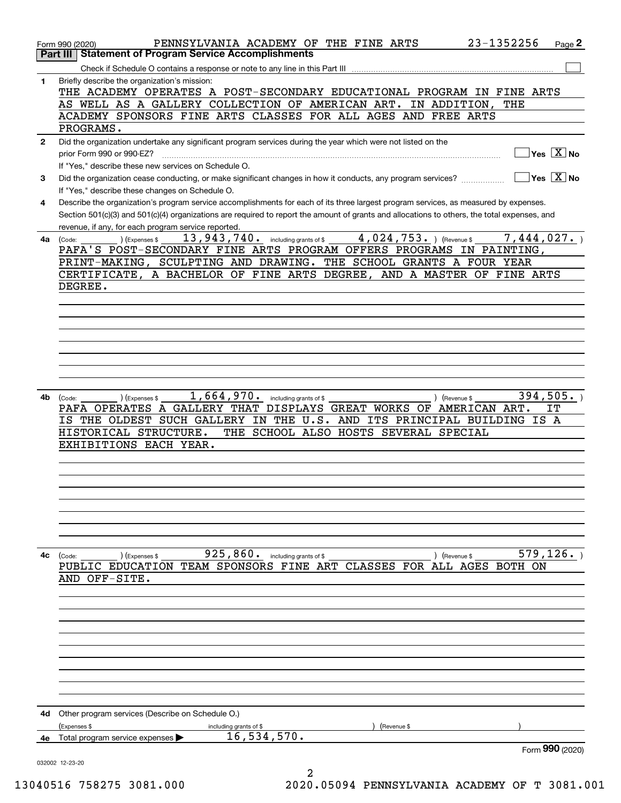| Part III     | 23-1352256<br>PENNSYLVANIA ACADEMY OF THE FINE ARTS<br>Page 2<br>Form 990 (2020)<br><b>Statement of Program Service Accomplishments</b>                                                                                                                                                                                                     |
|--------------|---------------------------------------------------------------------------------------------------------------------------------------------------------------------------------------------------------------------------------------------------------------------------------------------------------------------------------------------|
|              |                                                                                                                                                                                                                                                                                                                                             |
| 1            | Briefly describe the organization's mission:<br>THE ACADEMY OPERATES A POST-SECONDARY EDUCATIONAL PROGRAM IN FINE ARTS<br>AS WELL AS A GALLERY COLLECTION OF AMERICAN ART.<br>IN ADDITION,<br>THE<br>ACADEMY SPONSORS FINE ARTS CLASSES FOR ALL AGES AND FREE ARTS                                                                          |
|              | PROGRAMS.                                                                                                                                                                                                                                                                                                                                   |
| $\mathbf{2}$ | Did the organization undertake any significant program services during the year which were not listed on the<br>$Yes \ \boxed{X}$ No<br>prior Form 990 or 990-EZ?<br>If "Yes," describe these new services on Schedule O.                                                                                                                   |
| 3            | ∣Yes │X ∣No<br>Did the organization cease conducting, or make significant changes in how it conducts, any program services?<br>If "Yes," describe these changes on Schedule O.                                                                                                                                                              |
| 4            | Describe the organization's program service accomplishments for each of its three largest program services, as measured by expenses.<br>Section 501(c)(3) and 501(c)(4) organizations are required to report the amount of grants and allocations to others, the total expenses, and<br>revenue, if any, for each program service reported. |
|              | $4,024,753.$ (Revenue \$<br>7,444,027.<br>$13$ , $943$ , $740$ e including grants of \$<br>) (Expenses \$<br>4a (Code:                                                                                                                                                                                                                      |
|              | PAFA'S POST-SECONDARY FINE ARTS PROGRAM OFFERS PROGRAMS IN PAINTING,                                                                                                                                                                                                                                                                        |
|              | PRINT-MAKING, SCULPTING AND DRAWING. THE SCHOOL GRANTS A FOUR YEAR                                                                                                                                                                                                                                                                          |
|              | CERTIFICATE, A BACHELOR OF FINE ARTS DEGREE, AND A MASTER OF FINE ARTS                                                                                                                                                                                                                                                                      |
|              | DEGREE.                                                                                                                                                                                                                                                                                                                                     |
|              |                                                                                                                                                                                                                                                                                                                                             |
|              |                                                                                                                                                                                                                                                                                                                                             |
|              |                                                                                                                                                                                                                                                                                                                                             |
|              |                                                                                                                                                                                                                                                                                                                                             |
|              |                                                                                                                                                                                                                                                                                                                                             |
|              |                                                                                                                                                                                                                                                                                                                                             |
|              |                                                                                                                                                                                                                                                                                                                                             |
|              |                                                                                                                                                                                                                                                                                                                                             |
| 4b           | 1,664,970.<br>394, 505.<br>including grants of \$<br>) (Revenue \$<br>(Code:<br>(Expenses \$                                                                                                                                                                                                                                                |
|              | PAFA OPERATES A GALLERY THAT DISPLAYS GREAT WORKS OF AMERICAN ART.<br>IT                                                                                                                                                                                                                                                                    |
|              | IS THE OLDEST SUCH GALLERY IN THE U.S. AND ITS PRINCIPAL BUILDING IS A                                                                                                                                                                                                                                                                      |
|              | HISTORICAL STRUCTURE.<br>THE SCHOOL ALSO HOSTS SEVERAL SPECIAL                                                                                                                                                                                                                                                                              |
|              | EXHIBITIONS EACH YEAR.                                                                                                                                                                                                                                                                                                                      |
|              |                                                                                                                                                                                                                                                                                                                                             |
|              |                                                                                                                                                                                                                                                                                                                                             |
|              |                                                                                                                                                                                                                                                                                                                                             |
|              |                                                                                                                                                                                                                                                                                                                                             |
|              |                                                                                                                                                                                                                                                                                                                                             |
|              |                                                                                                                                                                                                                                                                                                                                             |
|              |                                                                                                                                                                                                                                                                                                                                             |
| 4c           | 925, 860. including grants of \$<br>579, 126.<br>(Expenses \$<br>) (Revenue \$<br>(Code:                                                                                                                                                                                                                                                    |
|              | PUBLIC EDUCATION TEAM SPONSORS FINE ART CLASSES FOR ALL AGES BOTH ON                                                                                                                                                                                                                                                                        |
|              | AND OFF-SITE.                                                                                                                                                                                                                                                                                                                               |
|              |                                                                                                                                                                                                                                                                                                                                             |
|              |                                                                                                                                                                                                                                                                                                                                             |
|              |                                                                                                                                                                                                                                                                                                                                             |
|              |                                                                                                                                                                                                                                                                                                                                             |
|              |                                                                                                                                                                                                                                                                                                                                             |
|              |                                                                                                                                                                                                                                                                                                                                             |
|              |                                                                                                                                                                                                                                                                                                                                             |
|              |                                                                                                                                                                                                                                                                                                                                             |
|              |                                                                                                                                                                                                                                                                                                                                             |
|              |                                                                                                                                                                                                                                                                                                                                             |
| 4d           | Other program services (Describe on Schedule O.)<br>(Expenses \$<br>Revenue \$                                                                                                                                                                                                                                                              |
| 4е           | including grants of \$<br>16, 534, 570.<br>Total program service expenses                                                                                                                                                                                                                                                                   |
|              | Form 990 (2020)                                                                                                                                                                                                                                                                                                                             |
|              | 032002 12-23-20                                                                                                                                                                                                                                                                                                                             |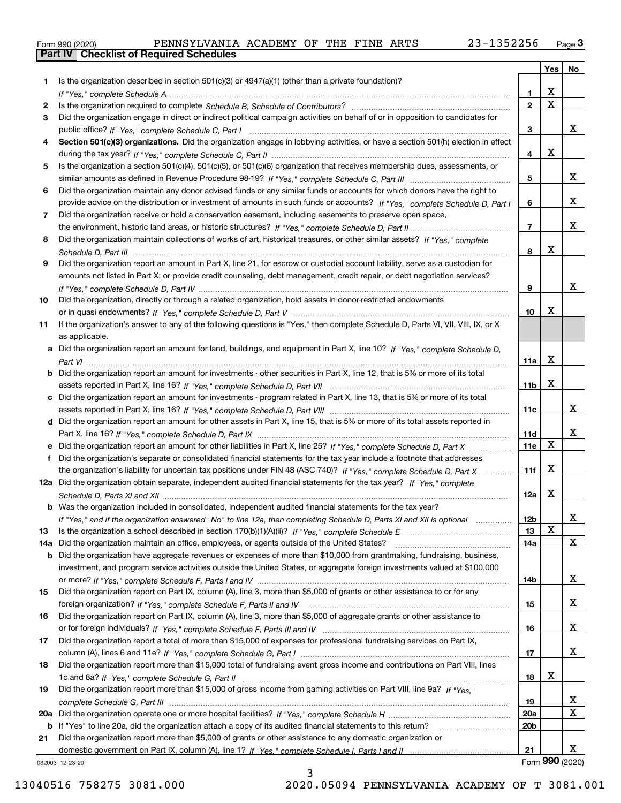|  | Form 990 (2020) |
|--|-----------------|
|  |                 |

|     |                                                                                                                                                                                                                                |                 | Yes         | No                    |
|-----|--------------------------------------------------------------------------------------------------------------------------------------------------------------------------------------------------------------------------------|-----------------|-------------|-----------------------|
| 1   | Is the organization described in section $501(c)(3)$ or $4947(a)(1)$ (other than a private foundation)?                                                                                                                        |                 |             |                       |
|     |                                                                                                                                                                                                                                | 1               | x           |                       |
| 2   | Is the organization required to complete Schedule B, Schedule of Contributors? [11] Content of Content of Content of Contributors? [11] All of Contributors and Content of Content of the Organization required to complete th | $\overline{2}$  | $\mathbf X$ |                       |
| 3   | Did the organization engage in direct or indirect political campaign activities on behalf of or in opposition to candidates for                                                                                                |                 |             |                       |
|     |                                                                                                                                                                                                                                | 3               |             | X.                    |
| 4   | Section 501(c)(3) organizations. Did the organization engage in lobbying activities, or have a section 501(h) election in effect                                                                                               |                 |             |                       |
|     |                                                                                                                                                                                                                                | 4               | х           |                       |
| 5   | Is the organization a section 501(c)(4), 501(c)(5), or 501(c)(6) organization that receives membership dues, assessments, or                                                                                                   |                 |             |                       |
|     |                                                                                                                                                                                                                                | 5               |             | X.                    |
| 6   | Did the organization maintain any donor advised funds or any similar funds or accounts for which donors have the right to                                                                                                      |                 |             |                       |
|     | provide advice on the distribution or investment of amounts in such funds or accounts? If "Yes," complete Schedule D, Part I                                                                                                   | 6               |             | X.                    |
| 7   | Did the organization receive or hold a conservation easement, including easements to preserve open space,                                                                                                                      |                 |             |                       |
|     |                                                                                                                                                                                                                                | $\overline{7}$  |             | x                     |
| 8   | Did the organization maintain collections of works of art, historical treasures, or other similar assets? If "Yes," complete                                                                                                   |                 |             |                       |
|     |                                                                                                                                                                                                                                | 8               | X           |                       |
| 9   | Did the organization report an amount in Part X, line 21, for escrow or custodial account liability, serve as a custodian for                                                                                                  |                 |             |                       |
|     | amounts not listed in Part X; or provide credit counseling, debt management, credit repair, or debt negotiation services?                                                                                                      |                 |             |                       |
|     |                                                                                                                                                                                                                                | 9               |             | x                     |
| 10  | Did the organization, directly or through a related organization, hold assets in donor-restricted endowments                                                                                                                   |                 | х           |                       |
|     |                                                                                                                                                                                                                                | 10              |             |                       |
| 11  | If the organization's answer to any of the following questions is "Yes," then complete Schedule D, Parts VI, VII, VIII, IX, or X                                                                                               |                 |             |                       |
|     | as applicable.                                                                                                                                                                                                                 |                 |             |                       |
| a   | Did the organization report an amount for land, buildings, and equipment in Part X, line 10? If "Yes," complete Schedule D,                                                                                                    |                 |             |                       |
|     |                                                                                                                                                                                                                                | 11a             | X           |                       |
| b   | Did the organization report an amount for investments - other securities in Part X, line 12, that is 5% or more of its total                                                                                                   |                 |             |                       |
|     |                                                                                                                                                                                                                                | 11b             | X           |                       |
|     | c Did the organization report an amount for investments - program related in Part X, line 13, that is 5% or more of its total                                                                                                  |                 |             | X.                    |
|     |                                                                                                                                                                                                                                | 11c             |             |                       |
|     | d Did the organization report an amount for other assets in Part X, line 15, that is 5% or more of its total assets reported in                                                                                                |                 |             | x                     |
|     |                                                                                                                                                                                                                                | 11d<br>11e      | х           |                       |
| е   | Did the organization report an amount for other liabilities in Part X, line 25? If "Yes," complete Schedule D, Part X                                                                                                          |                 |             |                       |
| f   | Did the organization's separate or consolidated financial statements for the tax year include a footnote that addresses                                                                                                        |                 |             |                       |
|     | the organization's liability for uncertain tax positions under FIN 48 (ASC 740)? If "Yes," complete Schedule D, Part X                                                                                                         | 11f             | x           |                       |
|     | 12a Did the organization obtain separate, independent audited financial statements for the tax year? If "Yes," complete                                                                                                        |                 |             |                       |
|     |                                                                                                                                                                                                                                | 12a             | x           |                       |
|     | <b>b</b> Was the organization included in consolidated, independent audited financial statements for the tax year?                                                                                                             |                 |             |                       |
|     | If "Yes," and if the organization answered "No" to line 12a, then completing Schedule D, Parts XI and XII is optional                                                                                                          | 12 <sub>b</sub> | X           | x                     |
| 13  | Is the organization a school described in section 170(b)(1)(A)(ii)? If "Yes," complete Schedule E                                                                                                                              | 13              |             | x                     |
| 14a | Did the organization maintain an office, employees, or agents outside of the United States?                                                                                                                                    | 14a             |             |                       |
| b   | Did the organization have aggregate revenues or expenses of more than \$10,000 from grantmaking, fundraising, business,                                                                                                        |                 |             |                       |
|     | investment, and program service activities outside the United States, or aggregate foreign investments valued at \$100,000                                                                                                     |                 |             | x                     |
|     |                                                                                                                                                                                                                                | 14b             |             |                       |
| 15  | Did the organization report on Part IX, column (A), line 3, more than \$5,000 of grants or other assistance to or for any                                                                                                      |                 |             |                       |
|     |                                                                                                                                                                                                                                | 15              |             | X.                    |
| 16  | Did the organization report on Part IX, column (A), line 3, more than \$5,000 of aggregate grants or other assistance to                                                                                                       |                 |             | X.                    |
|     |                                                                                                                                                                                                                                | 16              |             |                       |
| 17  | Did the organization report a total of more than \$15,000 of expenses for professional fundraising services on Part IX,                                                                                                        |                 |             |                       |
|     |                                                                                                                                                                                                                                | 17              |             | X.                    |
| 18  | Did the organization report more than \$15,000 total of fundraising event gross income and contributions on Part VIII, lines                                                                                                   |                 | x           |                       |
|     |                                                                                                                                                                                                                                | 18              |             |                       |
| 19  | Did the organization report more than \$15,000 of gross income from gaming activities on Part VIII, line 9a? If "Yes."                                                                                                         |                 |             |                       |
|     |                                                                                                                                                                                                                                | 19              |             | X<br>X                |
| 20a |                                                                                                                                                                                                                                | <b>20a</b>      |             |                       |
|     | b If "Yes" to line 20a, did the organization attach a copy of its audited financial statements to this return?                                                                                                                 | 20 <sub>b</sub> |             |                       |
| 21  | Did the organization report more than \$5,000 of grants or other assistance to any domestic organization or                                                                                                                    |                 |             |                       |
|     |                                                                                                                                                                                                                                | 21              |             | X.<br>Form 990 (2020) |
|     | 032003 12-23-20                                                                                                                                                                                                                |                 |             |                       |

032003 12-23-20

3 13040516 758275 3081.000 2020.05094 PENNSYLVANIA ACADEMY OF T 3081.001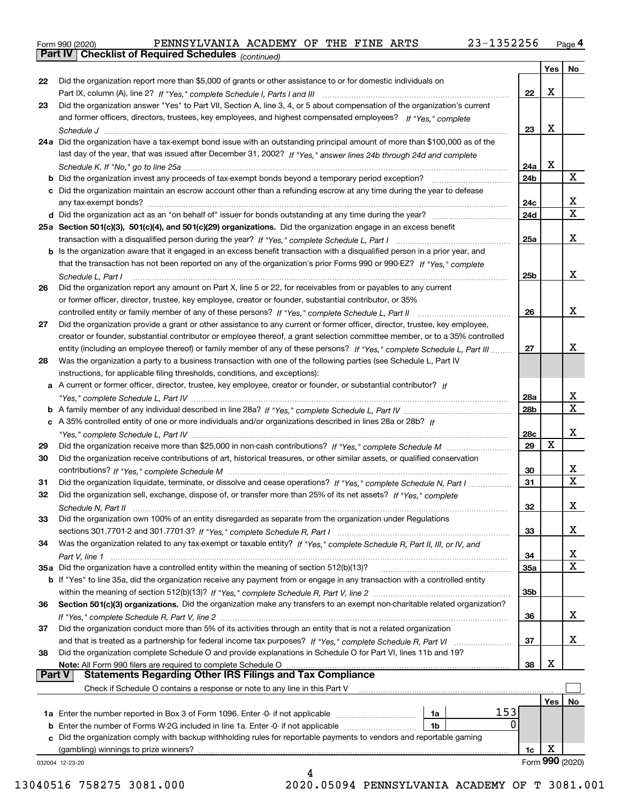|  | Form 990 (2020) |
|--|-----------------|
|  |                 |

*(continued)*

|               |                                                                                                                                    |     | Yes | No              |
|---------------|------------------------------------------------------------------------------------------------------------------------------------|-----|-----|-----------------|
| 22            | Did the organization report more than \$5,000 of grants or other assistance to or for domestic individuals on                      |     |     |                 |
|               |                                                                                                                                    | 22  | X   |                 |
| 23            | Did the organization answer "Yes" to Part VII, Section A, line 3, 4, or 5 about compensation of the organization's current         |     |     |                 |
|               | and former officers, directors, trustees, key employees, and highest compensated employees? If "Yes," complete                     |     |     |                 |
|               |                                                                                                                                    | 23  | X   |                 |
|               | 24a Did the organization have a tax-exempt bond issue with an outstanding principal amount of more than \$100,000 as of the        |     |     |                 |
|               | last day of the year, that was issued after December 31, 2002? If "Yes," answer lines 24b through 24d and complete                 |     |     |                 |
|               |                                                                                                                                    | 24a | x   |                 |
|               | <b>b</b> Did the organization invest any proceeds of tax-exempt bonds beyond a temporary period exception?                         | 24b |     | X               |
|               | c Did the organization maintain an escrow account other than a refunding escrow at any time during the year to defease             |     |     |                 |
|               |                                                                                                                                    | 24c |     | x               |
|               |                                                                                                                                    | 24d |     | $\mathbf X$     |
|               | 25a Section 501(c)(3), 501(c)(4), and 501(c)(29) organizations. Did the organization engage in an excess benefit                   |     |     |                 |
|               |                                                                                                                                    | 25a |     | х               |
|               | b Is the organization aware that it engaged in an excess benefit transaction with a disqualified person in a prior year, and       |     |     |                 |
|               | that the transaction has not been reported on any of the organization's prior Forms 990 or 990-EZ? If "Yes," complete              |     |     |                 |
|               | Schedule L, Part I                                                                                                                 | 25b |     | x               |
| 26            | Did the organization report any amount on Part X, line 5 or 22, for receivables from or payables to any current                    |     |     |                 |
|               | or former officer, director, trustee, key employee, creator or founder, substantial contributor, or 35%                            |     |     |                 |
|               |                                                                                                                                    | 26  |     | x               |
| 27            | Did the organization provide a grant or other assistance to any current or former officer, director, trustee, key employee,        |     |     |                 |
|               | creator or founder, substantial contributor or employee thereof, a grant selection committee member, or to a 35% controlled        |     |     |                 |
|               | entity (including an employee thereof) or family member of any of these persons? If "Yes," complete Schedule L, Part III           | 27  |     | х               |
| 28            | Was the organization a party to a business transaction with one of the following parties (see Schedule L, Part IV                  |     |     |                 |
|               | instructions, for applicable filing thresholds, conditions, and exceptions):                                                       |     |     |                 |
|               | a A current or former officer, director, trustee, key employee, creator or founder, or substantial contributor? If                 |     |     |                 |
|               |                                                                                                                                    | 28a |     | x               |
|               |                                                                                                                                    | 28b |     | $\mathbf x$     |
|               | c A 35% controlled entity of one or more individuals and/or organizations described in lines 28a or 28b? If                        |     |     |                 |
|               |                                                                                                                                    | 28c |     | х               |
| 29            |                                                                                                                                    | 29  | X   |                 |
| 30            | Did the organization receive contributions of art, historical treasures, or other similar assets, or qualified conservation        |     |     |                 |
|               |                                                                                                                                    | 30  |     | x               |
| 31            | Did the organization liquidate, terminate, or dissolve and cease operations? If "Yes," complete Schedule N, Part I                 | 31  |     | $\mathbf X$     |
| 32            | Did the organization sell, exchange, dispose of, or transfer more than 25% of its net assets? If "Yes," complete                   |     |     |                 |
|               |                                                                                                                                    | 32  |     | х               |
| 33            | Did the organization own 100% of an entity disregarded as separate from the organization under Regulations                         |     |     |                 |
|               |                                                                                                                                    |     |     | х               |
|               |                                                                                                                                    | 33  |     |                 |
| 34            | Was the organization related to any tax-exempt or taxable entity? If "Yes," complete Schedule R, Part II, III, or IV, and          |     |     | х               |
|               |                                                                                                                                    | 34  |     | X               |
|               | 35a Did the organization have a controlled entity within the meaning of section 512(b)(13)?                                        | 35a |     |                 |
|               | <b>b</b> If "Yes" to line 35a, did the organization receive any payment from or engage in any transaction with a controlled entity |     |     |                 |
|               |                                                                                                                                    | 35b |     |                 |
| 36            | Section 501(c)(3) organizations. Did the organization make any transfers to an exempt non-charitable related organization?         |     |     |                 |
|               |                                                                                                                                    | 36  |     | x               |
| 37            | Did the organization conduct more than 5% of its activities through an entity that is not a related organization                   |     |     |                 |
|               |                                                                                                                                    | 37  |     | x               |
| 38            | Did the organization complete Schedule O and provide explanations in Schedule O for Part VI, lines 11b and 19?                     |     |     |                 |
|               | Note: All Form 990 filers are required to complete Schedule O                                                                      | 38  | х   |                 |
| <b>Part V</b> | <b>Statements Regarding Other IRS Filings and Tax Compliance</b>                                                                   |     |     |                 |
|               | Check if Schedule O contains a response or note to any line in this Part V                                                         |     |     |                 |
|               |                                                                                                                                    |     | Yes | No              |
|               | 153<br>1a Enter the number reported in Box 3 of Form 1096. Enter -0- if not applicable<br>1a                                       |     |     |                 |
|               | 0<br>1b                                                                                                                            |     |     |                 |
|               | c Did the organization comply with backup withholding rules for reportable payments to vendors and reportable gaming               |     |     |                 |
|               | (gambling) winnings to prize winners?                                                                                              | 1c  | X   |                 |
|               | 032004 12-23-20                                                                                                                    |     |     | Form 990 (2020) |
|               | 4                                                                                                                                  |     |     |                 |

13040516 758275 3081.000 2020.05094 PENNSYLVANIA ACADEMY OF T 3081.001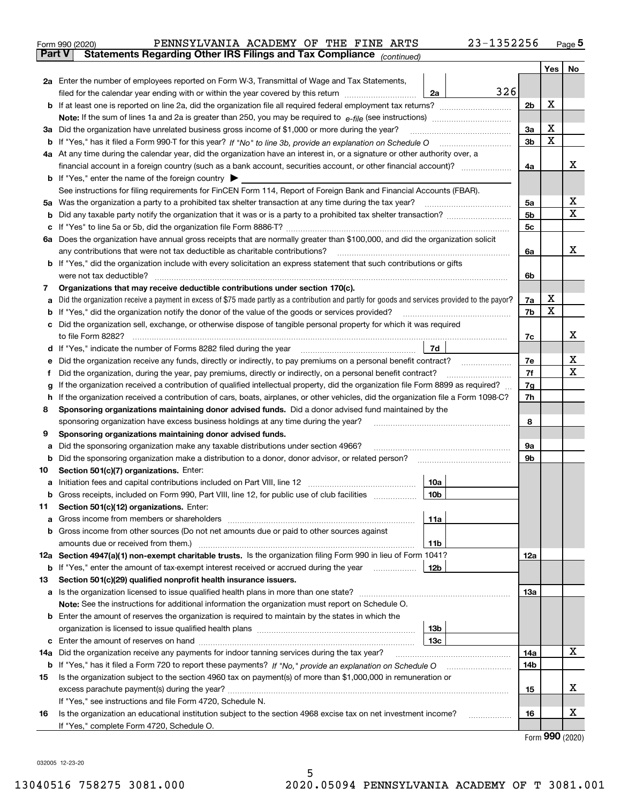| Form 990 (2020) | PENNSYLVANIA ACADEMY OF THE FINE ARTS                                                          |  |  | $23 - 1352256$ | Page 5 |
|-----------------|------------------------------------------------------------------------------------------------|--|--|----------------|--------|
|                 | <b>Part V</b> Statements Regarding Other IRS Filings and Tax Compliance <sub>(continued)</sub> |  |  |                |        |

|        |                                                                                                                                                                                                                                            |                 |     |                | Yes | No     |
|--------|--------------------------------------------------------------------------------------------------------------------------------------------------------------------------------------------------------------------------------------------|-----------------|-----|----------------|-----|--------|
|        | 2a Enter the number of employees reported on Form W-3, Transmittal of Wage and Tax Statements,                                                                                                                                             |                 |     |                |     |        |
|        | filed for the calendar year ending with or within the year covered by this return                                                                                                                                                          | 2a              | 326 |                |     |        |
|        |                                                                                                                                                                                                                                            |                 |     | 2 <sub>b</sub> | X   |        |
|        | <b>Note:</b> If the sum of lines 1a and 2a is greater than 250, you may be required to $e$ -file (see instructions)                                                                                                                        |                 |     |                |     |        |
|        | 3a Did the organization have unrelated business gross income of \$1,000 or more during the year?                                                                                                                                           |                 |     | 3a             | X   |        |
|        |                                                                                                                                                                                                                                            |                 |     | 3 <sub>b</sub> | X   |        |
|        | 4a At any time during the calendar year, did the organization have an interest in, or a signature or other authority over, a                                                                                                               |                 |     |                |     |        |
|        | financial account in a foreign country (such as a bank account, securities account, or other financial account)?                                                                                                                           |                 |     | 4a             |     | x      |
|        | <b>b</b> If "Yes," enter the name of the foreign country $\blacktriangleright$<br>See instructions for filing requirements for FinCEN Form 114, Report of Foreign Bank and Financial Accounts (FBAR).                                      |                 |     |                |     |        |
|        | 5a Was the organization a party to a prohibited tax shelter transaction at any time during the tax year?                                                                                                                                   |                 |     | 5а             |     | х      |
| b      |                                                                                                                                                                                                                                            |                 |     | 5 <sub>b</sub> |     | X      |
| с      |                                                                                                                                                                                                                                            |                 |     | 5c             |     |        |
|        | 6a Does the organization have annual gross receipts that are normally greater than \$100,000, and did the organization solicit                                                                                                             |                 |     |                |     |        |
|        | any contributions that were not tax deductible as charitable contributions?                                                                                                                                                                |                 |     | 6a             |     | x      |
|        | b If "Yes," did the organization include with every solicitation an express statement that such contributions or gifts                                                                                                                     |                 |     |                |     |        |
|        | were not tax deductible?                                                                                                                                                                                                                   |                 |     | 6b             |     |        |
| 7      | Organizations that may receive deductible contributions under section 170(c).                                                                                                                                                              |                 |     |                |     |        |
| а      | Did the organization receive a payment in excess of \$75 made partly as a contribution and partly for goods and services provided to the payor?                                                                                            |                 |     | 7a             | х   |        |
|        | If "Yes," did the organization notify the donor of the value of the goods or services provided?                                                                                                                                            |                 |     | 7b             | х   |        |
| с      | Did the organization sell, exchange, or otherwise dispose of tangible personal property for which it was required                                                                                                                          |                 |     |                |     |        |
|        | to file Form 8282?                                                                                                                                                                                                                         |                 |     | 7c             |     | х      |
| d      | If "Yes," indicate the number of Forms 8282 filed during the year                                                                                                                                                                          | 7d              |     |                |     |        |
|        | Did the organization receive any funds, directly or indirectly, to pay premiums on a personal benefit contract?                                                                                                                            |                 |     | 7e             |     | х<br>X |
| Ť      | Did the organization, during the year, pay premiums, directly or indirectly, on a personal benefit contract?                                                                                                                               |                 |     | 7f             |     |        |
| g      | If the organization received a contribution of qualified intellectual property, did the organization file Form 8899 as required?                                                                                                           |                 |     | 7g             |     |        |
| h<br>8 | If the organization received a contribution of cars, boats, airplanes, or other vehicles, did the organization file a Form 1098-C?<br>Sponsoring organizations maintaining donor advised funds. Did a donor advised fund maintained by the |                 |     | 7h             |     |        |
|        | sponsoring organization have excess business holdings at any time during the year?                                                                                                                                                         |                 |     | 8              |     |        |
| 9      | Sponsoring organizations maintaining donor advised funds.                                                                                                                                                                                  |                 |     |                |     |        |
| а      | Did the sponsoring organization make any taxable distributions under section 4966?                                                                                                                                                         |                 |     | 9а             |     |        |
| b      | Did the sponsoring organization make a distribution to a donor, donor advisor, or related person?                                                                                                                                          |                 |     | 9b             |     |        |
| 10     | Section 501(c)(7) organizations. Enter:                                                                                                                                                                                                    |                 |     |                |     |        |
| а      |                                                                                                                                                                                                                                            | 10a             |     |                |     |        |
| b      | Gross receipts, included on Form 990, Part VIII, line 12, for public use of club facilities                                                                                                                                                | 10 <sub>b</sub> |     |                |     |        |
| 11     | Section 501(c)(12) organizations. Enter:                                                                                                                                                                                                   |                 |     |                |     |        |
|        |                                                                                                                                                                                                                                            | 11a             |     |                |     |        |
|        | b Gross income from other sources (Do not net amounts due or paid to other sources against                                                                                                                                                 |                 |     |                |     |        |
|        | amounts due or received from them.)                                                                                                                                                                                                        | <b>11b</b>      |     |                |     |        |
|        | 12a Section 4947(a)(1) non-exempt charitable trusts. Is the organization filing Form 990 in lieu of Form 1041?                                                                                                                             |                 |     | 12a            |     |        |
|        | <b>b</b> If "Yes," enter the amount of tax-exempt interest received or accrued during the year                                                                                                                                             | 12b             |     |                |     |        |
| 13     | Section 501(c)(29) qualified nonprofit health insurance issuers.<br>a Is the organization licensed to issue qualified health plans in more than one state?                                                                                 |                 |     | 13a            |     |        |
|        | Note: See the instructions for additional information the organization must report on Schedule O.                                                                                                                                          |                 |     |                |     |        |
| b      | Enter the amount of reserves the organization is required to maintain by the states in which the                                                                                                                                           |                 |     |                |     |        |
|        |                                                                                                                                                                                                                                            | 13 <sub>b</sub> |     |                |     |        |
| с      |                                                                                                                                                                                                                                            | 13с             |     |                |     |        |
|        | 14a Did the organization receive any payments for indoor tanning services during the tax year?                                                                                                                                             |                 |     | 14a            |     | x      |
|        | <b>b</b> If "Yes," has it filed a Form 720 to report these payments? If "No," provide an explanation on Schedule O                                                                                                                         |                 |     | 14b            |     |        |
| 15     | Is the organization subject to the section 4960 tax on payment(s) of more than \$1,000,000 in remuneration or                                                                                                                              |                 |     |                |     |        |
|        |                                                                                                                                                                                                                                            |                 |     | 15             |     | х      |
|        | If "Yes," see instructions and file Form 4720, Schedule N.                                                                                                                                                                                 |                 |     |                |     |        |
| 16     | Is the organization an educational institution subject to the section 4968 excise tax on net investment income?                                                                                                                            |                 |     | 16             |     | х      |
|        | If "Yes," complete Form 4720, Schedule O.                                                                                                                                                                                                  |                 |     |                |     |        |

Form (2020) **990**

032005 12-23-20

 $\overline{a}$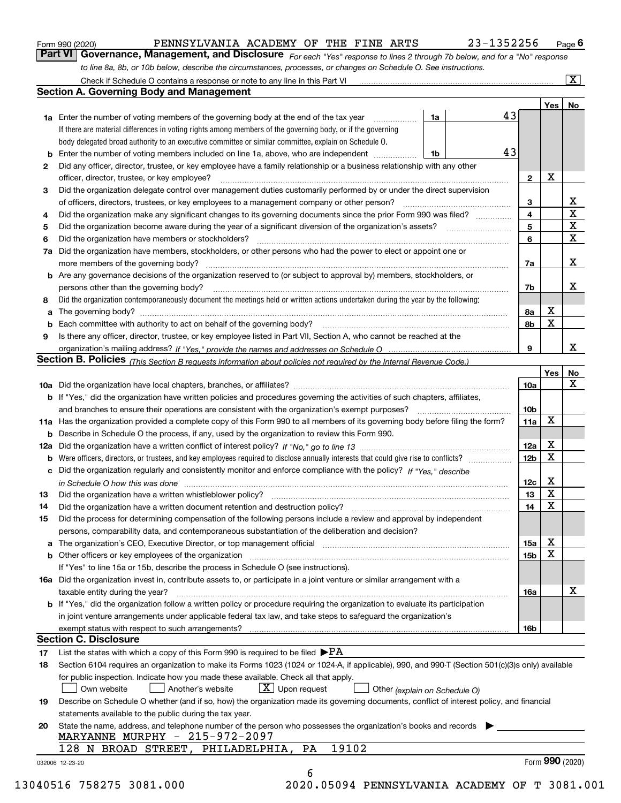| Form 990 (2020) |
|-----------------|
|-----------------|

| Form 990 (2020) | PENNSYLVANIA ACADEMY OF THE FINE ARTS                                                                                         |  | 23-1352256 | $P$ age $6$             |
|-----------------|-------------------------------------------------------------------------------------------------------------------------------|--|------------|-------------------------|
|                 | Part VI   Governance, Management, and Disclosure For each "Yes" response to lines 2 through 7b below, and for a "No" response |  |            |                         |
|                 | to line 8a, 8b, or 10b below, describe the circumstances, processes, or changes on Schedule O. See instructions.              |  |            |                         |
|                 | Check if Schedule O contains a response or note to any line in this Part VI                                                   |  |            | $\overline{\mathbf{X}}$ |

|    |                                                                                                                                                                            |    |  |    |                 | Yes <sub>1</sub> | No                      |
|----|----------------------------------------------------------------------------------------------------------------------------------------------------------------------------|----|--|----|-----------------|------------------|-------------------------|
|    | <b>1a</b> Enter the number of voting members of the governing body at the end of the tax year <i>manumum</i>                                                               | 1a |  | 43 |                 |                  |                         |
|    | If there are material differences in voting rights among members of the governing body, or if the governing                                                                |    |  |    |                 |                  |                         |
|    | body delegated broad authority to an executive committee or similar committee, explain on Schedule O.                                                                      |    |  |    |                 |                  |                         |
|    |                                                                                                                                                                            | 1b |  | 43 |                 |                  |                         |
| 2  | Did any officer, director, trustee, or key employee have a family relationship or a business relationship with any other                                                   |    |  |    |                 |                  |                         |
|    | officer, director, trustee, or key employee?                                                                                                                               |    |  |    | $\mathbf{2}$    | X                |                         |
| 3  | Did the organization delegate control over management duties customarily performed by or under the direct supervision                                                      |    |  |    |                 |                  |                         |
|    |                                                                                                                                                                            |    |  |    | 3               |                  | X                       |
| 4  | Did the organization make any significant changes to its governing documents since the prior Form 990 was filed?                                                           |    |  |    | 4<br>5          |                  | $\overline{\mathbf{x}}$ |
| 5  | Did the organization have members or stockholders?                                                                                                                         |    |  |    |                 |                  | $\mathbf X$             |
| 6  | 7a Did the organization have members, stockholders, or other persons who had the power to elect or appoint one or                                                          |    |  |    |                 |                  | $\mathbf X$             |
|    |                                                                                                                                                                            |    |  |    |                 |                  |                         |
|    |                                                                                                                                                                            |    |  |    | 7a              |                  | X                       |
|    | <b>b</b> Are any governance decisions of the organization reserved to (or subject to approval by) members, stockholders, or                                                |    |  |    |                 |                  |                         |
|    | persons other than the governing body?                                                                                                                                     |    |  |    | 7b              |                  | X                       |
| 8  | Did the organization contemporaneously document the meetings held or written actions undertaken during the year by the following:                                          |    |  |    |                 |                  |                         |
| a  |                                                                                                                                                                            |    |  |    | 8a              | X                |                         |
|    |                                                                                                                                                                            |    |  |    | 8b              | X                |                         |
| 9  | Is there any officer, director, trustee, or key employee listed in Part VII, Section A, who cannot be reached at the                                                       |    |  |    |                 |                  |                         |
|    |                                                                                                                                                                            |    |  |    | 9               |                  | х                       |
|    | Section B. Policies (This Section B requests information about policies not required by the Internal Revenue Code.)                                                        |    |  |    |                 |                  |                         |
|    |                                                                                                                                                                            |    |  |    |                 | Yes∣             | No                      |
|    |                                                                                                                                                                            |    |  |    | 10a             |                  | X                       |
|    | <b>b</b> If "Yes," did the organization have written policies and procedures governing the activities of such chapters, affiliates,                                        |    |  |    |                 |                  |                         |
|    |                                                                                                                                                                            |    |  |    | 10 <sub>b</sub> |                  |                         |
|    | 11a Has the organization provided a complete copy of this Form 990 to all members of its governing body before filing the form?                                            |    |  |    | 11a             | $\mathbf X$      |                         |
|    | <b>b</b> Describe in Schedule O the process, if any, used by the organization to review this Form 990.                                                                     |    |  |    |                 |                  |                         |
|    |                                                                                                                                                                            |    |  |    | 12a             | X                |                         |
| b  |                                                                                                                                                                            |    |  |    | 12b             | X                |                         |
|    | c Did the organization regularly and consistently monitor and enforce compliance with the policy? If "Yes," describe                                                       |    |  |    |                 |                  |                         |
|    | in Schedule O how this was done measured and continuum control to the control of the state of the state of the                                                             |    |  |    | 12c             | X                |                         |
| 13 |                                                                                                                                                                            |    |  |    | 13              | X                |                         |
| 14 | Did the organization have a written document retention and destruction policy? manufactured and the organization have a written document retention and destruction policy? |    |  |    | 14              | $\mathbf X$      |                         |
| 15 | Did the process for determining compensation of the following persons include a review and approval by independent                                                         |    |  |    |                 |                  |                         |
|    | persons, comparability data, and contemporaneous substantiation of the deliberation and decision?                                                                          |    |  |    |                 |                  |                         |
|    |                                                                                                                                                                            |    |  |    | 15a             | X                |                         |
|    | <b>b</b> Other officers or key employees of the organization                                                                                                               |    |  |    | 15 <sub>b</sub> | X                |                         |
|    | If "Yes" to line 15a or 15b, describe the process in Schedule O (see instructions).                                                                                        |    |  |    |                 |                  |                         |
|    | 16a Did the organization invest in, contribute assets to, or participate in a joint venture or similar arrangement with a                                                  |    |  |    |                 |                  |                         |
|    | taxable entity during the year?                                                                                                                                            |    |  |    | 16a             |                  | X                       |
|    | <b>b</b> If "Yes," did the organization follow a written policy or procedure requiring the organization to evaluate its participation                                      |    |  |    |                 |                  |                         |
|    | in joint venture arrangements under applicable federal tax law, and take steps to safeguard the organization's                                                             |    |  |    |                 |                  |                         |
|    | exempt status with respect to such arrangements?                                                                                                                           |    |  |    | 16b             |                  |                         |
|    | <b>Section C. Disclosure</b>                                                                                                                                               |    |  |    |                 |                  |                         |
| 17 | List the states with which a copy of this Form 990 is required to be filed $\blacktriangleright$ PA                                                                        |    |  |    |                 |                  |                         |
| 18 | Section 6104 requires an organization to make its Forms 1023 (1024 or 1024-A, if applicable), 990, and 990-T (Section 501(c)(3)s only) available                           |    |  |    |                 |                  |                         |
|    | for public inspection. Indicate how you made these available. Check all that apply.                                                                                        |    |  |    |                 |                  |                         |
|    | $X$ Upon request<br>Another's website<br>Own website<br>Other (explain on Schedule O)                                                                                      |    |  |    |                 |                  |                         |
| 19 | Describe on Schedule O whether (and if so, how) the organization made its governing documents, conflict of interest policy, and financial                                  |    |  |    |                 |                  |                         |
|    | statements available to the public during the tax year.                                                                                                                    |    |  |    |                 |                  |                         |
| 20 | State the name, address, and telephone number of the person who possesses the organization's books and records                                                             |    |  |    |                 |                  |                         |
|    | MARYANNE MURPHY - 215-972-2097                                                                                                                                             |    |  |    |                 |                  |                         |
|    | 19102<br>128 N BROAD STREET, PHILADELPHIA,<br>PA                                                                                                                           |    |  |    |                 |                  |                         |
|    |                                                                                                                                                                            |    |  |    |                 | Form 990 (2020)  |                         |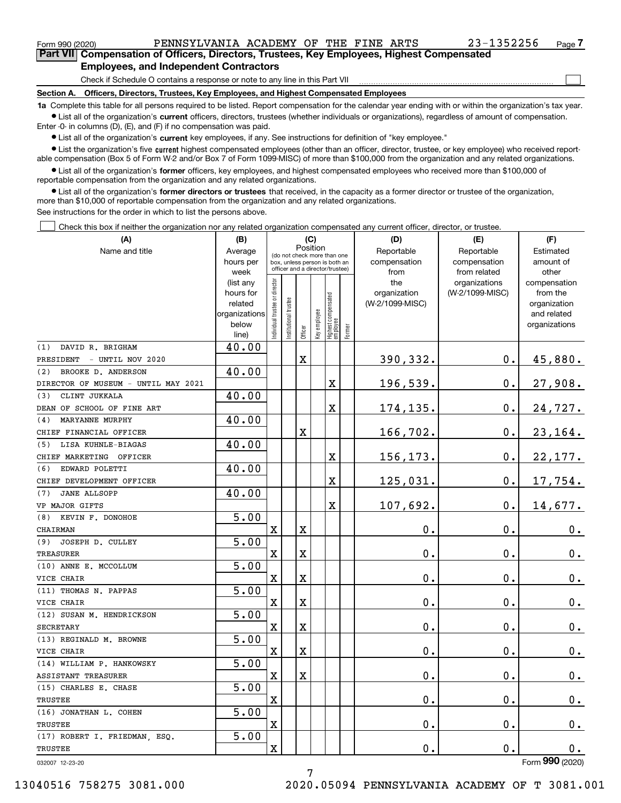$\mathcal{L}^{\text{max}}$ 

| Form 990 (2020) |                                               |  | PENNSYLVANIA ACADEMY OF THE FINE ARTS |  |  | 23-1352256                                                                                 | Page $7$ |
|-----------------|-----------------------------------------------|--|---------------------------------------|--|--|--------------------------------------------------------------------------------------------|----------|
|                 |                                               |  |                                       |  |  | Part VII Compensation of Officers, Directors, Trustees, Key Employees, Highest Compensated |          |
|                 | <b>Employees, and Independent Contractors</b> |  |                                       |  |  |                                                                                            |          |

Check if Schedule O contains a response or note to any line in this Part VII

**Section A. Officers, Directors, Trustees, Key Employees, and Highest Compensated Employees**

**1a**  Complete this table for all persons required to be listed. Report compensation for the calendar year ending with or within the organization's tax year. **•** List all of the organization's current officers, directors, trustees (whether individuals or organizations), regardless of amount of compensation.

Enter -0- in columns (D), (E), and (F) if no compensation was paid.

 $\bullet$  List all of the organization's  $\,$ current key employees, if any. See instructions for definition of "key employee."

**•** List the organization's five current highest compensated employees (other than an officer, director, trustee, or key employee) who received reportable compensation (Box 5 of Form W-2 and/or Box 7 of Form 1099-MISC) of more than \$100,000 from the organization and any related organizations.

**•** List all of the organization's former officers, key employees, and highest compensated employees who received more than \$100,000 of reportable compensation from the organization and any related organizations.

**former directors or trustees**  ¥ List all of the organization's that received, in the capacity as a former director or trustee of the organization, more than \$10,000 of reportable compensation from the organization and any related organizations.

See instructions for the order in which to list the persons above.

Check this box if neither the organization nor any related organization compensated any current officer, director, or trustee.  $\mathcal{L}^{\text{max}}$ 

| (A)                                 | (B)                  |                               |                                                                  |             | (C)                     |                                 |        | (D)                             | (E)             |                          |  |  |  |
|-------------------------------------|----------------------|-------------------------------|------------------------------------------------------------------|-------------|-------------------------|---------------------------------|--------|---------------------------------|-----------------|--------------------------|--|--|--|
| Name and title                      | Average              |                               | (do not check more than one                                      | Position    |                         |                                 |        | Reportable                      | Estimated       |                          |  |  |  |
|                                     | hours per            |                               | box, unless person is both an<br>officer and a director/trustee) |             |                         |                                 |        | compensation                    | compensation    | amount of                |  |  |  |
|                                     | week                 |                               |                                                                  |             |                         |                                 |        | from                            | from related    | other                    |  |  |  |
|                                     | (list any            |                               |                                                                  |             |                         |                                 |        | the                             | organizations   | compensation             |  |  |  |
|                                     | hours for<br>related |                               |                                                                  |             |                         |                                 |        | organization<br>(W-2/1099-MISC) | (W-2/1099-MISC) | from the<br>organization |  |  |  |
|                                     | organizations        |                               |                                                                  |             |                         |                                 |        |                                 |                 | and related              |  |  |  |
|                                     | below                | ndividual trustee or director | nstitutional trustee                                             |             |                         |                                 |        |                                 |                 | organizations            |  |  |  |
|                                     | line)                |                               |                                                                  |             | Officer<br>Key employee | Highest compensated<br>employee | Former |                                 |                 |                          |  |  |  |
| DAVID R. BRIGHAM<br>(1)             | 40.00                |                               |                                                                  |             |                         |                                 |        |                                 |                 |                          |  |  |  |
| - UNTIL NOV 2020<br>PRESIDENT       |                      |                               |                                                                  | $\mathbf X$ |                         |                                 |        | 390,332.                        | 0.              | 45,880.                  |  |  |  |
| BROOKE D. ANDERSON<br>(2)           | 40.00                |                               |                                                                  |             |                         |                                 |        |                                 |                 |                          |  |  |  |
| DIRECTOR OF MUSEUM - UNTIL MAY 2021 |                      |                               |                                                                  |             |                         | X                               |        | 196,539.                        | 0.              | 27,908.                  |  |  |  |
| CLINT JUKKALA<br>(3)                | 40.00                |                               |                                                                  |             |                         |                                 |        |                                 |                 |                          |  |  |  |
| DEAN OF SCHOOL OF FINE ART          |                      |                               |                                                                  |             |                         | X                               |        | 174,135.                        | 0.              | 24,727.                  |  |  |  |
| MARYANNE MURPHY<br>(4)              | 40.00                |                               |                                                                  |             |                         |                                 |        |                                 |                 |                          |  |  |  |
| CHIEF FINANCIAL OFFICER             |                      |                               |                                                                  | $\mathbf X$ |                         |                                 |        | 166,702.                        | 0.              | 23, 164.                 |  |  |  |
| LISA KUHNLE-BIAGAS<br>(5)           | 40.00                |                               |                                                                  |             |                         |                                 |        |                                 |                 |                          |  |  |  |
| CHIEF MARKETING OFFICER             |                      |                               |                                                                  |             |                         | X                               |        | 156,173.                        | 0.              | 22,177.                  |  |  |  |
| EDWARD POLETTI<br>(6)               | 40.00                |                               |                                                                  |             |                         |                                 |        |                                 |                 |                          |  |  |  |
| CHIEF DEVELOPMENT OFFICER           |                      |                               |                                                                  |             |                         | X                               |        | 125,031.                        | 0.              | 17,754.                  |  |  |  |
| <b>JANE ALLSOPP</b><br>(7)          | 40.00                |                               |                                                                  |             |                         |                                 |        |                                 |                 |                          |  |  |  |
| VP MAJOR GIFTS                      |                      |                               |                                                                  |             |                         | X                               |        | 107,692.                        | $\mathbf 0$ .   | 14,677.                  |  |  |  |
| (8) KEVIN F. DONOHOE                | $\overline{5.00}$    |                               |                                                                  |             |                         |                                 |        |                                 |                 |                          |  |  |  |
| CHAIRMAN                            |                      | $\mathbf X$                   |                                                                  | $\mathbf X$ |                         |                                 |        | $\mathbf 0$ .                   | 0.              | $0_{.}$                  |  |  |  |
| JOSEPH D. CULLEY<br>(9)             | $\overline{5.00}$    |                               |                                                                  |             |                         |                                 |        |                                 |                 |                          |  |  |  |
| <b>TREASURER</b>                    |                      | $\mathbf X$                   |                                                                  | $\mathbf X$ |                         |                                 |        | $\mathbf 0$ .                   | 0.              | 0.                       |  |  |  |
| (10) ANNE E. MCCOLLUM               | $\overline{5.00}$    |                               |                                                                  |             |                         |                                 |        |                                 |                 |                          |  |  |  |
| VICE CHAIR                          |                      | X                             |                                                                  | $\mathbf X$ |                         |                                 |        | $\mathbf 0$ .                   | 0.              | 0.                       |  |  |  |
| (11) THOMAS N. PAPPAS               | $\overline{5.00}$    |                               |                                                                  |             |                         |                                 |        |                                 |                 |                          |  |  |  |
| VICE CHAIR                          |                      | X                             |                                                                  | $\mathbf X$ |                         |                                 |        | 0.                              | 0.              | 0.                       |  |  |  |
| (12) SUSAN M. HENDRICKSON           | $\overline{5.00}$    |                               |                                                                  |             |                         |                                 |        |                                 |                 |                          |  |  |  |
| <b>SECRETARY</b>                    |                      | $\mathbf X$                   |                                                                  | $\mathbf X$ |                         |                                 |        | 0.                              | 0.              | $0_{.}$                  |  |  |  |
| (13) REGINALD M. BROWNE             | 5.00                 |                               |                                                                  |             |                         |                                 |        |                                 |                 |                          |  |  |  |
| VICE CHAIR                          |                      | $\mathbf X$                   |                                                                  | $\mathbf X$ |                         |                                 |        | 0.                              | $\mathbf 0$ .   | $0_{.}$                  |  |  |  |
| (14) WILLIAM P. HANKOWSKY           | 5.00                 |                               |                                                                  |             |                         |                                 |        |                                 |                 |                          |  |  |  |
| ASSISTANT TREASURER                 |                      | X                             |                                                                  | $\mathbf X$ |                         |                                 |        | $\mathbf 0$ .                   | 0.              | 0.                       |  |  |  |
| (15) CHARLES E. CHASE               | 5.00                 |                               |                                                                  |             |                         |                                 |        |                                 |                 |                          |  |  |  |
| TRUSTEE                             |                      | $\mathbf X$                   |                                                                  |             |                         |                                 |        | $\mathbf 0$ .                   | $\mathbf 0$ .   | $0_{.}$                  |  |  |  |
| (16) JONATHAN L. COHEN              | 5.00                 |                               |                                                                  |             |                         |                                 |        |                                 |                 |                          |  |  |  |
| TRUSTEE                             |                      | X                             |                                                                  |             |                         |                                 |        | 0.                              | $\mathbf 0$ .   | $0\cdot$                 |  |  |  |
| (17) ROBERT I. FRIEDMAN, ESQ.       | 5.00                 |                               |                                                                  |             |                         |                                 |        |                                 |                 |                          |  |  |  |
| TRUSTEE                             |                      | X                             |                                                                  |             |                         |                                 |        | 0.                              | $\mathbf 0$ .   | $0$ .                    |  |  |  |
| 032007 12-23-20                     |                      |                               |                                                                  |             |                         |                                 |        |                                 |                 | Form 990 (2020)          |  |  |  |

7

13040516 758275 3081.000 2020.05094 PENNSYLVANIA ACADEMY OF T 3081.001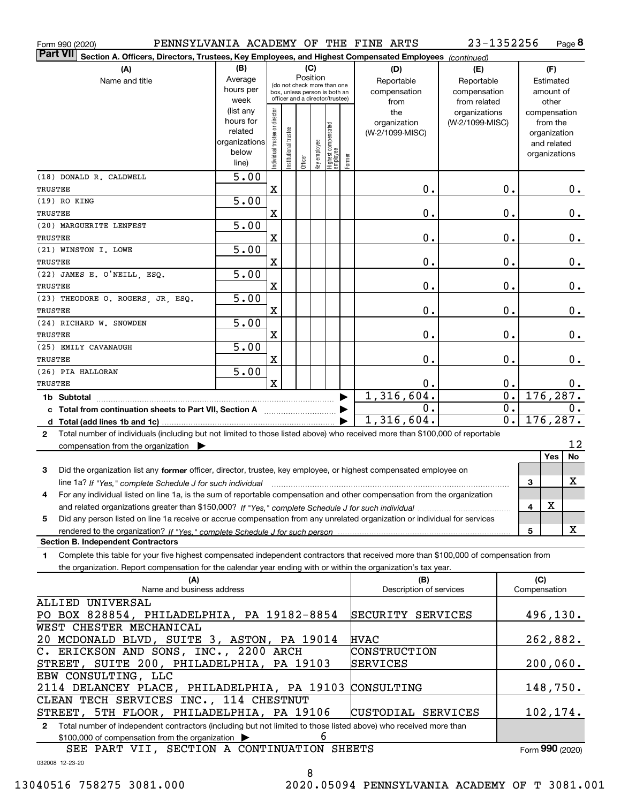| Form 990 (2020)                                                                                                                                 |                                                                              |                                |                       |                                                              |              |                                  |        | PENNSYLVANIA ACADEMY OF THE FINE ARTS | 23-1352256      |                  |                     |               | Page 8 |
|-------------------------------------------------------------------------------------------------------------------------------------------------|------------------------------------------------------------------------------|--------------------------------|-----------------------|--------------------------------------------------------------|--------------|----------------------------------|--------|---------------------------------------|-----------------|------------------|---------------------|---------------|--------|
| <b>Part VII</b><br>Section A. Officers, Directors, Trustees, Key Employees, and Highest Compensated Employees (continued)                       |                                                                              |                                |                       |                                                              |              |                                  |        |                                       |                 |                  |                     |               |        |
| (A)                                                                                                                                             | (B)                                                                          |                                |                       | (C)                                                          |              |                                  |        | (D)                                   | (E)             |                  |                     | (F)           |        |
| Name and title                                                                                                                                  | Average                                                                      |                                |                       | Position                                                     |              |                                  |        | Reportable                            | Reportable      |                  |                     | Estimated     |        |
|                                                                                                                                                 | hours per                                                                    |                                |                       | (do not check more than one<br>box, unless person is both an |              |                                  |        | compensation                          | compensation    |                  |                     | amount of     |        |
|                                                                                                                                                 | week                                                                         |                                |                       | officer and a director/trustee)                              |              |                                  |        | from                                  | from related    |                  |                     | other         |        |
|                                                                                                                                                 | (list any                                                                    |                                |                       |                                                              |              |                                  |        | the                                   | organizations   |                  |                     | compensation  |        |
|                                                                                                                                                 | hours for                                                                    |                                |                       |                                                              |              |                                  |        | organization                          | (W-2/1099-MISC) |                  |                     | from the      |        |
|                                                                                                                                                 | related                                                                      |                                |                       |                                                              |              |                                  |        | (W-2/1099-MISC)                       |                 |                  |                     | organization  |        |
|                                                                                                                                                 | organizations                                                                |                                |                       |                                                              |              |                                  |        |                                       |                 |                  |                     | and related   |        |
|                                                                                                                                                 | below                                                                        | Individual trustee or director | Institutional trustee | Officer                                                      | Key employee | Highest compensated<br> employee | Former |                                       |                 |                  |                     | organizations |        |
|                                                                                                                                                 | line)                                                                        |                                |                       |                                                              |              |                                  |        |                                       |                 |                  |                     |               |        |
| (18) DONALD R. CALDWELL                                                                                                                         | $\overline{5.00}$                                                            |                                |                       |                                                              |              |                                  |        |                                       |                 |                  |                     |               |        |
| <b>TRUSTEE</b>                                                                                                                                  |                                                                              | $\mathbf X$                    |                       |                                                              |              |                                  |        | 0.                                    |                 | 0.               |                     |               | О.     |
| (19) RO KING                                                                                                                                    | $\overline{5.00}$                                                            |                                |                       |                                                              |              |                                  |        |                                       |                 |                  |                     |               |        |
| <b>TRUSTEE</b>                                                                                                                                  |                                                                              | X                              |                       |                                                              |              |                                  |        | 0.                                    |                 | $\mathbf 0$ .    |                     |               | $0$ .  |
| (20) MARGUERITE LENFEST                                                                                                                         | 5.00                                                                         |                                |                       |                                                              |              |                                  |        |                                       |                 |                  |                     |               |        |
| <b>TRUSTEE</b>                                                                                                                                  |                                                                              | X                              |                       |                                                              |              |                                  |        | 0.                                    |                 | 0.               |                     |               | $0\,.$ |
| (21) WINSTON I. LOWE                                                                                                                            | 5.00                                                                         |                                |                       |                                                              |              |                                  |        |                                       |                 |                  |                     |               |        |
| <b>TRUSTEE</b>                                                                                                                                  |                                                                              | X                              |                       |                                                              |              |                                  |        | 0.                                    |                 | 0.               |                     |               | $0$ .  |
| (22) JAMES E. O'NEILL, ESQ.                                                                                                                     | $\overline{5.00}$                                                            |                                |                       |                                                              |              |                                  |        |                                       |                 |                  |                     |               |        |
| <b>TRUSTEE</b>                                                                                                                                  |                                                                              | X                              |                       |                                                              |              |                                  |        | 0.                                    |                 | 0.               |                     |               | $0$ .  |
| (23) THEODORE O. ROGERS, JR. ESQ.                                                                                                               | $\overline{5.00}$                                                            |                                |                       |                                                              |              |                                  |        |                                       |                 |                  |                     |               |        |
| <b>TRUSTEE</b>                                                                                                                                  |                                                                              | X                              |                       |                                                              |              |                                  |        | 0.                                    |                 | 0.               |                     |               | $0$ .  |
| (24) RICHARD W. SNOWDEN                                                                                                                         | $\overline{5.00}$                                                            |                                |                       |                                                              |              |                                  |        |                                       |                 |                  |                     |               |        |
| <b>TRUSTEE</b>                                                                                                                                  |                                                                              | X                              |                       |                                                              |              |                                  |        |                                       |                 | 0.               |                     |               |        |
|                                                                                                                                                 |                                                                              |                                |                       |                                                              |              |                                  |        | 0.                                    |                 |                  |                     |               | $0\,.$ |
| (25) EMILY CAVANAUGH                                                                                                                            | $\overline{5.00}$                                                            |                                |                       |                                                              |              |                                  |        |                                       |                 |                  |                     |               |        |
| <b>TRUSTEE</b>                                                                                                                                  |                                                                              | X                              |                       |                                                              |              |                                  |        | 0.                                    |                 | 0.               |                     |               | 0.     |
| (26) PIA HALLORAN                                                                                                                               | 5.00                                                                         |                                |                       |                                                              |              |                                  |        |                                       |                 |                  |                     |               |        |
| <b>TRUSTEE</b>                                                                                                                                  |                                                                              | $\mathbf x$                    |                       |                                                              |              |                                  |        | 0.                                    |                 | 0.               |                     |               | 0.     |
| 1,316,604.<br>$\overline{\mathbf{0}}$ .<br>176, 287.<br>1b Subtotal                                                                             |                                                                              |                                |                       |                                                              |              |                                  |        |                                       |                 |                  |                     |               |        |
| $\overline{0}$ .<br>0.<br>c Total from continuation sheets to Part VII, Section A                                                               |                                                                              |                                |                       |                                                              |              |                                  |        | $0$ .                                 |                 |                  |                     |               |        |
|                                                                                                                                                 |                                                                              |                                |                       |                                                              |              |                                  |        | 1,316,604.                            |                 | $\overline{0}$ . |                     | 176, 287.     |        |
| Total number of individuals (including but not limited to those listed above) who received more than \$100,000 of reportable<br>2               |                                                                              |                                |                       |                                                              |              |                                  |        |                                       |                 |                  |                     |               |        |
| compensation from the organization                                                                                                              |                                                                              |                                |                       |                                                              |              |                                  |        |                                       |                 |                  |                     |               | 12     |
|                                                                                                                                                 |                                                                              |                                |                       |                                                              |              |                                  |        |                                       |                 |                  |                     | Yes           | No     |
| Did the organization list any former officer, director, trustee, key employee, or highest compensated employee on<br>3                          |                                                                              |                                |                       |                                                              |              |                                  |        |                                       |                 |                  |                     |               |        |
| line 1a? If "Yes," complete Schedule J for such individual manufactured contained and the 1a? If "Yes," complete Schedule J for such individual |                                                                              |                                |                       |                                                              |              |                                  |        |                                       |                 |                  | 3                   |               | X      |
| For any individual listed on line 1a, is the sum of reportable compensation and other compensation from the organization                        |                                                                              |                                |                       |                                                              |              |                                  |        |                                       |                 |                  |                     |               |        |
|                                                                                                                                                 |                                                                              |                                |                       |                                                              |              |                                  |        |                                       |                 |                  | 4                   | х             |        |
| Did any person listed on line 1a receive or accrue compensation from any unrelated organization or individual for services<br>5                 |                                                                              |                                |                       |                                                              |              |                                  |        |                                       |                 |                  |                     |               |        |
|                                                                                                                                                 |                                                                              |                                |                       |                                                              |              |                                  |        |                                       |                 |                  | 5                   |               | X      |
| <b>Section B. Independent Contractors</b>                                                                                                       |                                                                              |                                |                       |                                                              |              |                                  |        |                                       |                 |                  |                     |               |        |
|                                                                                                                                                 |                                                                              |                                |                       |                                                              |              |                                  |        |                                       |                 |                  |                     |               |        |
| Complete this table for your five highest compensated independent contractors that received more than \$100,000 of compensation from<br>1.      |                                                                              |                                |                       |                                                              |              |                                  |        |                                       |                 |                  |                     |               |        |
| the organization. Report compensation for the calendar year ending with or within the organization's tax year.                                  |                                                                              |                                |                       |                                                              |              |                                  |        |                                       |                 |                  |                     |               |        |
| (A)<br>Name and business address                                                                                                                |                                                                              |                                |                       |                                                              |              |                                  |        | (B)<br>Description of services        |                 |                  | (C)<br>Compensation |               |        |
|                                                                                                                                                 |                                                                              |                                |                       |                                                              |              |                                  |        |                                       |                 |                  |                     |               |        |
| ALLIED UNIVERSAL                                                                                                                                |                                                                              |                                |                       |                                                              |              |                                  |        |                                       |                 |                  |                     |               |        |
|                                                                                                                                                 | 496, 130.<br>PO BOX 828854, PHILADELPHIA, PA 19182-8854<br>SECURITY SERVICES |                                |                       |                                                              |              |                                  |        |                                       |                 |                  |                     |               |        |
| WEST CHESTER MECHANICAL                                                                                                                         |                                                                              |                                |                       |                                                              |              |                                  |        |                                       |                 |                  |                     |               |        |
|                                                                                                                                                 | 20 MCDONALD BLVD, SUITE 3, ASTON, PA 19014<br><b>HVAC</b><br>262,882.        |                                |                       |                                                              |              |                                  |        |                                       |                 |                  |                     |               |        |
| C. ERICKSON AND SONS, INC., 2200 ARCH<br>CONSTRUCTION                                                                                           |                                                                              |                                |                       |                                                              |              |                                  |        |                                       |                 |                  |                     |               |        |
| STREET, SUITE 200, PHILADELPHIA, PA 19103<br>200,060.<br>SERVICES                                                                               |                                                                              |                                |                       |                                                              |              |                                  |        |                                       |                 |                  |                     |               |        |
| EBW CONSULTING, LLC                                                                                                                             |                                                                              |                                |                       |                                                              |              |                                  |        |                                       |                 |                  |                     |               |        |
| 2114 DELANCEY PLACE, PHILADELPHIA, PA 19103<br>CONSULTING<br>148,750.                                                                           |                                                                              |                                |                       |                                                              |              |                                  |        |                                       |                 |                  |                     |               |        |
| CLEAN TECH SERVICES INC., 114 CHESTNUT                                                                                                          |                                                                              |                                |                       |                                                              |              |                                  |        |                                       |                 |                  |                     |               |        |
| STREET, 5TH FLOOR, PHILADELPHIA, PA 19106<br>102,174.<br>CUSTODIAL SERVICES                                                                     |                                                                              |                                |                       |                                                              |              |                                  |        |                                       |                 |                  |                     |               |        |
| Total number of independent contractors (including but not limited to those listed above) who received more than<br>2                           |                                                                              |                                |                       |                                                              |              |                                  |        |                                       |                 |                  |                     |               |        |
| \$100,000 of compensation from the organization >                                                                                               |                                                                              |                                |                       |                                                              | 6            |                                  |        |                                       |                 |                  |                     |               |        |
| SEE PART VII, SECTION A CONTINUATION SHEETS                                                                                                     |                                                                              |                                |                       |                                                              |              |                                  |        |                                       |                 |                  | Form 990 (2020)     |               |        |
|                                                                                                                                                 |                                                                              |                                |                       |                                                              |              |                                  |        |                                       |                 |                  |                     |               |        |

032008 12-23-20

8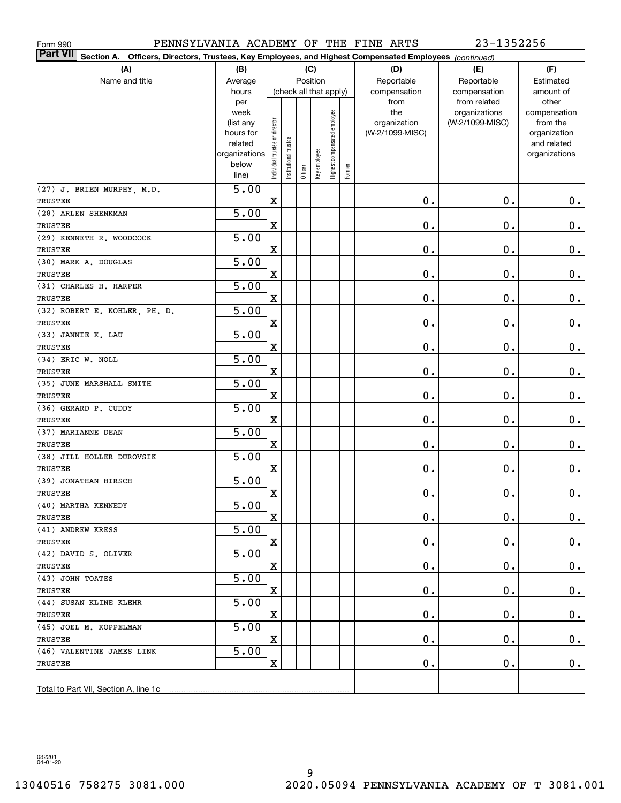| 23-1352256<br>PENNSYLVANIA ACADEMY OF THE FINE ARTS<br>Form 990                                                       |                   |                                |                        |         |              |                              |        |                     |                                  |                          |
|-----------------------------------------------------------------------------------------------------------------------|-------------------|--------------------------------|------------------------|---------|--------------|------------------------------|--------|---------------------|----------------------------------|--------------------------|
| Part VII<br>Officers, Directors, Trustees, Key Employees, and Highest Compensated Employees (continued)<br>Section A. |                   |                                |                        |         |              |                              |        |                     |                                  |                          |
| (A)                                                                                                                   | (B)               |                                |                        |         | (C)          |                              |        | (D)                 | (E)                              | (F)                      |
| Name and title                                                                                                        | Average           |                                |                        |         | Position     |                              |        | Reportable          | Reportable                       | Estimated                |
|                                                                                                                       | hours             |                                | (check all that apply) |         |              |                              |        | compensation        | compensation                     | amount of                |
|                                                                                                                       | per               |                                |                        |         |              |                              |        | from                | from related                     | other                    |
|                                                                                                                       | week<br>(list any |                                |                        |         |              | Highest compensated employee |        | the<br>organization | organizations<br>(W-2/1099-MISC) | compensation<br>from the |
|                                                                                                                       | hours for         | Individual trustee or director |                        |         |              |                              |        | (W-2/1099-MISC)     |                                  | organization             |
|                                                                                                                       | related           |                                |                        |         |              |                              |        |                     |                                  | and related              |
|                                                                                                                       | organizations     |                                |                        |         |              |                              |        |                     |                                  | organizations            |
|                                                                                                                       | below             |                                | Institutional trustee  | Officer | Key employee |                              | Former |                     |                                  |                          |
|                                                                                                                       | line)             |                                |                        |         |              |                              |        |                     |                                  |                          |
| (27) J. BRIEN MURPHY, M.D.                                                                                            | 5.00              |                                |                        |         |              |                              |        |                     |                                  |                          |
| TRUSTEE                                                                                                               |                   | $\mathbf X$                    |                        |         |              |                              |        | 0.                  | 0.                               | $\mathbf 0$ .            |
| (28) ARLEN SHENKMAN                                                                                                   | 5.00              |                                |                        |         |              |                              |        |                     |                                  |                          |
| TRUSTEE                                                                                                               |                   | $\mathbf X$                    |                        |         |              |                              |        | 0.                  | 0.                               | $\mathbf 0$ .            |
| (29) KENNETH R. WOODCOCK                                                                                              | 5.00              |                                |                        |         |              |                              |        |                     |                                  |                          |
| TRUSTEE                                                                                                               |                   | $\mathbf X$                    |                        |         |              |                              |        | 0.                  | 0.                               | $\mathbf 0$ .            |
| (30) MARK A. DOUGLAS                                                                                                  | 5.00              |                                |                        |         |              |                              |        |                     |                                  |                          |
| TRUSTEE                                                                                                               |                   | $\mathbf X$                    |                        |         |              |                              |        | 0.                  | 0.                               | $\mathbf 0$ .            |
| (31) CHARLES H. HARPER                                                                                                | 5.00              |                                |                        |         |              |                              |        |                     |                                  |                          |
| TRUSTEE                                                                                                               | 5.00              | $\mathbf X$                    |                        |         |              |                              |        | 0.                  | 0.                               | $\mathbf 0$ .            |
| (32) ROBERT E. KOHLER, PH. D.<br>TRUSTEE                                                                              |                   | $\mathbf X$                    |                        |         |              |                              |        | 0.                  | 0.                               | $\mathbf 0$ .            |
| (33) JANNIE K. LAU                                                                                                    | 5.00              |                                |                        |         |              |                              |        |                     |                                  |                          |
| TRUSTEE                                                                                                               |                   | $\overline{\mathbf{X}}$        |                        |         |              |                              |        | 0.                  | 0.                               | $\mathbf 0$ .            |
| (34) ERIC W. NOLL                                                                                                     | 5.00              |                                |                        |         |              |                              |        |                     |                                  |                          |
| TRUSTEE                                                                                                               |                   | $\mathbf X$                    |                        |         |              |                              |        | 0.                  | 0.                               | $0_{.}$                  |
| (35) JUNE MARSHALL SMITH                                                                                              | 5.00              |                                |                        |         |              |                              |        |                     |                                  |                          |
| TRUSTEE                                                                                                               |                   | $\mathbf X$                    |                        |         |              |                              |        | 0.                  | 0.                               | $\mathbf 0$ .            |
| (36) GERARD P. CUDDY                                                                                                  | 5.00              |                                |                        |         |              |                              |        |                     |                                  |                          |
| TRUSTEE                                                                                                               |                   | $\mathbf X$                    |                        |         |              |                              |        | 0.                  | 0.                               | 0.                       |
| (37) MARIANNE DEAN                                                                                                    | 5.00              |                                |                        |         |              |                              |        |                     |                                  |                          |
| TRUSTEE                                                                                                               |                   | $\overline{\mathbf{X}}$        |                        |         |              |                              |        | 0.                  | 0.                               | 0.                       |
| (38) JILL HOLLER DUROVSIK                                                                                             | 5.00              |                                |                        |         |              |                              |        |                     |                                  |                          |
| TRUSTEE                                                                                                               |                   | $\overline{\mathbf{X}}$        |                        |         |              |                              |        | 0.                  | 0.                               | $0_{.}$                  |
| (39) JONATHAN HIRSCH                                                                                                  | 5.00              |                                |                        |         |              |                              |        |                     |                                  |                          |
| TRUSTEE                                                                                                               |                   | $\mathbf X$                    |                        |         |              |                              |        | $\mathbf 0$ .       | $\mathbf 0$ .                    | $\pmb{0}$ .              |
| (40) MARTHA KENNEDY                                                                                                   | $\overline{5.00}$ |                                |                        |         |              |                              |        |                     |                                  |                          |
| TRUSTEE                                                                                                               |                   | X                              |                        |         |              |                              |        | $\mathbf 0$ .       | 0.                               | 0.                       |
| (41) ANDREW KRESS                                                                                                     | 5.00              |                                |                        |         |              |                              |        |                     |                                  |                          |
| TRUSTEE                                                                                                               |                   | X                              |                        |         |              |                              |        | О.                  | 0.                               | 0.                       |
| (42) DAVID S. OLIVER                                                                                                  | 5.00              |                                |                        |         |              |                              |        |                     |                                  |                          |
| TRUSTEE                                                                                                               |                   | $\mathbf X$                    |                        |         |              |                              |        | О.                  | 0.                               | 0.                       |
| (43) JOHN TOATES                                                                                                      | 5.00              |                                |                        |         |              |                              |        |                     |                                  |                          |
| TRUSTEE                                                                                                               |                   | $\mathbf X$                    |                        |         |              |                              |        | О.                  | 0.                               | 0.                       |
| (44) SUSAN KLINE KLEHR                                                                                                | 5.00              |                                |                        |         |              |                              |        |                     |                                  |                          |
| TRUSTEE                                                                                                               |                   | $\mathbf X$                    |                        |         |              |                              |        | О.                  | 0.                               | 0.                       |
| (45) JOEL M. KOPPELMAN                                                                                                | 5.00              |                                |                        |         |              |                              |        |                     |                                  |                          |
| TRUSTEE                                                                                                               |                   | $\mathbf X$                    |                        |         |              |                              |        | О.                  | $\mathbf 0$ .                    | $0_{.}$                  |
| (46) VALENTINE JAMES LINK                                                                                             | 5.00              | $\mathbf X$                    |                        |         |              |                              |        | $\mathbf 0$ .       | $\mathfrak o$ .                  |                          |
| TRUSTEE                                                                                                               |                   |                                |                        |         |              |                              |        |                     |                                  | 0.                       |
| Total to Part VII, Section A, line 1c                                                                                 |                   |                                |                        |         |              |                              |        |                     |                                  |                          |
|                                                                                                                       |                   |                                |                        |         |              |                              |        |                     |                                  |                          |

032201 04-01-20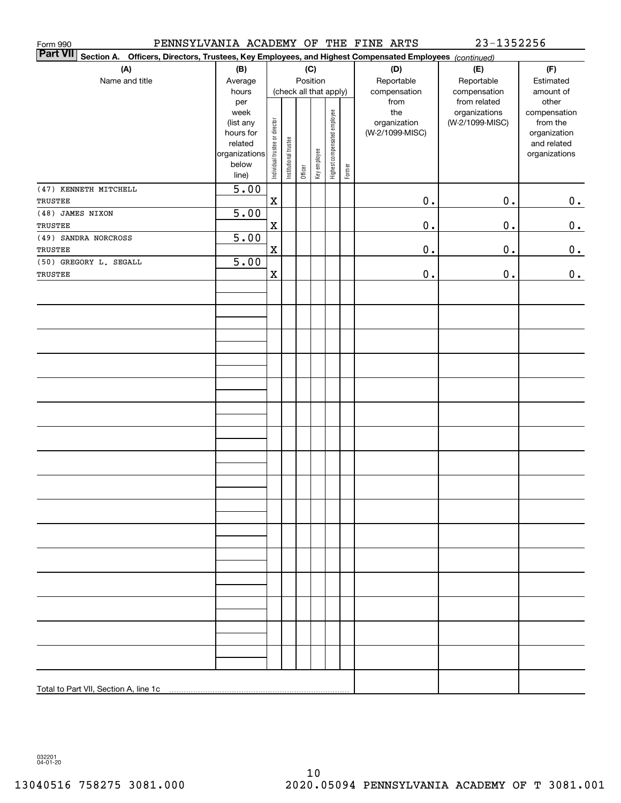| Form 990                                                                                                                            |                                                |                                |                       |         |              |                              |        | PENNSYLVANIA ACADEMY OF THE FINE ARTS                          | 23-1352256                                                       |                                                                |
|-------------------------------------------------------------------------------------------------------------------------------------|------------------------------------------------|--------------------------------|-----------------------|---------|--------------|------------------------------|--------|----------------------------------------------------------------|------------------------------------------------------------------|----------------------------------------------------------------|
| <b>Part VII</b><br>Officers, Directors, Trustees, Key Employees, and Highest Compensated Employees (continued)<br><b>Section A.</b> |                                                |                                |                       |         |              |                              |        |                                                                |                                                                  |                                                                |
| (A)                                                                                                                                 | (B)                                            |                                |                       |         | (C)          |                              |        | (D)                                                            | (E)                                                              | (F)                                                            |
| Name and title                                                                                                                      | Average                                        |                                |                       |         | Position     |                              |        | Reportable                                                     | Reportable                                                       | Estimated                                                      |
|                                                                                                                                     | hours<br>per<br>week<br>(list any<br>hours for |                                |                       |         |              | (check all that apply)       |        | compensation<br>from<br>the<br>organization<br>(W-2/1099-MISC) | compensation<br>from related<br>organizations<br>(W-2/1099-MISC) | amount of<br>other<br>compensation<br>from the<br>organization |
|                                                                                                                                     | related<br>organizations<br>below<br>line)     | Individual trustee or director | Institutional trustee | Officer | Key employee | Highest compensated employee | Former |                                                                |                                                                  | and related<br>organizations                                   |
| (47) KENNETH MITCHELL<br>TRUSTEE                                                                                                    | 5.00                                           | $\mathbf X$                    |                       |         |              |                              |        | $\mathbf 0$ .                                                  | $0$ .                                                            | 0.                                                             |
| (48) JAMES NIXON                                                                                                                    | 5.00                                           |                                |                       |         |              |                              |        |                                                                |                                                                  |                                                                |
| TRUSTEE                                                                                                                             |                                                | $\mathbf X$                    |                       |         |              |                              |        | $\mathbf 0$ .                                                  | $0$ .                                                            | 0.                                                             |
| (49) SANDRA NORCROSS                                                                                                                | 5.00                                           |                                |                       |         |              |                              |        |                                                                |                                                                  |                                                                |
| TRUSTEE                                                                                                                             |                                                | $\mathbf x$                    |                       |         |              |                              |        | $\mathbf 0$ .                                                  | $0$ .                                                            | 0.                                                             |
| (50) GREGORY L. SEGALL                                                                                                              | 5.00                                           |                                |                       |         |              |                              |        |                                                                |                                                                  |                                                                |
| TRUSTEE                                                                                                                             |                                                | $\mathbf X$                    |                       |         |              |                              |        | $\mathbf 0$ .                                                  | $0$ .                                                            | 0.                                                             |
|                                                                                                                                     |                                                |                                |                       |         |              |                              |        |                                                                |                                                                  |                                                                |
|                                                                                                                                     |                                                |                                |                       |         |              |                              |        |                                                                |                                                                  |                                                                |
|                                                                                                                                     |                                                |                                |                       |         |              |                              |        |                                                                |                                                                  |                                                                |
|                                                                                                                                     |                                                |                                |                       |         |              |                              |        |                                                                |                                                                  |                                                                |
|                                                                                                                                     |                                                |                                |                       |         |              |                              |        |                                                                |                                                                  |                                                                |
|                                                                                                                                     |                                                |                                |                       |         |              |                              |        |                                                                |                                                                  |                                                                |
|                                                                                                                                     |                                                |                                |                       |         |              |                              |        |                                                                |                                                                  |                                                                |
|                                                                                                                                     |                                                |                                |                       |         |              |                              |        |                                                                |                                                                  |                                                                |
|                                                                                                                                     |                                                |                                |                       |         |              |                              |        |                                                                |                                                                  |                                                                |
|                                                                                                                                     |                                                |                                |                       |         |              |                              |        |                                                                |                                                                  |                                                                |
|                                                                                                                                     |                                                |                                |                       |         |              |                              |        |                                                                |                                                                  |                                                                |
|                                                                                                                                     |                                                |                                |                       |         |              |                              |        |                                                                |                                                                  |                                                                |
|                                                                                                                                     |                                                |                                |                       |         |              |                              |        |                                                                |                                                                  |                                                                |
|                                                                                                                                     |                                                |                                |                       |         |              |                              |        |                                                                |                                                                  |                                                                |
|                                                                                                                                     |                                                |                                |                       |         |              |                              |        |                                                                |                                                                  |                                                                |
|                                                                                                                                     |                                                |                                |                       |         |              |                              |        |                                                                |                                                                  |                                                                |
|                                                                                                                                     |                                                |                                |                       |         |              |                              |        |                                                                |                                                                  |                                                                |
|                                                                                                                                     |                                                |                                |                       |         |              |                              |        |                                                                |                                                                  |                                                                |
|                                                                                                                                     |                                                |                                |                       |         |              |                              |        |                                                                |                                                                  |                                                                |
| Total to Part VII, Section A, line 1c                                                                                               |                                                |                                |                       |         |              |                              |        |                                                                |                                                                  |                                                                |

032201 04-01-20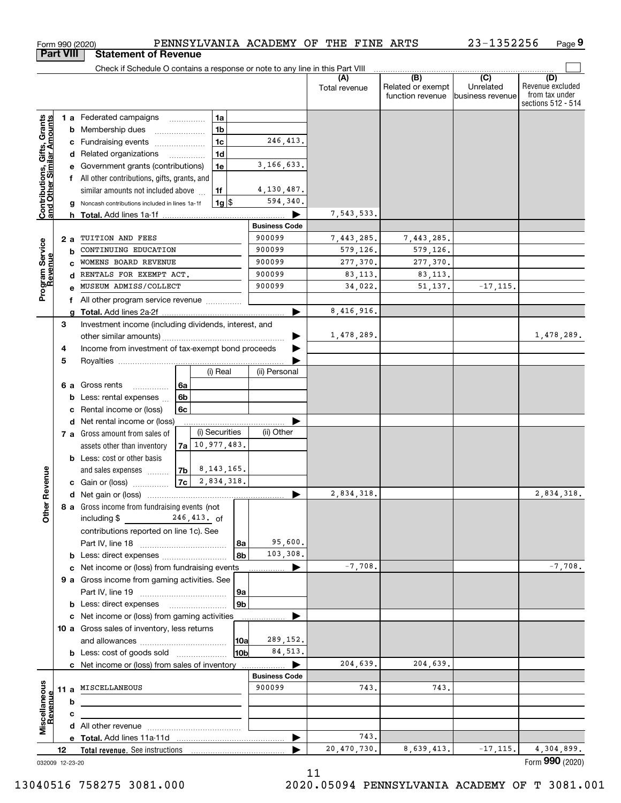|                                                                  |    | Form 990 (2020)                                                               |      |                |                                | PENNSYLVANIA ACADEMY OF THE FINE ARTS |                                          | 23-1352256                    | Page 9                                                          |
|------------------------------------------------------------------|----|-------------------------------------------------------------------------------|------|----------------|--------------------------------|---------------------------------------|------------------------------------------|-------------------------------|-----------------------------------------------------------------|
| <b>Part VIII</b>                                                 |    | <b>Statement of Revenue</b>                                                   |      |                |                                |                                       |                                          |                               |                                                                 |
|                                                                  |    | Check if Schedule O contains a response or note to any line in this Part VIII |      |                |                                |                                       | $\overline{(\mathsf{B})}$ $(\mathsf{C})$ |                               |                                                                 |
|                                                                  |    |                                                                               |      |                |                                | (A)<br>Total revenue                  | Related or exempt<br>function revenue    | Unrelated<br>business revenue | (D)<br>Revenue excluded<br>from tax under<br>sections 512 - 514 |
|                                                                  |    | 1 a Federated campaigns                                                       |      | 1a             |                                |                                       |                                          |                               |                                                                 |
| <b>Contributions, Gifts, Grants</b><br>and Other Similar Amounts |    | <b>b</b> Membership dues                                                      |      | 1 <sub>b</sub> |                                |                                       |                                          |                               |                                                                 |
|                                                                  |    | c Fundraising events                                                          |      | 1 <sub>c</sub> | 246, 413.                      |                                       |                                          |                               |                                                                 |
|                                                                  |    | d Related organizations                                                       |      | 1 <sub>d</sub> |                                |                                       |                                          |                               |                                                                 |
|                                                                  | е  | Government grants (contributions)                                             |      | 1e             | 3,166,633.                     |                                       |                                          |                               |                                                                 |
|                                                                  |    | f All other contributions, gifts, grants, and                                 |      |                |                                |                                       |                                          |                               |                                                                 |
|                                                                  |    | similar amounts not included above                                            |      | 1f             | 4,130,487.                     |                                       |                                          |                               |                                                                 |
|                                                                  | g  | Noncash contributions included in lines 1a-1f                                 |      | $1g$ \$        | 594,340.                       |                                       |                                          |                               |                                                                 |
|                                                                  |    |                                                                               |      |                |                                | 7,543,533.                            |                                          |                               |                                                                 |
|                                                                  |    |                                                                               |      |                | <b>Business Code</b>           |                                       |                                          |                               |                                                                 |
|                                                                  | 2a | TUITION AND FEES                                                              |      |                | 900099                         | 7,443,285.                            | 7,443,285.                               |                               |                                                                 |
|                                                                  | b  | CONTINUING EDUCATION                                                          |      |                | 900099                         | 579,126.                              | 579,126.                                 |                               |                                                                 |
|                                                                  | C  | WOMENS BOARD REVENUE                                                          |      |                | 900099                         | 277,370.                              | 277,370.                                 |                               |                                                                 |
| Program Service<br>Revenue                                       | d  | RENTALS FOR EXEMPT ACT.                                                       |      |                | 900099                         | 83, 113.                              | 83, 113.                                 |                               |                                                                 |
|                                                                  |    | MUSEUM ADMISS/COLLECT                                                         |      |                | 900099                         | 34,022.                               | 51, 137.                                 | $-17, 115.$                   |                                                                 |
|                                                                  |    | f All other program service revenue <i>mimimini</i>                           |      |                |                                |                                       |                                          |                               |                                                                 |
|                                                                  | g  |                                                                               |      |                |                                | 8,416,916.                            |                                          |                               |                                                                 |
|                                                                  | 3  | Investment income (including dividends, interest, and                         |      |                |                                |                                       |                                          |                               |                                                                 |
|                                                                  |    |                                                                               |      |                |                                | 1,478,289.                            |                                          |                               | 1,478,289.                                                      |
| 4                                                                |    | Income from investment of tax-exempt bond proceeds                            |      |                |                                |                                       |                                          |                               |                                                                 |
| 5                                                                |    |                                                                               |      |                |                                |                                       |                                          |                               |                                                                 |
|                                                                  |    |                                                                               |      | (i) Real       | (ii) Personal                  |                                       |                                          |                               |                                                                 |
|                                                                  |    | 6 a Gross rents<br>.                                                          | 6a   |                |                                |                                       |                                          |                               |                                                                 |
|                                                                  | b  | Less: rental expenses                                                         | 6b   |                |                                |                                       |                                          |                               |                                                                 |
|                                                                  | с  | Rental income or (loss)                                                       | 6с   |                |                                |                                       |                                          |                               |                                                                 |
|                                                                  |    | d Net rental income or (loss)                                                 |      |                |                                |                                       |                                          |                               |                                                                 |
|                                                                  |    | 7 a Gross amount from sales of                                                |      | (i) Securities | (ii) Other                     |                                       |                                          |                               |                                                                 |
|                                                                  |    | assets other than inventory                                                   | 7a l | 10,977,483.    |                                |                                       |                                          |                               |                                                                 |
|                                                                  |    | <b>b</b> Less: cost or other basis                                            |      |                |                                |                                       |                                          |                               |                                                                 |
|                                                                  |    | and sales expenses                                                            | 7b   | 8,143,165.     |                                |                                       |                                          |                               |                                                                 |
| evenue                                                           |    | c Gain or (loss)                                                              | 7c   | 2,834,318.     |                                |                                       |                                          |                               |                                                                 |
|                                                                  |    |                                                                               |      |                |                                | 2,834,318.                            |                                          |                               | 2,834,318.                                                      |
| Other <sub>R</sub>                                               |    | 8 a Gross income from fundraising events (not                                 |      |                |                                |                                       |                                          |                               |                                                                 |
|                                                                  |    | including \$ 246, 413. of                                                     |      |                |                                |                                       |                                          |                               |                                                                 |
|                                                                  |    | contributions reported on line 1c). See                                       |      |                |                                |                                       |                                          |                               |                                                                 |
|                                                                  |    |                                                                               |      | 8a             | 95,600.                        |                                       |                                          |                               |                                                                 |
|                                                                  |    |                                                                               |      | 8b             | 103,308.                       |                                       |                                          |                               |                                                                 |
|                                                                  |    | c Net income or (loss) from fundraising events                                |      |                |                                | $-7,708.$                             |                                          |                               | $-7,708.$                                                       |
|                                                                  |    | 9 a Gross income from gaming activities. See                                  |      |                |                                |                                       |                                          |                               |                                                                 |
|                                                                  |    |                                                                               |      | 9a             |                                |                                       |                                          |                               |                                                                 |
|                                                                  |    | <b>b</b> Less: direct expenses <b>manually</b>                                |      | 9b             |                                |                                       |                                          |                               |                                                                 |
|                                                                  |    | c Net income or (loss) from gaming activities                                 |      |                |                                |                                       |                                          |                               |                                                                 |
|                                                                  |    | 10 a Gross sales of inventory, less returns                                   |      |                |                                |                                       |                                          |                               |                                                                 |
|                                                                  |    |                                                                               |      | 10a            | 289,152.                       |                                       |                                          |                               |                                                                 |
|                                                                  |    | <b>b</b> Less: cost of goods sold                                             |      | 10b            | 84,513.                        |                                       |                                          |                               |                                                                 |
|                                                                  |    | c Net income or (loss) from sales of inventory                                |      |                |                                | 204,639.                              | 204,639.                                 |                               |                                                                 |
|                                                                  |    |                                                                               |      |                | <b>Business Code</b><br>900099 |                                       |                                          |                               |                                                                 |
|                                                                  |    | 11 a MISCELLANEOUS                                                            |      |                |                                | 743.                                  | 743.                                     |                               |                                                                 |
|                                                                  | b  |                                                                               |      |                |                                |                                       |                                          |                               |                                                                 |
| Miscellaneous<br>Revenue                                         | с  |                                                                               |      |                |                                |                                       |                                          |                               |                                                                 |
|                                                                  |    |                                                                               |      |                |                                | 743.                                  |                                          |                               |                                                                 |
|                                                                  |    |                                                                               |      |                |                                | 20,470,730.                           | 8,639,413.                               | $-17, 115.$                   | 4,304,899.                                                      |
| 12 <sup>2</sup>                                                  |    |                                                                               |      |                |                                |                                       |                                          |                               |                                                                 |

11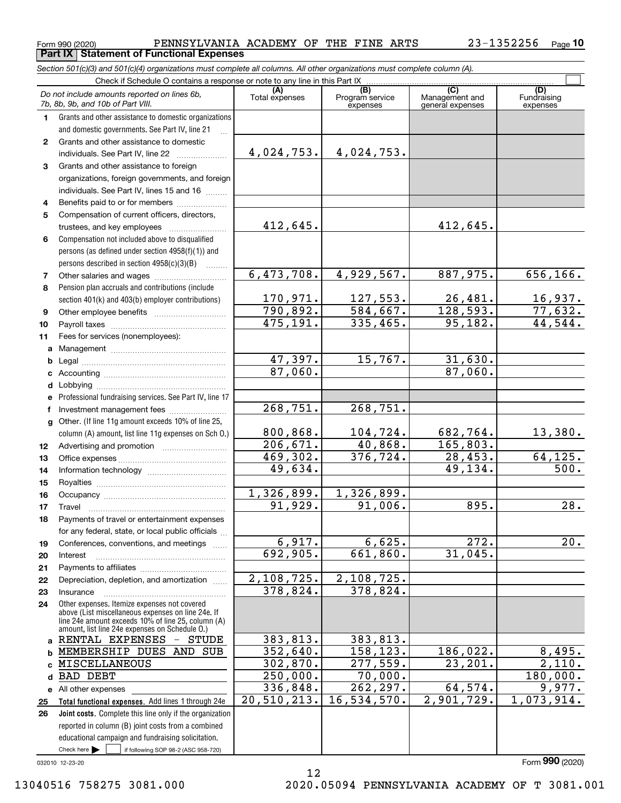|              | Form 990 (2020)                                                                                                            |                             | PENNSYLVANIA ACADEMY OF THE FINE ARTS |                                           | 23-1352256<br>$Page$ 10        |
|--------------|----------------------------------------------------------------------------------------------------------------------------|-----------------------------|---------------------------------------|-------------------------------------------|--------------------------------|
|              | <b>Part IX   Statement of Functional Expenses</b>                                                                          |                             |                                       |                                           |                                |
|              | Section 501(c)(3) and 501(c)(4) organizations must complete all columns. All other organizations must complete column (A). |                             |                                       |                                           |                                |
|              | Check if Schedule O contains a response or note to any line in this Part IX                                                |                             |                                       |                                           |                                |
|              | Do not include amounts reported on lines 6b,<br>7b, 8b, 9b, and 10b of Part VIII.                                          | Total expenses              | (B)<br>Program service<br>expenses    | (C)<br>Management and<br>general expenses | (D)<br>Fundraising<br>expenses |
| 1            | Grants and other assistance to domestic organizations                                                                      |                             |                                       |                                           |                                |
|              | and domestic governments. See Part IV, line 21                                                                             |                             |                                       |                                           |                                |
| $\mathbf{2}$ | Grants and other assistance to domestic                                                                                    |                             |                                       |                                           |                                |
|              | individuals. See Part IV, line 22                                                                                          | 4,024,753.                  | 4,024,753.                            |                                           |                                |
| 3            | Grants and other assistance to foreign                                                                                     |                             |                                       |                                           |                                |
|              | organizations, foreign governments, and foreign                                                                            |                             |                                       |                                           |                                |
|              | individuals. See Part IV, lines 15 and 16                                                                                  |                             |                                       |                                           |                                |
| 4            | Benefits paid to or for members                                                                                            |                             |                                       |                                           |                                |
| 5            | Compensation of current officers, directors,                                                                               |                             |                                       |                                           |                                |
|              |                                                                                                                            | 412,645.                    |                                       | 412,645.                                  |                                |
| 6            | Compensation not included above to disqualified                                                                            |                             |                                       |                                           |                                |
|              | persons (as defined under section 4958(f)(1)) and                                                                          |                             |                                       |                                           |                                |
|              | persons described in section 4958(c)(3)(B)                                                                                 |                             |                                       |                                           |                                |
| 7            |                                                                                                                            | 6,473,708.                  | 4,929,567.                            | 887,975.                                  | 656, 166.                      |
| 8            | Pension plan accruals and contributions (include                                                                           |                             |                                       |                                           |                                |
|              | section 401(k) and 403(b) employer contributions)                                                                          | <u>170,971.</u><br>790,892. | 127,553.                              | 26,481.<br>128,593.                       | <u>16,937.</u><br>77,632.      |
| 9            |                                                                                                                            |                             | 584,667.                              |                                           |                                |
| 10           |                                                                                                                            | 475,191.                    | 335,465.                              | 95, 182.                                  | 44,544.                        |
| 11           | Fees for services (nonemployees):                                                                                          |                             |                                       |                                           |                                |
| a            |                                                                                                                            |                             |                                       |                                           |                                |
| b            |                                                                                                                            | 47,397.                     | 15,767.                               | 31,630.                                   |                                |
| c            |                                                                                                                            | 87,060.                     |                                       | 87,060.                                   |                                |
| d            |                                                                                                                            |                             |                                       |                                           |                                |
| е            | Professional fundraising services. See Part IV, line 17                                                                    |                             |                                       |                                           |                                |
| f            | Investment management fees                                                                                                 | 268,751.                    | 268,751.                              |                                           |                                |
| g            | Other. (If line 11g amount exceeds 10% of line 25,                                                                         | 800,868.                    |                                       |                                           |                                |
|              | column (A) amount, list line 11g expenses on Sch O.)                                                                       | 206,671.                    | 104,724.<br>40,868.                   | 682,764.<br>165,803.                      | 13,380.                        |
| 12           |                                                                                                                            | 469,302.                    | 376,724.                              | 28,453.                                   | 64, 125.                       |
| 13<br>14     |                                                                                                                            | 49,634.                     |                                       | 49,134.                                   | 500.                           |
| 15           |                                                                                                                            |                             |                                       |                                           |                                |
| 16           |                                                                                                                            | 1,326,899.                  | 1,326,899.                            |                                           |                                |
| 17           | Travel                                                                                                                     | 91,929.                     | 91,006.                               | 895.                                      | $\overline{28}$ .              |
| 18           | Payments of travel or entertainment expenses                                                                               |                             |                                       |                                           |                                |
|              | for any federal, state, or local public officials                                                                          |                             |                                       |                                           |                                |
| 19           | Conferences, conventions, and meetings                                                                                     | 6,917.                      | 6,625.                                | 272.                                      | 20.                            |
| 20           | Interest                                                                                                                   | 692,905.                    | 661,860.                              | 31,045.                                   |                                |
| 21           |                                                                                                                            |                             |                                       |                                           |                                |
| 22           | Depreciation, depletion, and amortization                                                                                  | 2,108,725.                  | 2,108,725.                            |                                           |                                |
| 23           | Insurance                                                                                                                  | 378,824.                    | 378,824.                              |                                           |                                |
| 24           | Other expenses. Itemize expenses not covered                                                                               |                             |                                       |                                           |                                |
|              | above (List miscellaneous expenses on line 24e. If<br>line 24e amount exceeds 10% of line 25, column (A)                   |                             |                                       |                                           |                                |
|              | amount, list line 24e expenses on Schedule O.)                                                                             |                             |                                       |                                           |                                |
| a            | RENTAL EXPENSES - STUDE                                                                                                    | 383,813.                    | 383,813.                              |                                           |                                |
| b            | MEMBERSHIP DUES AND SUB                                                                                                    | 352,640.                    | 158,123.                              | 186,022.                                  | 8,495.                         |
| C            | MISCELLANEOUS                                                                                                              | 302,870.                    | $\overline{277}$ , 559.               | 23, 201.                                  | 2,110.                         |
| d            | <b>BAD DEBT</b>                                                                                                            | 250,000.                    | 70,000.                               |                                           | 180,000.                       |
|              | e All other expenses                                                                                                       | 336,848.                    | 262, 297.                             | 64,574.                                   | 9,977.                         |
| 25           | Total functional expenses. Add lines 1 through 24e                                                                         | 20,510,213.                 | 16,534,570.                           | 2,901,729.                                | 1,073,914.                     |

Check here  $\bullet$  if following SOP 98-2 (ASC 958-720) **Joint costs.** Complete this line only if the organization reported in column (B) joint costs from a combined educational campaign and fundraising solicitation. Check here  $\blacktriangleright$ 

032010 12-23-20

**26**

13040516 758275 3081.000 2020.05094 PENNSYLVANIA ACADEMY OF T 3081.001

Form (2020) **990**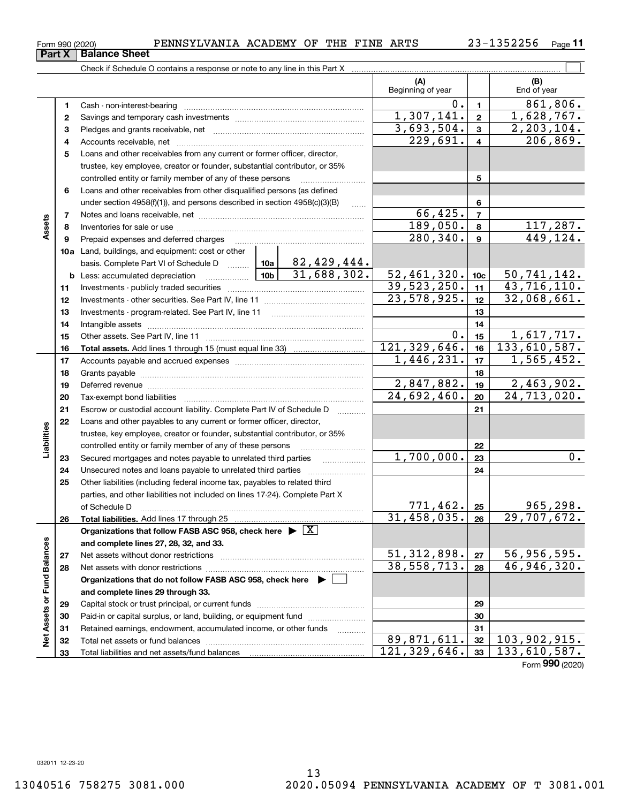<code>Form</code> 990 (2020) PENNSYLVANIA ACADEMY OF THE FINE ARTS 23-1352256  $\,$  Page **Part X** | Balance Sheet

**1**Cash - non-interest-bearing ~~~~~~~~~~~~~~~~~~~~~~~~~

Accounts receivable, net ~~~~~~~~~~~~~~~~~~~~~~~~~~

Savings and temporary cash investments ~~~~~~~~~~~~~~~~~~ Pledges and grants receivable, net ~~~~~~~~~~~~~~~~~~~~~

Check if Schedule O contains a response or note to any line in this Part X

**11**

 $0.11$  861,806.

1,307,141. 1,628,767.

 $229,691. | 4 | 206,869.$ 3,693,504. 2,203,104.

**(B)**

 $\mathcal{L}^{\text{max}}$ 

**(A)**

Beginning of year

| 5  | Loans and other receivables from any current or former officer, director,                                                                                                                                                      |                |                 |                  |
|----|--------------------------------------------------------------------------------------------------------------------------------------------------------------------------------------------------------------------------------|----------------|-----------------|------------------|
|    | trustee, key employee, creator or founder, substantial contributor, or 35%                                                                                                                                                     |                |                 |                  |
|    | controlled entity or family member of any of these persons                                                                                                                                                                     |                | 5               |                  |
| 6  | Loans and other receivables from other disqualified persons (as defined                                                                                                                                                        |                |                 |                  |
|    | under section $4958(f)(1)$ , and persons described in section $4958(c)(3)(B)$<br>.                                                                                                                                             |                | 6               |                  |
| 7  |                                                                                                                                                                                                                                | 66,425.        | $\overline{7}$  |                  |
| 8  |                                                                                                                                                                                                                                | 189,050.       | 8               | 117,287.         |
| 9  | Prepaid expenses and deferred charges                                                                                                                                                                                          | 280, 340.      | 9               | 449, 124.        |
|    | <b>10a</b> Land, buildings, and equipment: cost or other                                                                                                                                                                       |                |                 |                  |
|    | 82,429,444.<br>basis. Complete Part VI of Schedule D  10a                                                                                                                                                                      |                |                 |                  |
|    | 31,688,302.                                                                                                                                                                                                                    | 52,461,320.    | 10 <sub>c</sub> | 50, 741, 142.    |
| 11 |                                                                                                                                                                                                                                | 39,523,250.    | 11              | 43,716,110.      |
| 12 |                                                                                                                                                                                                                                | 23,578,925.    | 12              | 32,068,661.      |
| 13 |                                                                                                                                                                                                                                |                | 13              |                  |
| 14 |                                                                                                                                                                                                                                |                | 14              |                  |
| 15 |                                                                                                                                                                                                                                | Ο.             | 15              | 1,617,717.       |
| 16 |                                                                                                                                                                                                                                | 121, 329, 646. | 16              | 133,610,587.     |
| 17 |                                                                                                                                                                                                                                | 1,446,231.     | 17              | 1,565,452.       |
| 18 |                                                                                                                                                                                                                                |                | 18              |                  |
| 19 |                                                                                                                                                                                                                                | 2,847,882.     | 19              | 2,463,902.       |
| 20 |                                                                                                                                                                                                                                | 24,692,460.    | 20              | 24,713,020.      |
| 21 | Escrow or custodial account liability. Complete Part IV of Schedule D                                                                                                                                                          |                | 21              |                  |
| 22 | Loans and other payables to any current or former officer, director,                                                                                                                                                           |                |                 |                  |
|    | trustee, key employee, creator or founder, substantial contributor, or 35%                                                                                                                                                     |                |                 |                  |
|    | controlled entity or family member of any of these persons                                                                                                                                                                     |                | 22              |                  |
| 23 | Secured mortgages and notes payable to unrelated third parties                                                                                                                                                                 | 1,700,000.     | 23              | $\overline{0}$ . |
| 24 |                                                                                                                                                                                                                                |                | 24              |                  |
| 25 | Other liabilities (including federal income tax, payables to related third                                                                                                                                                     |                |                 |                  |
|    | parties, and other liabilities not included on lines 17-24). Complete Part X                                                                                                                                                   |                |                 |                  |
|    | of Schedule D                                                                                                                                                                                                                  | 771,462.       | 25              | 965, 298.        |
| 26 | <b>Total liabilities.</b> Add lines 17 through 25                                                                                                                                                                              | 31, 458, 035.  | 26              | 29,707,672.      |
|    | Organizations that follow FASB ASC 958, check here $\blacktriangleright \boxed{X}$                                                                                                                                             |                |                 |                  |
|    | and complete lines 27, 28, 32, and 33.                                                                                                                                                                                         |                |                 |                  |
| 27 | Net assets without donor restrictions [11] with an intervention and assets without donor restrictions [11] with an intervention and assets without donor restrictions [11] with an intervention and assets with an interventio | 51, 312, 898.  | 27              | 56,956,595.      |
| 28 |                                                                                                                                                                                                                                | 38, 558, 713.  | 28              | 46,946,320.      |
|    | Organizations that do not follow FASB ASC 958, check here ▶ □                                                                                                                                                                  |                |                 |                  |
|    | and complete lines 29 through 33.                                                                                                                                                                                              |                |                 |                  |
| 29 |                                                                                                                                                                                                                                |                | 29              |                  |
| 30 | Paid-in or capital surplus, or land, building, or equipment fund <i></i>                                                                                                                                                       |                | 30              |                  |
| 31 | Retained earnings, endowment, accumulated income, or other funds                                                                                                                                                               |                | 31              |                  |
| 32 |                                                                                                                                                                                                                                | 89,871,611.    | 32              | 103,902,915.     |
| 33 |                                                                                                                                                                                                                                | 121, 329, 646. | 33              | 133,610,587.     |
|    |                                                                                                                                                                                                                                |                |                 | Form 990 (2020)  |

**234**

**Assets**

**Liabilities**

Liabilities

**Net Assets or Fund Balances**

Net Assets or Fund Balances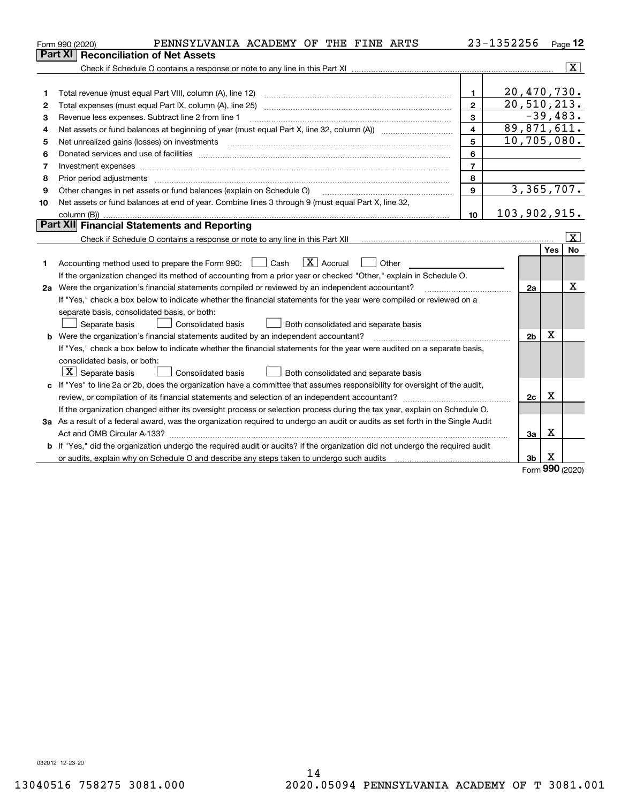|    | PENNSYLVANIA ACADEMY OF THE FINE ARTS<br>Form 990 (2020)                                                                                                                                                                       |                | 23-1352256     |             | Page 12                 |  |  |  |
|----|--------------------------------------------------------------------------------------------------------------------------------------------------------------------------------------------------------------------------------|----------------|----------------|-------------|-------------------------|--|--|--|
|    | <b>Reconciliation of Net Assets</b><br>Part XI                                                                                                                                                                                 |                |                |             |                         |  |  |  |
|    |                                                                                                                                                                                                                                |                |                |             | $ \mathbf{X} $          |  |  |  |
|    |                                                                                                                                                                                                                                |                |                |             |                         |  |  |  |
| 1  |                                                                                                                                                                                                                                | $\blacksquare$ | 20,470,730.    |             |                         |  |  |  |
| 2  |                                                                                                                                                                                                                                | $\overline{2}$ | 20, 510, 213.  |             |                         |  |  |  |
| З  | Revenue less expenses. Subtract line 2 from line 1                                                                                                                                                                             | 3              |                | $-39,483.$  |                         |  |  |  |
| 4  | 89,871,611.<br>4                                                                                                                                                                                                               |                |                |             |                         |  |  |  |
| 5  | 10,705,080.<br>5                                                                                                                                                                                                               |                |                |             |                         |  |  |  |
| 6  | Donated services and use of facilities [111] matter contracts and the service of facilities [11] matter contracts and use of facilities [11] matter contracts and the service of facilities [11] matter contracts and the serv | 6              |                |             |                         |  |  |  |
| 7  |                                                                                                                                                                                                                                | $\overline{7}$ |                |             |                         |  |  |  |
| 8  | Prior period adjustments                                                                                                                                                                                                       | 8              |                |             |                         |  |  |  |
| 9  | Other changes in net assets or fund balances (explain on Schedule O)                                                                                                                                                           | 9              | 3,365,707.     |             |                         |  |  |  |
| 10 | Net assets or fund balances at end of year. Combine lines 3 through 9 (must equal Part X, line 32,                                                                                                                             |                |                |             |                         |  |  |  |
|    |                                                                                                                                                                                                                                | 10             | 103,902,915.   |             |                         |  |  |  |
|    | Part XII Financial Statements and Reporting                                                                                                                                                                                    |                |                |             |                         |  |  |  |
|    |                                                                                                                                                                                                                                |                |                |             | $\overline{\mathbf{x}}$ |  |  |  |
|    |                                                                                                                                                                                                                                |                |                | Yes         | No                      |  |  |  |
| 1  | $\boxed{\mathbf{X}}$ Accrual<br>Accounting method used to prepare the Form 990: <u>June</u> Cash<br>Other                                                                                                                      |                |                |             |                         |  |  |  |
|    | If the organization changed its method of accounting from a prior year or checked "Other," explain in Schedule O.                                                                                                              |                |                |             |                         |  |  |  |
|    | 2a Were the organization's financial statements compiled or reviewed by an independent accountant?                                                                                                                             |                | 2a             |             | х                       |  |  |  |
|    | If "Yes," check a box below to indicate whether the financial statements for the year were compiled or reviewed on a                                                                                                           |                |                |             |                         |  |  |  |
|    | separate basis, consolidated basis, or both:                                                                                                                                                                                   |                |                |             |                         |  |  |  |
|    | Both consolidated and separate basis<br>Separate basis<br><b>Consolidated basis</b>                                                                                                                                            |                |                |             |                         |  |  |  |
|    | b Were the organization's financial statements audited by an independent accountant?                                                                                                                                           |                | 2 <sub>b</sub> | Χ           |                         |  |  |  |
|    | If "Yes," check a box below to indicate whether the financial statements for the year were audited on a separate basis,                                                                                                        |                |                |             |                         |  |  |  |
|    | consolidated basis, or both:                                                                                                                                                                                                   |                |                |             |                         |  |  |  |
|    | $\vert$ X $\vert$ Separate basis<br>Consolidated basis<br>Both consolidated and separate basis                                                                                                                                 |                |                |             |                         |  |  |  |
|    | c If "Yes" to line 2a or 2b, does the organization have a committee that assumes responsibility for oversight of the audit,                                                                                                    |                |                |             |                         |  |  |  |
|    |                                                                                                                                                                                                                                |                | 2c             | х           |                         |  |  |  |
|    | If the organization changed either its oversight process or selection process during the tax year, explain on Schedule O.                                                                                                      |                |                |             |                         |  |  |  |
|    | 3a As a result of a federal award, was the organization required to undergo an audit or audits as set forth in the Single Audit                                                                                                |                |                |             |                         |  |  |  |
|    |                                                                                                                                                                                                                                |                | 3a             | X           |                         |  |  |  |
|    | b If "Yes," did the organization undergo the required audit or audits? If the organization did not undergo the required audit                                                                                                  |                |                |             |                         |  |  |  |
|    |                                                                                                                                                                                                                                |                | 3 <sub>b</sub> | х<br>$\sim$ |                         |  |  |  |

Form (2020) **990**

032012 12-23-20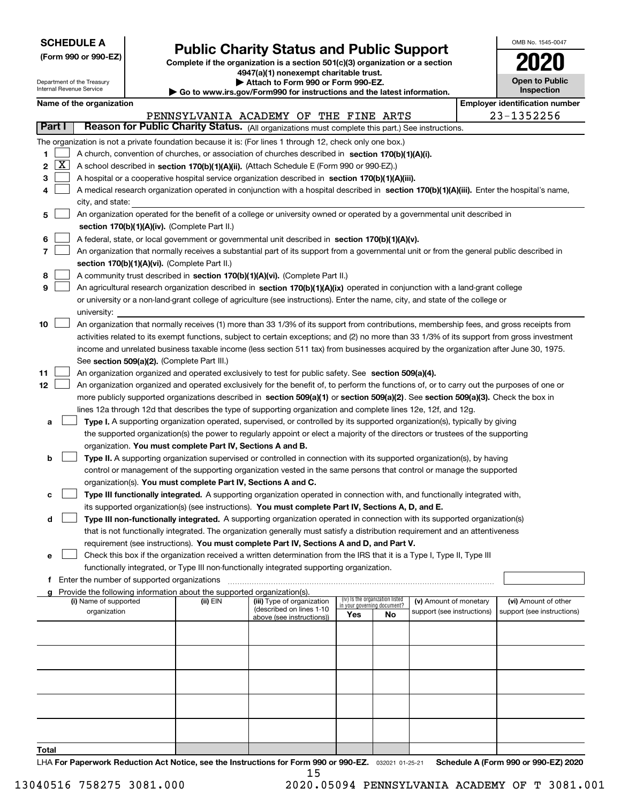| <b>SCHEDULE A</b> |
|-------------------|
|-------------------|

Department of the Treasury Internal Revenue Service

**Total**

**(Form 990 or 990-EZ)**

## **Public Charity Status and Public Support**

**Complete if the organization is a section 501(c)(3) organization or a section 4947(a)(1) nonexempt charitable trust. | Attach to Form 990 or Form 990-EZ.**   $\blacktriangleright$  Go to

| OMB No. 1545-0047                     |
|---------------------------------------|
| 2020                                  |
| <b>Open to Public</b><br>Inspection   |
| <b>Employer identification number</b> |

|  | Name of the organization |
|--|--------------------------|
|--|--------------------------|

|    |        |                                                                                                                                              |          | PENNSYLVANIA ACADEMY OF THE FINE ARTS |                                    |    |                            | 23-1352256                 |
|----|--------|----------------------------------------------------------------------------------------------------------------------------------------------|----------|---------------------------------------|------------------------------------|----|----------------------------|----------------------------|
|    | Part I | Reason for Public Charity Status. (All organizations must complete this part.) See instructions.                                             |          |                                       |                                    |    |                            |                            |
|    |        | The organization is not a private foundation because it is: (For lines 1 through 12, check only one box.)                                    |          |                                       |                                    |    |                            |                            |
| 1. |        | A church, convention of churches, or association of churches described in section 170(b)(1)(A)(i).                                           |          |                                       |                                    |    |                            |                            |
| 2  | x      | A school described in section 170(b)(1)(A)(ii). (Attach Schedule E (Form 990 or 990-EZ).)                                                    |          |                                       |                                    |    |                            |                            |
| з  |        | A hospital or a cooperative hospital service organization described in section 170(b)(1)(A)(iii).                                            |          |                                       |                                    |    |                            |                            |
| 4  |        | A medical research organization operated in conjunction with a hospital described in section 170(b)(1)(A)(iii). Enter the hospital's name,   |          |                                       |                                    |    |                            |                            |
|    |        | city, and state:                                                                                                                             |          |                                       |                                    |    |                            |                            |
| 5  |        | An organization operated for the benefit of a college or university owned or operated by a governmental unit described in                    |          |                                       |                                    |    |                            |                            |
|    |        | section 170(b)(1)(A)(iv). (Complete Part II.)                                                                                                |          |                                       |                                    |    |                            |                            |
| 6  |        | A federal, state, or local government or governmental unit described in section 170(b)(1)(A)(v).                                             |          |                                       |                                    |    |                            |                            |
| 7  |        | An organization that normally receives a substantial part of its support from a governmental unit or from the general public described in    |          |                                       |                                    |    |                            |                            |
|    |        | section 170(b)(1)(A)(vi). (Complete Part II.)                                                                                                |          |                                       |                                    |    |                            |                            |
| 8  |        | A community trust described in section 170(b)(1)(A)(vi). (Complete Part II.)                                                                 |          |                                       |                                    |    |                            |                            |
| 9  |        | An agricultural research organization described in section 170(b)(1)(A)(ix) operated in conjunction with a land-grant college                |          |                                       |                                    |    |                            |                            |
|    |        | or university or a non-land-grant college of agriculture (see instructions). Enter the name, city, and state of the college or               |          |                                       |                                    |    |                            |                            |
|    |        | university:                                                                                                                                  |          |                                       |                                    |    |                            |                            |
| 10 |        | An organization that normally receives (1) more than 33 1/3% of its support from contributions, membership fees, and gross receipts from     |          |                                       |                                    |    |                            |                            |
|    |        | activities related to its exempt functions, subject to certain exceptions; and (2) no more than 33 1/3% of its support from gross investment |          |                                       |                                    |    |                            |                            |
|    |        | income and unrelated business taxable income (less section 511 tax) from businesses acquired by the organization after June 30, 1975.        |          |                                       |                                    |    |                            |                            |
|    |        | See section 509(a)(2). (Complete Part III.)                                                                                                  |          |                                       |                                    |    |                            |                            |
| 11 |        | An organization organized and operated exclusively to test for public safety. See section 509(a)(4).                                         |          |                                       |                                    |    |                            |                            |
| 12 |        | An organization organized and operated exclusively for the benefit of, to perform the functions of, or to carry out the purposes of one or   |          |                                       |                                    |    |                            |                            |
|    |        | more publicly supported organizations described in section 509(a)(1) or section 509(a)(2). See section 509(a)(3). Check the box in           |          |                                       |                                    |    |                            |                            |
|    |        | lines 12a through 12d that describes the type of supporting organization and complete lines 12e, 12f, and 12g.                               |          |                                       |                                    |    |                            |                            |
| а  |        | Type I. A supporting organization operated, supervised, or controlled by its supported organization(s), typically by giving                  |          |                                       |                                    |    |                            |                            |
|    |        | the supported organization(s) the power to regularly appoint or elect a majority of the directors or trustees of the supporting              |          |                                       |                                    |    |                            |                            |
|    |        | organization. You must complete Part IV, Sections A and B.                                                                                   |          |                                       |                                    |    |                            |                            |
| b  |        | Type II. A supporting organization supervised or controlled in connection with its supported organization(s), by having                      |          |                                       |                                    |    |                            |                            |
|    |        | control or management of the supporting organization vested in the same persons that control or manage the supported                         |          |                                       |                                    |    |                            |                            |
|    |        | organization(s). You must complete Part IV, Sections A and C.                                                                                |          |                                       |                                    |    |                            |                            |
| c  |        | Type III functionally integrated. A supporting organization operated in connection with, and functionally integrated with,                   |          |                                       |                                    |    |                            |                            |
|    |        | its supported organization(s) (see instructions). You must complete Part IV, Sections A, D, and E.                                           |          |                                       |                                    |    |                            |                            |
| d  |        | Type III non-functionally integrated. A supporting organization operated in connection with its supported organization(s)                    |          |                                       |                                    |    |                            |                            |
|    |        | that is not functionally integrated. The organization generally must satisfy a distribution requirement and an attentiveness                 |          |                                       |                                    |    |                            |                            |
|    |        | requirement (see instructions). You must complete Part IV, Sections A and D, and Part V.                                                     |          |                                       |                                    |    |                            |                            |
| е  |        | Check this box if the organization received a written determination from the IRS that it is a Type I, Type II, Type III                      |          |                                       |                                    |    |                            |                            |
|    |        | functionally integrated, or Type III non-functionally integrated supporting organization.                                                    |          |                                       |                                    |    |                            |                            |
| f. |        | Enter the number of supported organizations                                                                                                  |          |                                       |                                    |    |                            |                            |
| a  |        | Provide the following information about the supported organization(s).<br>(i) Name of supported                                              | (ii) EIN | (iii) Type of organization            | (iv) Is the organization listed    |    | (v) Amount of monetary     | (vi) Amount of other       |
|    |        | organization                                                                                                                                 |          | (described on lines 1-10              | in your governing document?<br>Yes | No | support (see instructions) | support (see instructions) |
|    |        |                                                                                                                                              |          | above (see instructions))             |                                    |    |                            |                            |
|    |        |                                                                                                                                              |          |                                       |                                    |    |                            |                            |
|    |        |                                                                                                                                              |          |                                       |                                    |    |                            |                            |
|    |        |                                                                                                                                              |          |                                       |                                    |    |                            |                            |
|    |        |                                                                                                                                              |          |                                       |                                    |    |                            |                            |
|    |        |                                                                                                                                              |          |                                       |                                    |    |                            |                            |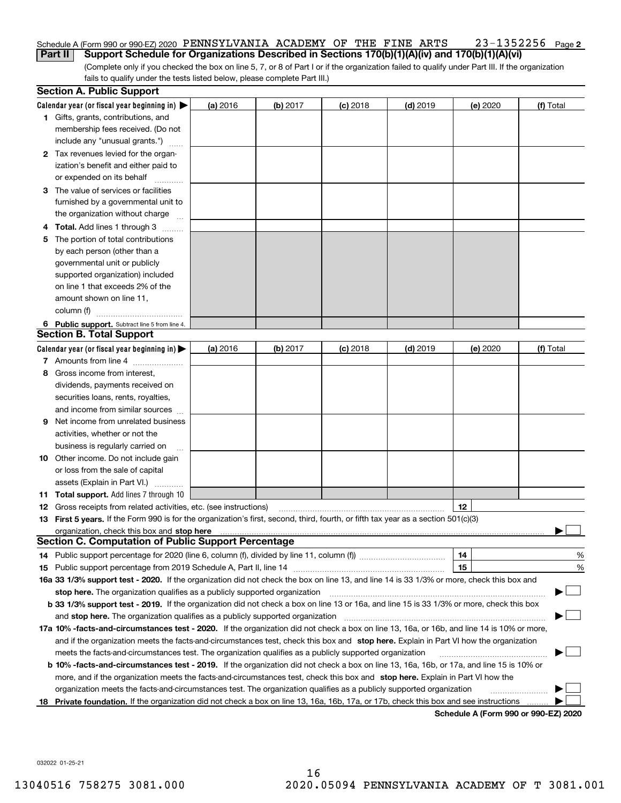### 23-1352256 Page 2 Schedule A (Form 990 or 990-EZ) 2020 PENNSYLVANIA ACADEMY OF THE FINE ARTS  $\qquad \ \ \, 23-1352256$  Page **Part II Support Schedule for Organizations Described in Sections 170(b)(1)(A)(iv) and 170(b)(1)(A)(vi)**

(Complete only if you checked the box on line 5, 7, or 8 of Part I or if the organization failed to qualify under Part III. If the organization fails to qualify under the tests listed below, please complete Part III.)

|    | <b>Section A. Public Support</b>                                                                                                               |          |                 |            |            |                                      |           |
|----|------------------------------------------------------------------------------------------------------------------------------------------------|----------|-----------------|------------|------------|--------------------------------------|-----------|
|    | Calendar year (or fiscal year beginning in) $\blacktriangleright$                                                                              | (a) 2016 | <b>(b)</b> 2017 | $(c)$ 2018 | $(d)$ 2019 | (e) 2020                             | (f) Total |
|    | <b>1</b> Gifts, grants, contributions, and                                                                                                     |          |                 |            |            |                                      |           |
|    | membership fees received. (Do not                                                                                                              |          |                 |            |            |                                      |           |
|    | include any "unusual grants.")                                                                                                                 |          |                 |            |            |                                      |           |
|    | 2 Tax revenues levied for the organ-                                                                                                           |          |                 |            |            |                                      |           |
|    | ization's benefit and either paid to                                                                                                           |          |                 |            |            |                                      |           |
|    | or expended on its behalf                                                                                                                      |          |                 |            |            |                                      |           |
|    | 3 The value of services or facilities                                                                                                          |          |                 |            |            |                                      |           |
|    | furnished by a governmental unit to                                                                                                            |          |                 |            |            |                                      |           |
|    | the organization without charge                                                                                                                |          |                 |            |            |                                      |           |
|    | 4 Total. Add lines 1 through 3                                                                                                                 |          |                 |            |            |                                      |           |
| 5  | The portion of total contributions                                                                                                             |          |                 |            |            |                                      |           |
|    | by each person (other than a                                                                                                                   |          |                 |            |            |                                      |           |
|    | governmental unit or publicly                                                                                                                  |          |                 |            |            |                                      |           |
|    | supported organization) included                                                                                                               |          |                 |            |            |                                      |           |
|    | on line 1 that exceeds 2% of the                                                                                                               |          |                 |            |            |                                      |           |
|    | amount shown on line 11,                                                                                                                       |          |                 |            |            |                                      |           |
|    | column (f)                                                                                                                                     |          |                 |            |            |                                      |           |
|    | 6 Public support. Subtract line 5 from line 4.                                                                                                 |          |                 |            |            |                                      |           |
|    | <b>Section B. Total Support</b>                                                                                                                |          |                 |            |            |                                      |           |
|    | Calendar year (or fiscal year beginning in) $\blacktriangleright$                                                                              | (a) 2016 | (b) 2017        | $(c)$ 2018 | $(d)$ 2019 | (e) 2020                             | (f) Total |
|    | 7 Amounts from line 4                                                                                                                          |          |                 |            |            |                                      |           |
|    | 8 Gross income from interest,                                                                                                                  |          |                 |            |            |                                      |           |
|    | dividends, payments received on                                                                                                                |          |                 |            |            |                                      |           |
|    | securities loans, rents, royalties,                                                                                                            |          |                 |            |            |                                      |           |
|    | and income from similar sources                                                                                                                |          |                 |            |            |                                      |           |
| 9. | Net income from unrelated business                                                                                                             |          |                 |            |            |                                      |           |
|    | activities, whether or not the                                                                                                                 |          |                 |            |            |                                      |           |
|    | business is regularly carried on                                                                                                               |          |                 |            |            |                                      |           |
|    | <b>10</b> Other income. Do not include gain                                                                                                    |          |                 |            |            |                                      |           |
|    | or loss from the sale of capital                                                                                                               |          |                 |            |            |                                      |           |
|    | assets (Explain in Part VI.)                                                                                                                   |          |                 |            |            |                                      |           |
|    | <b>11 Total support.</b> Add lines 7 through 10                                                                                                |          |                 |            |            |                                      |           |
|    | <b>12</b> Gross receipts from related activities, etc. (see instructions)                                                                      |          |                 |            |            | 12                                   |           |
|    | 13 First 5 years. If the Form 990 is for the organization's first, second, third, fourth, or fifth tax year as a section 501(c)(3)             |          |                 |            |            |                                      |           |
|    |                                                                                                                                                |          |                 |            |            |                                      |           |
|    | <b>Section C. Computation of Public Support Percentage</b>                                                                                     |          |                 |            |            |                                      |           |
|    | 14 Public support percentage for 2020 (line 6, column (f), divided by line 11, column (f) <i>mummumumum</i>                                    |          |                 |            |            | 14                                   | %         |
|    |                                                                                                                                                |          |                 |            |            | 15                                   | %         |
|    | 16a 33 1/3% support test - 2020. If the organization did not check the box on line 13, and line 14 is 33 1/3% or more, check this box and      |          |                 |            |            |                                      |           |
|    | stop here. The organization qualifies as a publicly supported organization                                                                     |          |                 |            |            |                                      |           |
|    | b 33 1/3% support test - 2019. If the organization did not check a box on line 13 or 16a, and line 15 is 33 1/3% or more, check this box       |          |                 |            |            |                                      |           |
|    | and stop here. The organization qualifies as a publicly supported organization                                                                 |          |                 |            |            |                                      |           |
|    | 17a 10% -facts-and-circumstances test - 2020. If the organization did not check a box on line 13, 16a, or 16b, and line 14 is 10% or more,     |          |                 |            |            |                                      |           |
|    | and if the organization meets the facts-and-circumstances test, check this box and stop here. Explain in Part VI how the organization          |          |                 |            |            |                                      |           |
|    | meets the facts-and-circumstances test. The organization qualifies as a publicly supported organization                                        |          |                 |            |            |                                      |           |
|    | <b>b 10% -facts-and-circumstances test - 2019.</b> If the organization did not check a box on line 13, 16a, 16b, or 17a, and line 15 is 10% or |          |                 |            |            |                                      |           |
|    | more, and if the organization meets the facts-and-circumstances test, check this box and stop here. Explain in Part VI how the                 |          |                 |            |            |                                      |           |
|    | organization meets the facts-and-circumstances test. The organization qualifies as a publicly supported organization                           |          |                 |            |            |                                      |           |
| 18 | Private foundation. If the organization did not check a box on line 13, 16a, 16b, 17a, or 17b, check this box and see instructions             |          |                 |            |            |                                      |           |
|    |                                                                                                                                                |          |                 |            |            | Schedule A (Form 990 or 990-F7) 2020 |           |

**Schedule A (Form 990 or 990-EZ) 2020**

032022 01-25-21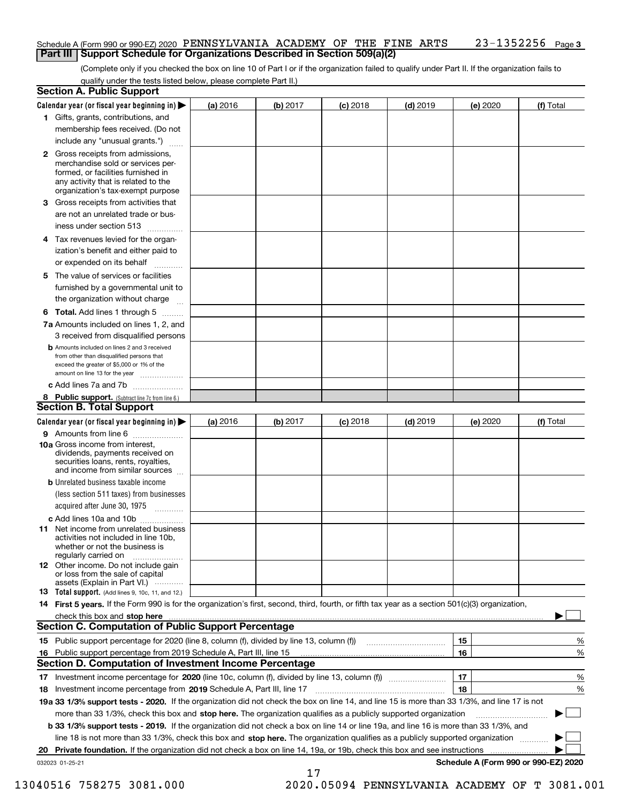#### **3** Schedule A (Form 990 or 990-EZ) 2020 PENNSYLVANIA ACADEMY OF THE FINE ARTS  $\qquad \ \ \, 23-1352256$  Page **Part III Support Schedule for Organizations Described in Section 509(a)(2)**

(Complete only if you checked the box on line 10 of Part I or if the organization failed to qualify under Part II. If the organization fails to qualify under the tests listed below, please complete Part II.)

|    | <b>Section A. Public Support</b>                                                                                                                                                                                               |          |          |            |            |          |                                      |
|----|--------------------------------------------------------------------------------------------------------------------------------------------------------------------------------------------------------------------------------|----------|----------|------------|------------|----------|--------------------------------------|
|    | Calendar year (or fiscal year beginning in)                                                                                                                                                                                    | (a) 2016 | (b) 2017 | $(c)$ 2018 | $(d)$ 2019 | (e) 2020 | (f) Total                            |
|    | 1 Gifts, grants, contributions, and                                                                                                                                                                                            |          |          |            |            |          |                                      |
|    | membership fees received. (Do not                                                                                                                                                                                              |          |          |            |            |          |                                      |
|    | include any "unusual grants.")                                                                                                                                                                                                 |          |          |            |            |          |                                      |
|    | <b>2</b> Gross receipts from admissions,                                                                                                                                                                                       |          |          |            |            |          |                                      |
|    | merchandise sold or services per-                                                                                                                                                                                              |          |          |            |            |          |                                      |
|    | formed, or facilities furnished in<br>any activity that is related to the                                                                                                                                                      |          |          |            |            |          |                                      |
|    | organization's tax-exempt purpose                                                                                                                                                                                              |          |          |            |            |          |                                      |
|    | 3 Gross receipts from activities that                                                                                                                                                                                          |          |          |            |            |          |                                      |
|    | are not an unrelated trade or bus-                                                                                                                                                                                             |          |          |            |            |          |                                      |
|    | iness under section 513                                                                                                                                                                                                        |          |          |            |            |          |                                      |
|    | 4 Tax revenues levied for the organ-                                                                                                                                                                                           |          |          |            |            |          |                                      |
|    | ization's benefit and either paid to                                                                                                                                                                                           |          |          |            |            |          |                                      |
|    | or expended on its behalf                                                                                                                                                                                                      |          |          |            |            |          |                                      |
|    | 5 The value of services or facilities                                                                                                                                                                                          |          |          |            |            |          |                                      |
|    | furnished by a governmental unit to                                                                                                                                                                                            |          |          |            |            |          |                                      |
|    | the organization without charge                                                                                                                                                                                                |          |          |            |            |          |                                      |
|    |                                                                                                                                                                                                                                |          |          |            |            |          |                                      |
|    | <b>6 Total.</b> Add lines 1 through 5                                                                                                                                                                                          |          |          |            |            |          |                                      |
|    | 7a Amounts included on lines 1, 2, and                                                                                                                                                                                         |          |          |            |            |          |                                      |
|    | 3 received from disqualified persons                                                                                                                                                                                           |          |          |            |            |          |                                      |
|    | <b>b</b> Amounts included on lines 2 and 3 received<br>from other than disqualified persons that                                                                                                                               |          |          |            |            |          |                                      |
|    | exceed the greater of \$5,000 or 1% of the                                                                                                                                                                                     |          |          |            |            |          |                                      |
|    | amount on line 13 for the year                                                                                                                                                                                                 |          |          |            |            |          |                                      |
|    | c Add lines 7a and 7b                                                                                                                                                                                                          |          |          |            |            |          |                                      |
|    | 8 Public support. (Subtract line 7c from line 6.)<br><b>Section B. Total Support</b>                                                                                                                                           |          |          |            |            |          |                                      |
|    |                                                                                                                                                                                                                                |          |          |            |            |          |                                      |
|    | Calendar year (or fiscal year beginning in)                                                                                                                                                                                    | (a) 2016 | (b) 2017 | $(c)$ 2018 | $(d)$ 2019 | (e) 2020 | (f) Total                            |
|    | 9 Amounts from line 6<br>10a Gross income from interest,                                                                                                                                                                       |          |          |            |            |          |                                      |
|    | dividends, payments received on                                                                                                                                                                                                |          |          |            |            |          |                                      |
|    | securities loans, rents, royalties,                                                                                                                                                                                            |          |          |            |            |          |                                      |
|    | and income from similar sources                                                                                                                                                                                                |          |          |            |            |          |                                      |
|    | <b>b</b> Unrelated business taxable income                                                                                                                                                                                     |          |          |            |            |          |                                      |
|    | (less section 511 taxes) from businesses                                                                                                                                                                                       |          |          |            |            |          |                                      |
|    | acquired after June 30, 1975                                                                                                                                                                                                   |          |          |            |            |          |                                      |
|    | c Add lines 10a and 10b                                                                                                                                                                                                        |          |          |            |            |          |                                      |
|    | 11 Net income from unrelated business<br>activities not included in line 10b,                                                                                                                                                  |          |          |            |            |          |                                      |
|    | whether or not the business is                                                                                                                                                                                                 |          |          |            |            |          |                                      |
|    | regularly carried on                                                                                                                                                                                                           |          |          |            |            |          |                                      |
|    | <b>12</b> Other income. Do not include gain<br>or loss from the sale of capital                                                                                                                                                |          |          |            |            |          |                                      |
|    | assets (Explain in Part VI.)                                                                                                                                                                                                   |          |          |            |            |          |                                      |
|    | <b>13</b> Total support. (Add lines 9, 10c, 11, and 12.)                                                                                                                                                                       |          |          |            |            |          |                                      |
|    | 14 First 5 years. If the Form 990 is for the organization's first, second, third, fourth, or fifth tax year as a section 501(c)(3) organization,                                                                               |          |          |            |            |          |                                      |
|    | check this box and stop here measurements and contain the state of the state of the state of the state of the state of the state of the state of the state of the state of the state of the state of the state of the state of |          |          |            |            |          |                                      |
|    | <b>Section C. Computation of Public Support Percentage</b>                                                                                                                                                                     |          |          |            |            |          |                                      |
|    | 15 Public support percentage for 2020 (line 8, column (f), divided by line 13, column (f))                                                                                                                                     |          |          |            |            | 15       | %                                    |
|    | 16 Public support percentage from 2019 Schedule A, Part III, line 15<br><b>Section D. Computation of Investment Income Percentage</b>                                                                                          |          |          |            |            | 16       | %                                    |
|    | 17 Investment income percentage for 2020 (line 10c, column (f), divided by line 13, column (f))                                                                                                                                |          |          |            |            | 17       | %                                    |
|    |                                                                                                                                                                                                                                |          |          |            |            | 18       |                                      |
|    | 18 Investment income percentage from 2019 Schedule A, Part III, line 17<br>19a 33 1/3% support tests - 2020. If the organization did not check the box on line 14, and line 15 is more than 33 1/3%, and line 17 is not        |          |          |            |            |          | %                                    |
|    |                                                                                                                                                                                                                                |          |          |            |            |          |                                      |
|    | more than 33 1/3%, check this box and stop here. The organization qualifies as a publicly supported organization                                                                                                               |          |          |            |            |          |                                      |
|    | <b>b 33 1/3% support tests - 2019.</b> If the organization did not check a box on line 14 or line 19a, and line 16 is more than 33 1/3%, and                                                                                   |          |          |            |            |          |                                      |
|    | line 18 is not more than 33 1/3%, check this box and stop here. The organization qualifies as a publicly supported organization                                                                                                |          |          |            |            |          |                                      |
| 20 | <b>Private foundation.</b> If the organization did not check a box on line 14, 19a, or 19b, check this box and see instructions                                                                                                |          |          |            |            |          | Schedule A (Form 990 or 990-EZ) 2020 |
|    | 032023 01-25-21                                                                                                                                                                                                                |          |          |            |            |          |                                      |

17

13040516 758275 3081.000 2020.05094 PENNSYLVANIA ACADEMY OF T 3081.001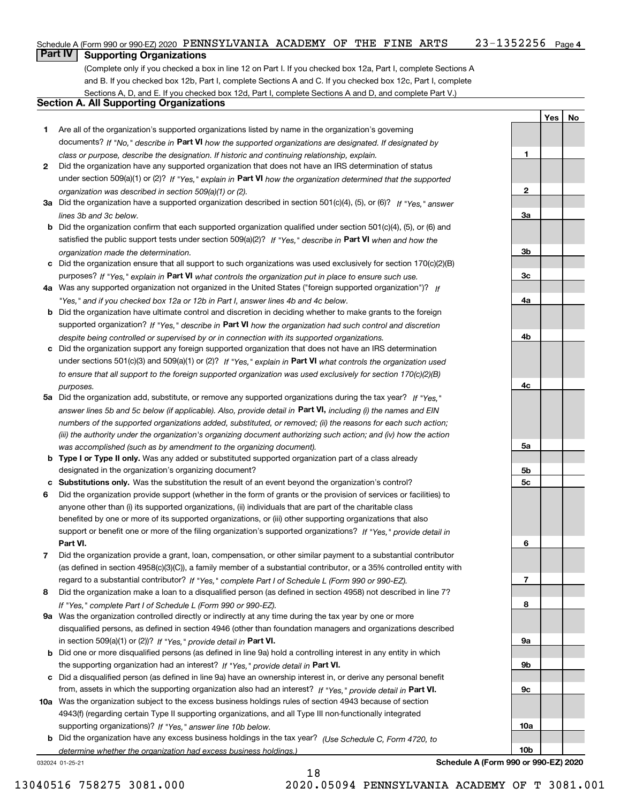#### 23-1352256 Page 4 Schedule A (Form 990 or 990-EZ) 2020 PENNSYLVANIA ACADEMY OF THE FINE ARTS  $\qquad \ \ \, 23-1352256$  Page

## **Part IV Supporting Organizations**

(Complete only if you checked a box in line 12 on Part I. If you checked box 12a, Part I, complete Sections A and B. If you checked box 12b, Part I, complete Sections A and C. If you checked box 12c, Part I, complete Sections A, D, and E. If you checked box 12d, Part I, complete Sections A and D, and complete Part V.)

## **Section A. All Supporting Organizations**

- **1** Are all of the organization's supported organizations listed by name in the organization's governing documents? If "No," describe in **Part VI** how the supported organizations are designated. If designated by *class or purpose, describe the designation. If historic and continuing relationship, explain.*
- **2** Did the organization have any supported organization that does not have an IRS determination of status under section 509(a)(1) or (2)? If "Yes," explain in Part VI how the organization determined that the supported *organization was described in section 509(a)(1) or (2).*
- **3a** Did the organization have a supported organization described in section 501(c)(4), (5), or (6)? If "Yes," answer *lines 3b and 3c below.*
- **b** Did the organization confirm that each supported organization qualified under section 501(c)(4), (5), or (6) and satisfied the public support tests under section 509(a)(2)? If "Yes," describe in **Part VI** when and how the *organization made the determination.*
- **c**Did the organization ensure that all support to such organizations was used exclusively for section 170(c)(2)(B) purposes? If "Yes," explain in **Part VI** what controls the organization put in place to ensure such use.
- **4a***If* Was any supported organization not organized in the United States ("foreign supported organization")? *"Yes," and if you checked box 12a or 12b in Part I, answer lines 4b and 4c below.*
- **b** Did the organization have ultimate control and discretion in deciding whether to make grants to the foreign supported organization? If "Yes," describe in **Part VI** how the organization had such control and discretion *despite being controlled or supervised by or in connection with its supported organizations.*
- **c** Did the organization support any foreign supported organization that does not have an IRS determination under sections 501(c)(3) and 509(a)(1) or (2)? If "Yes," explain in **Part VI** what controls the organization used *to ensure that all support to the foreign supported organization was used exclusively for section 170(c)(2)(B) purposes.*
- **5a** Did the organization add, substitute, or remove any supported organizations during the tax year? If "Yes," answer lines 5b and 5c below (if applicable). Also, provide detail in **Part VI,** including (i) the names and EIN *numbers of the supported organizations added, substituted, or removed; (ii) the reasons for each such action; (iii) the authority under the organization's organizing document authorizing such action; and (iv) how the action was accomplished (such as by amendment to the organizing document).*
- **b** Type I or Type II only. Was any added or substituted supported organization part of a class already designated in the organization's organizing document?
- **cSubstitutions only.**  Was the substitution the result of an event beyond the organization's control?
- **6** Did the organization provide support (whether in the form of grants or the provision of services or facilities) to **Part VI.** *If "Yes," provide detail in* support or benefit one or more of the filing organization's supported organizations? anyone other than (i) its supported organizations, (ii) individuals that are part of the charitable class benefited by one or more of its supported organizations, or (iii) other supporting organizations that also
- **7**Did the organization provide a grant, loan, compensation, or other similar payment to a substantial contributor *If "Yes," complete Part I of Schedule L (Form 990 or 990-EZ).* regard to a substantial contributor? (as defined in section 4958(c)(3)(C)), a family member of a substantial contributor, or a 35% controlled entity with
- **8** Did the organization make a loan to a disqualified person (as defined in section 4958) not described in line 7? *If "Yes," complete Part I of Schedule L (Form 990 or 990-EZ).*
- **9a** Was the organization controlled directly or indirectly at any time during the tax year by one or more in section 509(a)(1) or (2))? If "Yes," *provide detail in* <code>Part VI.</code> disqualified persons, as defined in section 4946 (other than foundation managers and organizations described
- **b** Did one or more disqualified persons (as defined in line 9a) hold a controlling interest in any entity in which the supporting organization had an interest? If "Yes," provide detail in P**art VI**.
- **c**Did a disqualified person (as defined in line 9a) have an ownership interest in, or derive any personal benefit from, assets in which the supporting organization also had an interest? If "Yes," provide detail in P**art VI.**
- **10a** Was the organization subject to the excess business holdings rules of section 4943 because of section supporting organizations)? If "Yes," answer line 10b below. 4943(f) (regarding certain Type II supporting organizations, and all Type III non-functionally integrated
- **b** Did the organization have any excess business holdings in the tax year? (Use Schedule C, Form 4720, to *determine whether the organization had excess business holdings.)*

18

032024 01-25-21

**Schedule A (Form 990 or 990-EZ) 2020**

**YesNo**

**1**

**2**

**3a**

**3b**

**3c**

**4a**

**4b**

**4c**

**5a**

**5b5c**

**6**

**7**

**8**

**9a**

**9b**

**9c**

**10a**

**10b**

13040516 758275 3081.000 2020.05094 PENNSYLVANIA ACADEMY OF T 3081.001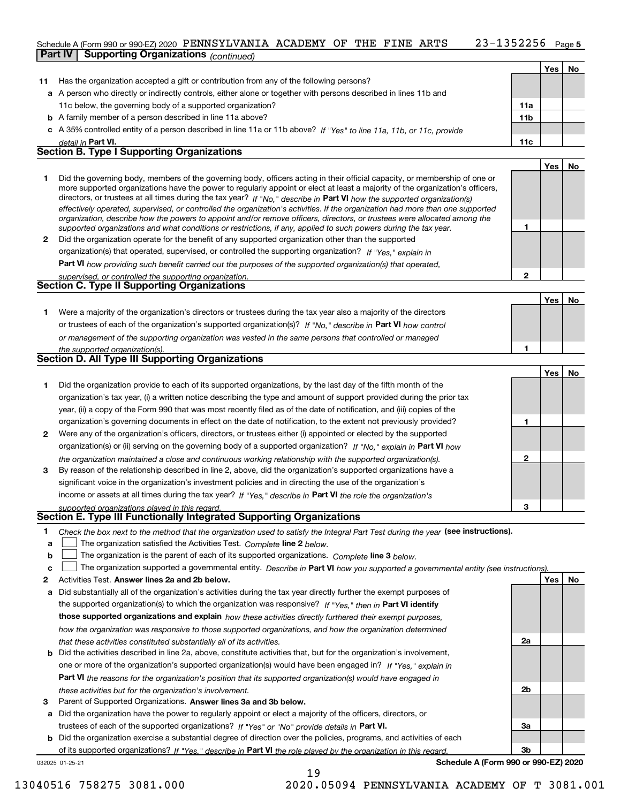### 23-1352256 Page 5 Schedule A (Form 990 or 990-EZ) 2020 PENNSYLVANIA ACADEMY OF THE FINE ARTS  $\qquad \ \ \, 23-1352256$  Page **Part IV Supporting Organizations** *(continued)*

|    |                                                                                                                                                                                                                                                                                                                                                                                                                                                                                                                                                                                                                                                      |                 | Yes l | No  |
|----|------------------------------------------------------------------------------------------------------------------------------------------------------------------------------------------------------------------------------------------------------------------------------------------------------------------------------------------------------------------------------------------------------------------------------------------------------------------------------------------------------------------------------------------------------------------------------------------------------------------------------------------------------|-----------------|-------|-----|
| 11 | Has the organization accepted a gift or contribution from any of the following persons?                                                                                                                                                                                                                                                                                                                                                                                                                                                                                                                                                              |                 |       |     |
|    | a A person who directly or indirectly controls, either alone or together with persons described in lines 11b and                                                                                                                                                                                                                                                                                                                                                                                                                                                                                                                                     |                 |       |     |
|    | 11c below, the governing body of a supported organization?                                                                                                                                                                                                                                                                                                                                                                                                                                                                                                                                                                                           | 11a             |       |     |
| b  | A family member of a person described in line 11a above?                                                                                                                                                                                                                                                                                                                                                                                                                                                                                                                                                                                             | 11 <sub>b</sub> |       |     |
|    | c A 35% controlled entity of a person described in line 11a or 11b above? If "Yes" to line 11a, 11b, or 11c, provide                                                                                                                                                                                                                                                                                                                                                                                                                                                                                                                                 |                 |       |     |
|    | detail in Part VI.                                                                                                                                                                                                                                                                                                                                                                                                                                                                                                                                                                                                                                   | 11c             |       |     |
|    | <b>Section B. Type I Supporting Organizations</b>                                                                                                                                                                                                                                                                                                                                                                                                                                                                                                                                                                                                    |                 |       |     |
|    |                                                                                                                                                                                                                                                                                                                                                                                                                                                                                                                                                                                                                                                      |                 | Yes   | No  |
|    | Did the governing body, members of the governing body, officers acting in their official capacity, or membership of one or<br>more supported organizations have the power to regularly appoint or elect at least a majority of the organization's officers,<br>directors, or trustees at all times during the tax year? If "No," describe in Part VI how the supported organization(s)<br>effectively operated, supervised, or controlled the organization's activities. If the organization had more than one supported<br>organization, describe how the powers to appoint and/or remove officers, directors, or trustees were allocated among the |                 |       |     |
|    | supported organizations and what conditions or restrictions, if any, applied to such powers during the tax year.                                                                                                                                                                                                                                                                                                                                                                                                                                                                                                                                     |                 |       |     |
| 2  | Did the organization operate for the benefit of any supported organization other than the supported                                                                                                                                                                                                                                                                                                                                                                                                                                                                                                                                                  |                 |       |     |
|    | organization(s) that operated, supervised, or controlled the supporting organization? If "Yes." explain in                                                                                                                                                                                                                                                                                                                                                                                                                                                                                                                                           |                 |       |     |
|    | Part VI how providing such benefit carried out the purposes of the supported organization(s) that operated,                                                                                                                                                                                                                                                                                                                                                                                                                                                                                                                                          |                 |       |     |
|    | supervised, or controlled the supporting organization.                                                                                                                                                                                                                                                                                                                                                                                                                                                                                                                                                                                               | $\mathbf{2}$    |       |     |
|    | <b>Section C. Type II Supporting Organizations</b>                                                                                                                                                                                                                                                                                                                                                                                                                                                                                                                                                                                                   |                 |       |     |
|    |                                                                                                                                                                                                                                                                                                                                                                                                                                                                                                                                                                                                                                                      |                 | Yes   | No. |
|    | Were a majority of the organization's directors or trustees during the tax year also a majority of the directors                                                                                                                                                                                                                                                                                                                                                                                                                                                                                                                                     |                 |       |     |

| or trustees of each of the organization's supported organization(s)? If "No," describe in Part VI how control |  |  |  |
|---------------------------------------------------------------------------------------------------------------|--|--|--|
| or management of the supporting organization was vested in the same persons that controlled or managed        |  |  |  |
| the currented emergetian(a)                                                                                   |  |  |  |

| the supported organization(s).                                                                                                                                                                                                                                                                                                                                                                                                                                                        |  |  |  |  |  |  |
|---------------------------------------------------------------------------------------------------------------------------------------------------------------------------------------------------------------------------------------------------------------------------------------------------------------------------------------------------------------------------------------------------------------------------------------------------------------------------------------|--|--|--|--|--|--|
| Section D. All Type III Supporting Organizations                                                                                                                                                                                                                                                                                                                                                                                                                                      |  |  |  |  |  |  |
|                                                                                                                                                                                                                                                                                                                                                                                                                                                                                       |  |  |  |  |  |  |
| Did the organization provide to each of its supported organizations, by the last day of the fifth month of the<br>organization's tax year, (i) a written notice describing the type and amount of support provided during the prior tax<br>year, (ii) a copy of the Form 990 that was most recently filed as of the date of notification, and (iii) copies of the<br>organization's governing documents in effect on the date of notification, to the extent not previously provided? |  |  |  |  |  |  |
|                                                                                                                                                                                                                                                                                                                                                                                                                                                                                       |  |  |  |  |  |  |

| Were any of the organization's officers, directors, or trustees either (i) appointed or elected by the supported   |  |
|--------------------------------------------------------------------------------------------------------------------|--|
| organization(s) or (ii) serving on the governing body of a supported organization? If "No," explain in Part VI how |  |
| the organization maintained a close and continuous working relationship with the supported organization(s).        |  |
| By reason of the relationship described in line 2, above, did the organization's supported organizations have a    |  |
| significant voice in the organization's investment policies and in directing the use of the organization's         |  |

| income or assets at all times during the tax year? If "Yes," describe in Part VI the role the organization's |
|--------------------------------------------------------------------------------------------------------------|
| supported organizations played in this regard                                                                |

## *supported organizations played in this regard.* **Section E. Type III Functionally Integrated Supporting Organizations**

|  | Check the box next to the method that the organization used to satisfy the Integral Part Test during the year (see instructions). |  |  |  |
|--|-----------------------------------------------------------------------------------------------------------------------------------|--|--|--|
|--|-----------------------------------------------------------------------------------------------------------------------------------|--|--|--|

- **a**The organization satisfied the Activities Test. *Complete* line 2 below.  $\mathcal{L}^{\text{max}}$
- **b**The organization is the parent of each of its supported organizations. *Complete* line 3 *below.*  $\mathcal{L}^{\text{max}}$

|  |  | c <u>□</u> The organization supported a governmental entity. Describe in Part VI how you supported a governmental entity (see instructions) |  |  |
|--|--|---------------------------------------------------------------------------------------------------------------------------------------------|--|--|
|--|--|---------------------------------------------------------------------------------------------------------------------------------------------|--|--|

- **2Answer lines 2a and 2b below. Yes No** Activities Test.
- **a** Did substantially all of the organization's activities during the tax year directly further the exempt purposes of the supported organization(s) to which the organization was responsive? If "Yes," then in **Part VI identify those supported organizations and explain**  *how these activities directly furthered their exempt purposes, how the organization was responsive to those supported organizations, and how the organization determined that these activities constituted substantially all of its activities.*
- **b** Did the activities described in line 2a, above, constitute activities that, but for the organization's involvement, **Part VI**  *the reasons for the organization's position that its supported organization(s) would have engaged in* one or more of the organization's supported organization(s) would have been engaged in? If "Yes," e*xplain in these activities but for the organization's involvement.*
- **3** Parent of Supported Organizations. Answer lines 3a and 3b below.

**a** Did the organization have the power to regularly appoint or elect a majority of the officers, directors, or trustees of each of the supported organizations? If "Yes" or "No" provide details in **Part VI.** 

032025 01-25-21 **b** Did the organization exercise a substantial degree of direction over the policies, programs, and activities of each of its supported organizations? If "Yes," describe in Part VI the role played by the organization in this regard.

**Schedule A (Form 990 or 990-EZ) 2020**

**1**

**1**

**3**

**2a**

**2b**

**3a**

**3b**

**YesNo**

13040516 758275 3081.000 2020.05094 PENNSYLVANIA ACADEMY OF T 3081.001

19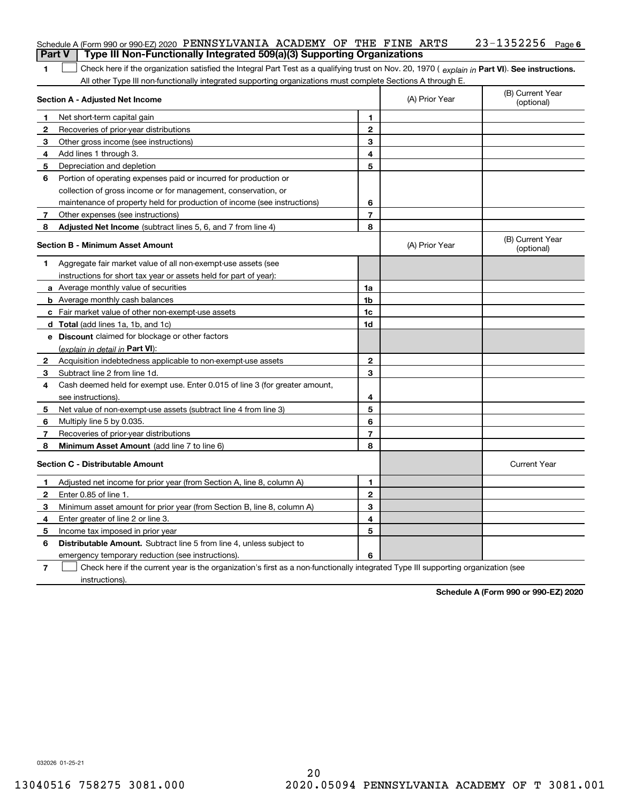|                | Schedule A (Form 990 or 990-EZ) 2020 PENNSYLVANIA ACADEMY OF THE FINE ARTS                                                                     |                          |                | $23 - 1352256$ Page 6          |
|----------------|------------------------------------------------------------------------------------------------------------------------------------------------|--------------------------|----------------|--------------------------------|
|                | Type III Non-Functionally Integrated 509(a)(3) Supporting Organizations<br><b>Part V</b>                                                       |                          |                |                                |
| 1              | Check here if the organization satisfied the Integral Part Test as a qualifying trust on Nov. 20, 1970 (explain in Part VI). See instructions. |                          |                |                                |
|                | All other Type III non-functionally integrated supporting organizations must complete Sections A through E.                                    |                          |                |                                |
|                | Section A - Adjusted Net Income                                                                                                                |                          | (A) Prior Year | (B) Current Year<br>(optional) |
| 1              | Net short-term capital gain                                                                                                                    | 1                        |                |                                |
| $\mathbf{2}$   | Recoveries of prior-year distributions                                                                                                         | $\mathbf{2}$             |                |                                |
| 3              | Other gross income (see instructions)                                                                                                          | 3                        |                |                                |
| 4              | Add lines 1 through 3.                                                                                                                         | 4                        |                |                                |
| 5              | Depreciation and depletion                                                                                                                     | 5                        |                |                                |
| 6              | Portion of operating expenses paid or incurred for production or                                                                               |                          |                |                                |
|                | collection of gross income or for management, conservation, or                                                                                 |                          |                |                                |
|                | maintenance of property held for production of income (see instructions)                                                                       | 6                        |                |                                |
| 7              | Other expenses (see instructions)                                                                                                              | $\overline{\phantom{a}}$ |                |                                |
| 8              | Adjusted Net Income (subtract lines 5, 6, and 7 from line 4)                                                                                   | 8                        |                |                                |
|                | <b>Section B - Minimum Asset Amount</b>                                                                                                        |                          | (A) Prior Year | (B) Current Year<br>(optional) |
| 1              | Aggregate fair market value of all non-exempt-use assets (see                                                                                  |                          |                |                                |
|                | instructions for short tax year or assets held for part of year):                                                                              |                          |                |                                |
|                | <b>a</b> Average monthly value of securities                                                                                                   | 1a                       |                |                                |
|                | <b>b</b> Average monthly cash balances                                                                                                         | 1b                       |                |                                |
|                | c Fair market value of other non-exempt-use assets                                                                                             | 1c                       |                |                                |
|                | d Total (add lines 1a, 1b, and 1c)                                                                                                             | 1d                       |                |                                |
|                | e Discount claimed for blockage or other factors                                                                                               |                          |                |                                |
|                | (explain in detail in Part VI):                                                                                                                |                          |                |                                |
| 2              | Acquisition indebtedness applicable to non-exempt-use assets                                                                                   | $\mathbf{2}$             |                |                                |
| 3              | Subtract line 2 from line 1d.                                                                                                                  | 3                        |                |                                |
| 4              | Cash deemed held for exempt use. Enter 0.015 of line 3 (for greater amount,                                                                    |                          |                |                                |
|                | see instructions).                                                                                                                             | 4                        |                |                                |
| 5              | Net value of non-exempt-use assets (subtract line 4 from line 3)                                                                               | 5                        |                |                                |
| 6              | Multiply line 5 by 0.035.                                                                                                                      | 6                        |                |                                |
| 7              | Recoveries of prior-year distributions                                                                                                         | $\overline{\phantom{a}}$ |                |                                |
| 8              | Minimum Asset Amount (add line 7 to line 6)                                                                                                    | 8                        |                |                                |
|                | <b>Section C - Distributable Amount</b>                                                                                                        |                          |                | <b>Current Year</b>            |
| 1.             | Adjusted net income for prior year (from Section A, line 8, column A)                                                                          | 1                        |                |                                |
| 2              | Enter 0.85 of line 1.                                                                                                                          | 2                        |                |                                |
| 3              | Minimum asset amount for prior year (from Section B, line 8, column A)                                                                         | 3                        |                |                                |
| 4              | Enter greater of line 2 or line 3.                                                                                                             | 4                        |                |                                |
| 5              | Income tax imposed in prior year                                                                                                               | 5                        |                |                                |
| 6              | <b>Distributable Amount.</b> Subtract line 5 from line 4, unless subject to                                                                    |                          |                |                                |
|                | emergency temporary reduction (see instructions).                                                                                              | 6                        |                |                                |
| $\overline{7}$ | Check here if the current year is the organization's first as a non-functionally integrated Type III supporting organization (see              |                          |                |                                |

instructions).

**Schedule A (Form 990 or 990-EZ) 2020**

032026 01-25-21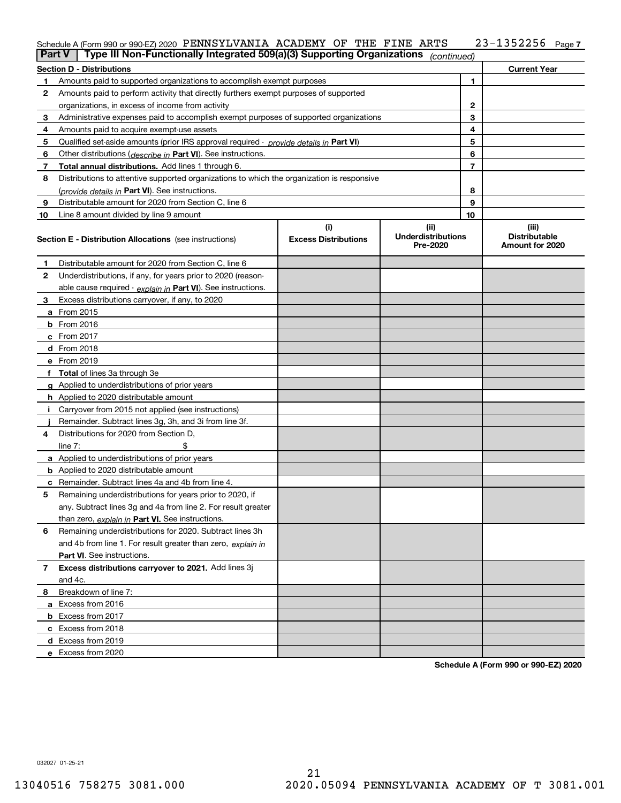#### **7** Schedule A (Form 990 or 990-EZ) 2020 PENNSYLVANIA ACADEMY OF THE FINE ARTS Z3-I35ZZ56 Page PENNSYLVANIA ACADEMY OF THE FINE ARTS 23-1352256

| <b>Part V</b> | Type III Non-Functionally Integrated 509(a)(3) Supporting Organizations                    |                                    | (continued)                                   |              |                                                  |
|---------------|--------------------------------------------------------------------------------------------|------------------------------------|-----------------------------------------------|--------------|--------------------------------------------------|
|               | <b>Section D - Distributions</b>                                                           |                                    |                                               |              | <b>Current Year</b>                              |
| 1             | Amounts paid to supported organizations to accomplish exempt purposes                      |                                    |                                               | 1            |                                                  |
| 2             | Amounts paid to perform activity that directly furthers exempt purposes of supported       |                                    |                                               |              |                                                  |
|               | organizations, in excess of income from activity                                           |                                    |                                               | $\mathbf{2}$ |                                                  |
| 3             | Administrative expenses paid to accomplish exempt purposes of supported organizations      |                                    |                                               | 3            |                                                  |
| 4             | Amounts paid to acquire exempt-use assets                                                  |                                    |                                               | 4            |                                                  |
| 5             | Qualified set-aside amounts (prior IRS approval required - provide details in Part VI)     |                                    |                                               | 5            |                                                  |
| 6             | Other distributions ( <i>describe in</i> Part VI). See instructions.                       |                                    |                                               | 6            |                                                  |
| 7             | Total annual distributions. Add lines 1 through 6.                                         |                                    |                                               | 7            |                                                  |
| 8             | Distributions to attentive supported organizations to which the organization is responsive |                                    |                                               |              |                                                  |
|               | (provide details in Part VI). See instructions.                                            |                                    |                                               | 8            |                                                  |
| 9             | Distributable amount for 2020 from Section C, line 6                                       |                                    |                                               | 9            |                                                  |
| 10            | Line 8 amount divided by line 9 amount                                                     |                                    |                                               | 10           |                                                  |
|               | <b>Section E - Distribution Allocations</b> (see instructions)                             | (i)<br><b>Excess Distributions</b> | (ii)<br><b>Underdistributions</b><br>Pre-2020 |              | (iii)<br><b>Distributable</b><br>Amount for 2020 |
| 1             | Distributable amount for 2020 from Section C, line 6                                       |                                    |                                               |              |                                                  |
| 2             | Underdistributions, if any, for years prior to 2020 (reason-                               |                                    |                                               |              |                                                  |
|               | able cause required - explain in Part VI). See instructions.                               |                                    |                                               |              |                                                  |
| 3             | Excess distributions carryover, if any, to 2020                                            |                                    |                                               |              |                                                  |
|               | a From 2015                                                                                |                                    |                                               |              |                                                  |
|               | <b>b</b> From 2016                                                                         |                                    |                                               |              |                                                  |
|               | $c$ From 2017                                                                              |                                    |                                               |              |                                                  |
|               | d From 2018                                                                                |                                    |                                               |              |                                                  |
|               | e From 2019                                                                                |                                    |                                               |              |                                                  |
|               | f Total of lines 3a through 3e                                                             |                                    |                                               |              |                                                  |
|               | g Applied to underdistributions of prior years                                             |                                    |                                               |              |                                                  |
|               | <b>h</b> Applied to 2020 distributable amount                                              |                                    |                                               |              |                                                  |
|               | Carryover from 2015 not applied (see instructions)                                         |                                    |                                               |              |                                                  |
|               | Remainder. Subtract lines 3g, 3h, and 3i from line 3f.                                     |                                    |                                               |              |                                                  |
| 4             | Distributions for 2020 from Section D,                                                     |                                    |                                               |              |                                                  |
|               | line $7:$                                                                                  |                                    |                                               |              |                                                  |
|               | a Applied to underdistributions of prior years                                             |                                    |                                               |              |                                                  |
|               | <b>b</b> Applied to 2020 distributable amount                                              |                                    |                                               |              |                                                  |
|               | c Remainder. Subtract lines 4a and 4b from line 4.                                         |                                    |                                               |              |                                                  |
| 5.            | Remaining underdistributions for years prior to 2020, if                                   |                                    |                                               |              |                                                  |
|               | any. Subtract lines 3g and 4a from line 2. For result greater                              |                                    |                                               |              |                                                  |
|               | than zero, explain in Part VI. See instructions.                                           |                                    |                                               |              |                                                  |
| 6             | Remaining underdistributions for 2020. Subtract lines 3h                                   |                                    |                                               |              |                                                  |
|               | and 4b from line 1. For result greater than zero, explain in                               |                                    |                                               |              |                                                  |
|               | Part VI. See instructions.                                                                 |                                    |                                               |              |                                                  |
| 7             | Excess distributions carryover to 2021. Add lines 3j                                       |                                    |                                               |              |                                                  |
|               | and 4c.                                                                                    |                                    |                                               |              |                                                  |
| 8             | Breakdown of line 7:                                                                       |                                    |                                               |              |                                                  |
|               | a Excess from 2016                                                                         |                                    |                                               |              |                                                  |
|               | <b>b</b> Excess from 2017                                                                  |                                    |                                               |              |                                                  |
|               | c Excess from 2018                                                                         |                                    |                                               |              |                                                  |
|               | d Excess from 2019                                                                         |                                    |                                               |              |                                                  |
|               | e Excess from 2020                                                                         |                                    |                                               |              |                                                  |

**Schedule A (Form 990 or 990-EZ) 2020**

032027 01-25-21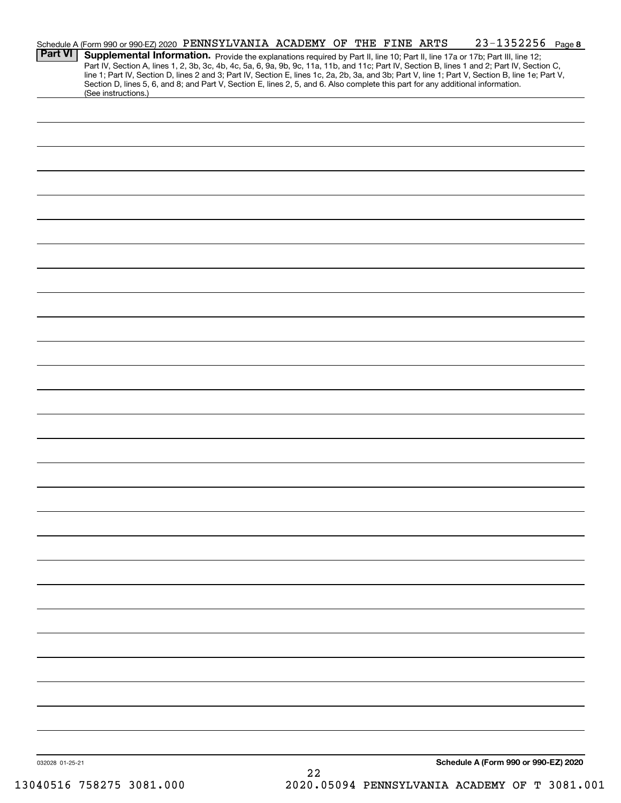| <b>Part VI</b>  |                     | Schedule A (Form 990 or 990-EZ) 2020 PENNSYLVANIA ACADEMY OF THE FINE ARTS<br>Supplemental Information. Provide the explanations required by Part II, line 10; Part II, line 17a or 17b; Part III, line 12;                                                                                                                                                                                                                         |  | $23 - 1352256$ Page 8                |
|-----------------|---------------------|-------------------------------------------------------------------------------------------------------------------------------------------------------------------------------------------------------------------------------------------------------------------------------------------------------------------------------------------------------------------------------------------------------------------------------------|--|--------------------------------------|
|                 | (See instructions.) | Part IV, Section A, lines 1, 2, 3b, 3c, 4b, 4c, 5a, 6, 9a, 9b, 9c, 11a, 11b, and 11c; Part IV, Section B, lines 1 and 2; Part IV, Section C,<br>line 1; Part IV, Section D, lines 2 and 3; Part IV, Section E, lines 1c, 2a, 2b, 3a, and 3b; Part V, line 1; Part V, Section B, line 1e; Part V,<br>Section D, lines 5, 6, and 8; and Part V, Section E, lines 2, 5, and 6. Also complete this part for any additional information. |  |                                      |
|                 |                     |                                                                                                                                                                                                                                                                                                                                                                                                                                     |  |                                      |
|                 |                     |                                                                                                                                                                                                                                                                                                                                                                                                                                     |  |                                      |
|                 |                     |                                                                                                                                                                                                                                                                                                                                                                                                                                     |  |                                      |
|                 |                     |                                                                                                                                                                                                                                                                                                                                                                                                                                     |  |                                      |
|                 |                     |                                                                                                                                                                                                                                                                                                                                                                                                                                     |  |                                      |
|                 |                     |                                                                                                                                                                                                                                                                                                                                                                                                                                     |  |                                      |
|                 |                     |                                                                                                                                                                                                                                                                                                                                                                                                                                     |  |                                      |
|                 |                     |                                                                                                                                                                                                                                                                                                                                                                                                                                     |  |                                      |
|                 |                     |                                                                                                                                                                                                                                                                                                                                                                                                                                     |  |                                      |
|                 |                     |                                                                                                                                                                                                                                                                                                                                                                                                                                     |  |                                      |
|                 |                     |                                                                                                                                                                                                                                                                                                                                                                                                                                     |  |                                      |
|                 |                     |                                                                                                                                                                                                                                                                                                                                                                                                                                     |  |                                      |
|                 |                     |                                                                                                                                                                                                                                                                                                                                                                                                                                     |  |                                      |
|                 |                     |                                                                                                                                                                                                                                                                                                                                                                                                                                     |  |                                      |
|                 |                     |                                                                                                                                                                                                                                                                                                                                                                                                                                     |  |                                      |
|                 |                     |                                                                                                                                                                                                                                                                                                                                                                                                                                     |  |                                      |
|                 |                     |                                                                                                                                                                                                                                                                                                                                                                                                                                     |  |                                      |
|                 |                     |                                                                                                                                                                                                                                                                                                                                                                                                                                     |  |                                      |
|                 |                     |                                                                                                                                                                                                                                                                                                                                                                                                                                     |  |                                      |
|                 |                     |                                                                                                                                                                                                                                                                                                                                                                                                                                     |  |                                      |
|                 |                     |                                                                                                                                                                                                                                                                                                                                                                                                                                     |  |                                      |
|                 |                     |                                                                                                                                                                                                                                                                                                                                                                                                                                     |  |                                      |
|                 |                     |                                                                                                                                                                                                                                                                                                                                                                                                                                     |  |                                      |
|                 |                     |                                                                                                                                                                                                                                                                                                                                                                                                                                     |  |                                      |
|                 |                     |                                                                                                                                                                                                                                                                                                                                                                                                                                     |  |                                      |
|                 |                     |                                                                                                                                                                                                                                                                                                                                                                                                                                     |  |                                      |
|                 |                     |                                                                                                                                                                                                                                                                                                                                                                                                                                     |  |                                      |
|                 |                     |                                                                                                                                                                                                                                                                                                                                                                                                                                     |  |                                      |
| 032028 01-25-21 |                     |                                                                                                                                                                                                                                                                                                                                                                                                                                     |  | Schedule A (Form 990 or 990-EZ) 2020 |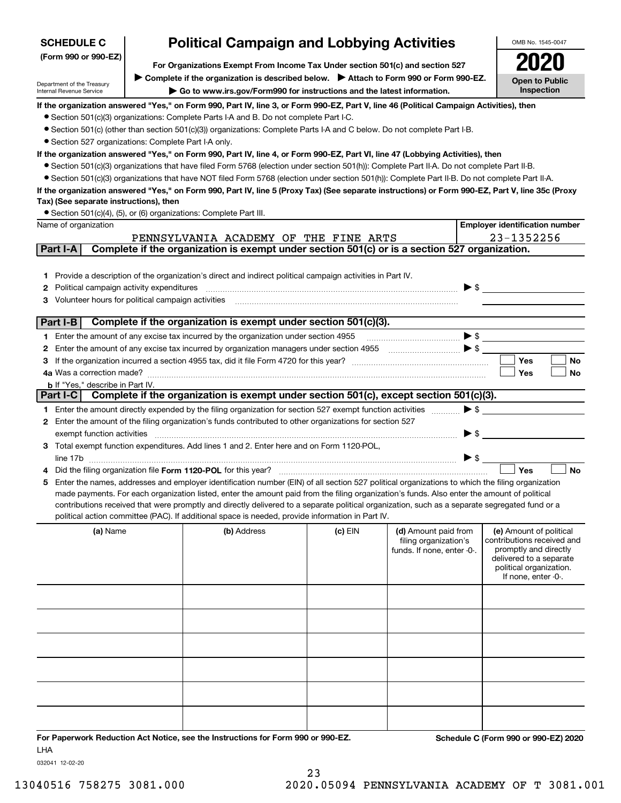| <b>SCHEDULE C</b>                                                  | <b>Political Campaign and Lobbying Activities</b>                                                                                                                                                                                                                                              |           |                                                     |                          | OMB No. 1545-0047                                   |
|--------------------------------------------------------------------|------------------------------------------------------------------------------------------------------------------------------------------------------------------------------------------------------------------------------------------------------------------------------------------------|-----------|-----------------------------------------------------|--------------------------|-----------------------------------------------------|
| (Form 990 or 990-EZ)                                               | For Organizations Exempt From Income Tax Under section 501(c) and section 527                                                                                                                                                                                                                  |           |                                                     |                          |                                                     |
|                                                                    | ▶ Complete if the organization is described below. ▶ Attach to Form 990 or Form 990-EZ.                                                                                                                                                                                                        |           |                                                     |                          |                                                     |
| Department of the Treasury<br>Internal Revenue Service             | Go to www.irs.gov/Form990 for instructions and the latest information.                                                                                                                                                                                                                         |           |                                                     |                          | <b>Open to Public</b><br>Inspection                 |
|                                                                    | If the organization answered "Yes," on Form 990, Part IV, line 3, or Form 990-EZ, Part V, line 46 (Political Campaign Activities), then                                                                                                                                                        |           |                                                     |                          |                                                     |
|                                                                    | • Section 501(c)(3) organizations: Complete Parts I-A and B. Do not complete Part I-C.                                                                                                                                                                                                         |           |                                                     |                          |                                                     |
|                                                                    | ● Section 501(c) (other than section 501(c)(3)) organizations: Complete Parts I-A and C below. Do not complete Part I-B.                                                                                                                                                                       |           |                                                     |                          |                                                     |
| • Section 527 organizations: Complete Part I-A only.               |                                                                                                                                                                                                                                                                                                |           |                                                     |                          |                                                     |
|                                                                    | If the organization answered "Yes," on Form 990, Part IV, line 4, or Form 990-EZ, Part VI, line 47 (Lobbying Activities), then                                                                                                                                                                 |           |                                                     |                          |                                                     |
|                                                                    | • Section 501(c)(3) organizations that have filed Form 5768 (election under section 501(h)): Complete Part II-A. Do not complete Part II-B.<br>• Section 501(c)(3) organizations that have NOT filed Form 5768 (election under section 501(h)): Complete Part II-B. Do not complete Part II-A. |           |                                                     |                          |                                                     |
|                                                                    | If the organization answered "Yes," on Form 990, Part IV, line 5 (Proxy Tax) (See separate instructions) or Form 990-EZ, Part V, line 35c (Proxy                                                                                                                                               |           |                                                     |                          |                                                     |
| Tax) (See separate instructions), then                             |                                                                                                                                                                                                                                                                                                |           |                                                     |                          |                                                     |
| • Section 501(c)(4), (5), or (6) organizations: Complete Part III. |                                                                                                                                                                                                                                                                                                |           |                                                     |                          |                                                     |
| Name of organization                                               |                                                                                                                                                                                                                                                                                                |           |                                                     |                          | <b>Employer identification number</b>               |
|                                                                    | PENNSYLVANIA ACADEMY OF THE FINE ARTS                                                                                                                                                                                                                                                          |           |                                                     |                          | 23-1352256                                          |
| Part I-A                                                           | Complete if the organization is exempt under section 501(c) or is a section 527 organization.                                                                                                                                                                                                  |           |                                                     |                          |                                                     |
|                                                                    |                                                                                                                                                                                                                                                                                                |           |                                                     |                          |                                                     |
| 1.                                                                 | Provide a description of the organization's direct and indirect political campaign activities in Part IV.                                                                                                                                                                                      |           |                                                     |                          |                                                     |
| Political campaign activity expenditures<br>2                      |                                                                                                                                                                                                                                                                                                |           |                                                     | $\blacktriangleright$ \$ |                                                     |
| Volunteer hours for political campaign activities<br>з             |                                                                                                                                                                                                                                                                                                |           |                                                     |                          |                                                     |
| Part I-B                                                           | Complete if the organization is exempt under section 501(c)(3).                                                                                                                                                                                                                                |           |                                                     |                          |                                                     |
|                                                                    | 1 Enter the amount of any excise tax incurred by the organization under section 4955                                                                                                                                                                                                           |           |                                                     | $\blacktriangleright$ \$ |                                                     |
| 2                                                                  |                                                                                                                                                                                                                                                                                                |           |                                                     |                          |                                                     |
| З                                                                  |                                                                                                                                                                                                                                                                                                |           |                                                     |                          | Yes<br>No                                           |
|                                                                    |                                                                                                                                                                                                                                                                                                |           |                                                     |                          | Yes<br>No                                           |
| <b>b</b> If "Yes," describe in Part IV.                            |                                                                                                                                                                                                                                                                                                |           |                                                     |                          |                                                     |
| Part I-C                                                           | Complete if the organization is exempt under section 501(c), except section 501(c)(3).                                                                                                                                                                                                         |           |                                                     |                          |                                                     |
|                                                                    | 1 Enter the amount directly expended by the filing organization for section 527 exempt function activities                                                                                                                                                                                     |           |                                                     | $\blacktriangleright$ \$ |                                                     |
|                                                                    | 2 Enter the amount of the filing organization's funds contributed to other organizations for section 527                                                                                                                                                                                       |           |                                                     |                          |                                                     |
| exempt function activities                                         | 3 Total exempt function expenditures. Add lines 1 and 2. Enter here and on Form 1120-POL,                                                                                                                                                                                                      |           |                                                     | $\blacktriangleright$ \$ |                                                     |
|                                                                    |                                                                                                                                                                                                                                                                                                |           |                                                     | $\blacktriangleright$ \$ |                                                     |
|                                                                    | Did the filing organization file Form 1120-POL for this year?                                                                                                                                                                                                                                  |           |                                                     |                          | Yes<br><b>No</b>                                    |
| 5.                                                                 | Enter the names, addresses and employer identification number (EIN) of all section 527 political organizations to which the filing organization                                                                                                                                                |           |                                                     |                          |                                                     |
|                                                                    | made payments. For each organization listed, enter the amount paid from the filing organization's funds. Also enter the amount of political                                                                                                                                                    |           |                                                     |                          |                                                     |
|                                                                    | contributions received that were promptly and directly delivered to a separate political organization, such as a separate segregated fund or a                                                                                                                                                 |           |                                                     |                          |                                                     |
|                                                                    | political action committee (PAC). If additional space is needed, provide information in Part IV.                                                                                                                                                                                               |           |                                                     |                          |                                                     |
| (a) Name                                                           | (b) Address                                                                                                                                                                                                                                                                                    | $(c)$ EIN | (d) Amount paid from                                |                          | (e) Amount of political                             |
|                                                                    |                                                                                                                                                                                                                                                                                                |           | filing organization's<br>funds. If none, enter -0-. |                          | contributions received and<br>promptly and directly |
|                                                                    |                                                                                                                                                                                                                                                                                                |           |                                                     |                          | delivered to a separate                             |
|                                                                    |                                                                                                                                                                                                                                                                                                |           |                                                     |                          | political organization.<br>If none, enter -0-.      |
|                                                                    |                                                                                                                                                                                                                                                                                                |           |                                                     |                          |                                                     |
|                                                                    |                                                                                                                                                                                                                                                                                                |           |                                                     |                          |                                                     |
|                                                                    |                                                                                                                                                                                                                                                                                                |           |                                                     |                          |                                                     |
|                                                                    |                                                                                                                                                                                                                                                                                                |           |                                                     |                          |                                                     |
|                                                                    |                                                                                                                                                                                                                                                                                                |           |                                                     |                          |                                                     |
|                                                                    |                                                                                                                                                                                                                                                                                                |           |                                                     |                          |                                                     |
|                                                                    |                                                                                                                                                                                                                                                                                                |           |                                                     |                          |                                                     |
|                                                                    |                                                                                                                                                                                                                                                                                                |           |                                                     |                          |                                                     |
|                                                                    |                                                                                                                                                                                                                                                                                                |           |                                                     |                          |                                                     |
|                                                                    |                                                                                                                                                                                                                                                                                                |           |                                                     |                          |                                                     |
|                                                                    |                                                                                                                                                                                                                                                                                                |           |                                                     |                          |                                                     |
|                                                                    | For Paperwork Reduction Act Notice, see the Instructions for Form 990 or 990-EZ.                                                                                                                                                                                                               |           |                                                     |                          | Schedule C (Form 990 or 990-EZ) 2020                |
| <b>LHA</b>                                                         |                                                                                                                                                                                                                                                                                                |           |                                                     |                          |                                                     |

032041 12-02-20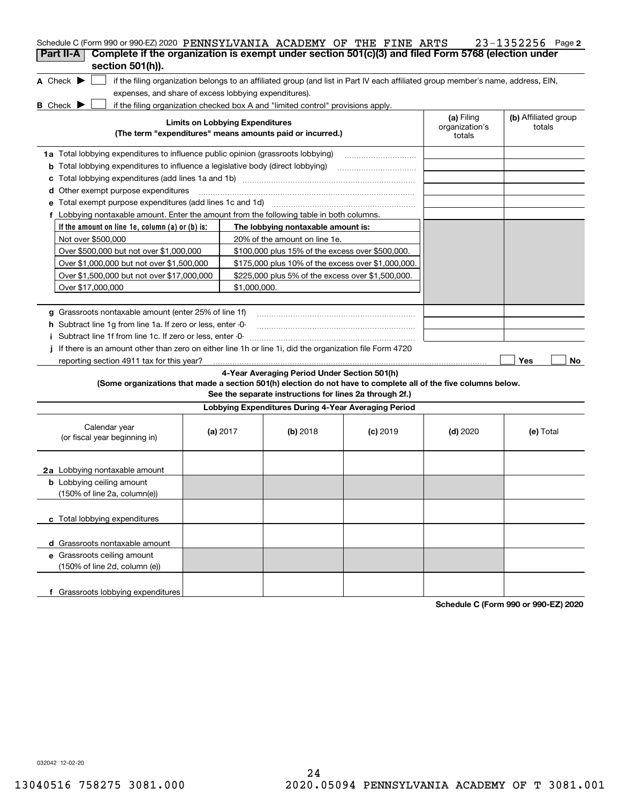| Schedule C (Form 990 or 990-EZ) 2020 PENNSYLVANIA ACADEMY OF THE FINE ARTS                                                                                         |                                        |                                                         |            |                                        | $23 - 1352256$ Page 2          |
|--------------------------------------------------------------------------------------------------------------------------------------------------------------------|----------------------------------------|---------------------------------------------------------|------------|----------------------------------------|--------------------------------|
| Complete if the organization is exempt under section 501(c)(3) and filed Form 5768 (election under<br>Part II-A<br>section 501(h)).                                |                                        |                                                         |            |                                        |                                |
|                                                                                                                                                                    |                                        |                                                         |            |                                        |                                |
| A Check $\blacktriangleright$<br>if the filing organization belongs to an affiliated group (and list in Part IV each affiliated group member's name, address, EIN, |                                        |                                                         |            |                                        |                                |
| expenses, and share of excess lobbying expenditures).                                                                                                              |                                        |                                                         |            |                                        |                                |
| $B$ Check $\blacktriangleright$<br>if the filing organization checked box A and "limited control" provisions apply.                                                |                                        |                                                         |            |                                        |                                |
| (The term "expenditures" means amounts paid or incurred.)                                                                                                          | <b>Limits on Lobbying Expenditures</b> |                                                         |            | (a) Filing<br>organization's<br>totals | (b) Affiliated group<br>totals |
| 1a Total lobbying expenditures to influence public opinion (grassroots lobbying)                                                                                   |                                        |                                                         |            |                                        |                                |
| <b>b</b> Total lobbying expenditures to influence a legislative body (direct lobbying)                                                                             |                                        |                                                         |            |                                        |                                |
| c                                                                                                                                                                  |                                        |                                                         |            |                                        |                                |
| d Other exempt purpose expenditures                                                                                                                                |                                        |                                                         |            |                                        |                                |
|                                                                                                                                                                    |                                        |                                                         |            |                                        |                                |
| f Lobbying nontaxable amount. Enter the amount from the following table in both columns.                                                                           |                                        |                                                         |            |                                        |                                |
| If the amount on line 1e, column $(a)$ or $(b)$ is:                                                                                                                |                                        | The lobbying nontaxable amount is:                      |            |                                        |                                |
| Not over \$500,000                                                                                                                                                 |                                        | 20% of the amount on line 1e.                           |            |                                        |                                |
| Over \$500,000 but not over \$1,000,000                                                                                                                            |                                        | \$100,000 plus 15% of the excess over \$500,000.        |            |                                        |                                |
| Over \$1,000,000 but not over \$1,500,000                                                                                                                          |                                        | \$175,000 plus 10% of the excess over \$1,000,000.      |            |                                        |                                |
| Over \$1,500,000 but not over \$17,000,000                                                                                                                         |                                        | \$225,000 plus 5% of the excess over \$1,500,000.       |            |                                        |                                |
| Over \$17,000,000                                                                                                                                                  | \$1,000,000.                           |                                                         |            |                                        |                                |
|                                                                                                                                                                    |                                        |                                                         |            |                                        |                                |
| g Grassroots nontaxable amount (enter 25% of line 1f)                                                                                                              |                                        |                                                         |            |                                        |                                |
| h Subtract line 1g from line 1a. If zero or less, enter -0-                                                                                                        |                                        |                                                         |            |                                        |                                |
| Subtract line 1f from line 1c. If zero or less, enter 0-                                                                                                           |                                        |                                                         |            |                                        |                                |
| If there is an amount other than zero on either line 1h or line 1i, did the organization file Form 4720                                                            |                                        |                                                         |            |                                        |                                |
| reporting section 4911 tax for this year?                                                                                                                          |                                        |                                                         |            |                                        | Yes<br>No                      |
|                                                                                                                                                                    |                                        | 4-Year Averaging Period Under Section 501(h)            |            |                                        |                                |
| (Some organizations that made a section 501(h) election do not have to complete all of the five columns below.                                                     |                                        | See the separate instructions for lines 2a through 2f.) |            |                                        |                                |
|                                                                                                                                                                    |                                        | Lobbying Expenditures During 4-Year Averaging Period    |            |                                        |                                |
| Calendar year<br>(or fiscal year beginning in)                                                                                                                     | (a) $2017$                             | (b) 2018                                                | $(c)$ 2019 | $(d)$ 2020                             | (e) Total                      |
| 2a Lobbying nontaxable amount                                                                                                                                      |                                        |                                                         |            |                                        |                                |
| <b>b</b> Lobbying ceiling amount                                                                                                                                   |                                        |                                                         |            |                                        |                                |
| (150% of line 2a, column(e))                                                                                                                                       |                                        |                                                         |            |                                        |                                |
|                                                                                                                                                                    |                                        |                                                         |            |                                        |                                |
| c Total lobbying expenditures                                                                                                                                      |                                        |                                                         |            |                                        |                                |
| d Grassroots nontaxable amount                                                                                                                                     |                                        |                                                         |            |                                        |                                |
| e Grassroots ceiling amount                                                                                                                                        |                                        |                                                         |            |                                        |                                |
| (150% of line 2d, column (e))                                                                                                                                      |                                        |                                                         |            |                                        |                                |
|                                                                                                                                                                    |                                        |                                                         |            |                                        |                                |
| f Grassroots lobbying expenditures                                                                                                                                 |                                        |                                                         |            |                                        |                                |

**Schedule C (Form 990 or 990-EZ) 2020**

032042 12-02-20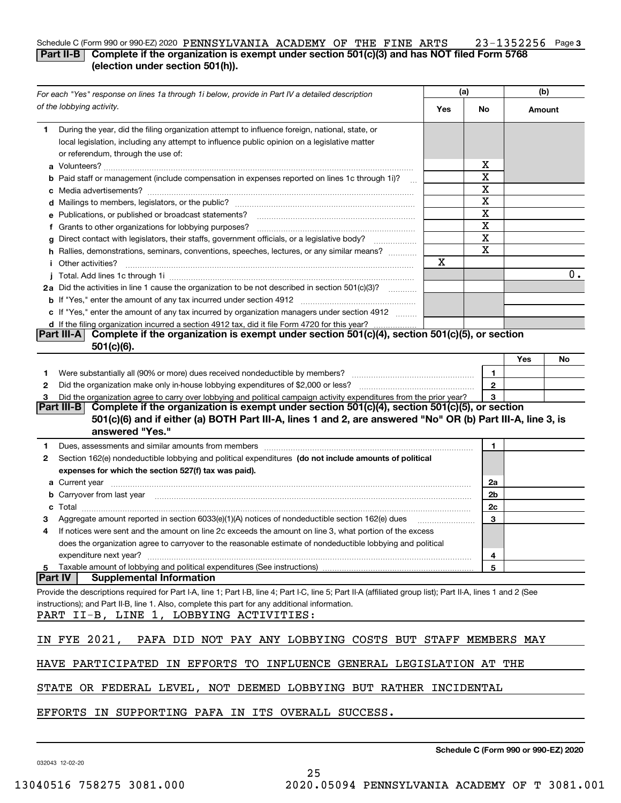### **3** Schedule C (Form 990 or 990-EZ) 2020 PENNSYLVANIA ACADEMY OF THE FINE ARTS  $\qquad \ \ \, 23\!-\! 1352256$  Page **Part II-B** Complete if the organization is exempt under section 501(c)(3) and has NOT filed Form 5768 **(election under section 501(h)).**

|   | For each "Yes" response on lines 1a through 1i below, provide in Part IV a detailed description                                                                                                                                      |     | (a)            | (b)    |       |
|---|--------------------------------------------------------------------------------------------------------------------------------------------------------------------------------------------------------------------------------------|-----|----------------|--------|-------|
|   | of the lobbying activity.                                                                                                                                                                                                            | Yes | No             | Amount |       |
| 1 | During the year, did the filing organization attempt to influence foreign, national, state, or<br>local legislation, including any attempt to influence public opinion on a legislative matter<br>or referendum, through the use of: |     |                |        |       |
|   |                                                                                                                                                                                                                                      |     | х              |        |       |
|   | b Paid staff or management (include compensation in expenses reported on lines 1c through 1i)?                                                                                                                                       |     | X              |        |       |
|   |                                                                                                                                                                                                                                      |     | X              |        |       |
|   |                                                                                                                                                                                                                                      |     | X              |        |       |
|   | e Publications, or published or broadcast statements?                                                                                                                                                                                |     | X              |        |       |
|   | f Grants to other organizations for lobbying purposes?                                                                                                                                                                               |     | X              |        |       |
|   | g Direct contact with legislators, their staffs, government officials, or a legislative body?                                                                                                                                        |     | $\mathbf X$    |        |       |
|   | h Rallies, demonstrations, seminars, conventions, speeches, lectures, or any similar means?                                                                                                                                          |     | $\mathbf X$    |        |       |
|   | <i>i</i> Other activities?                                                                                                                                                                                                           | Χ   |                |        |       |
|   |                                                                                                                                                                                                                                      |     |                |        | $0$ . |
|   | 2a Did the activities in line 1 cause the organization to be not described in section 501(c)(3)?                                                                                                                                     |     |                |        |       |
|   |                                                                                                                                                                                                                                      |     |                |        |       |
|   | c If "Yes," enter the amount of any tax incurred by organization managers under section 4912                                                                                                                                         |     |                |        |       |
|   | d If the filing organization incurred a section 4912 tax, did it file Form 4720 for this year?                                                                                                                                       |     |                |        |       |
|   | Complete if the organization is exempt under section 501(c)(4), section 501(c)(5), or section<br> Part III-A                                                                                                                         |     |                |        |       |
|   | $501(c)(6)$ .                                                                                                                                                                                                                        |     |                |        |       |
|   |                                                                                                                                                                                                                                      |     |                | Yes    | No    |
| 1 |                                                                                                                                                                                                                                      |     | $\mathbf{1}$   |        |       |
| 2 |                                                                                                                                                                                                                                      |     | $\mathbf{2}$   |        |       |
| 3 | Did the organization agree to carry over lobbying and political campaign activity expenditures from the prior year?                                                                                                                  |     | 3              |        |       |
|   | Complete if the organization is exempt under section 501(c)(4), section 501(c)(5), or section<br><b>Part III-BI</b>                                                                                                                  |     |                |        |       |
|   | 501(c)(6) and if either (a) BOTH Part III-A, lines 1 and 2, are answered "No" OR (b) Part III-A, line 3, is<br>answered "Yes."                                                                                                       |     |                |        |       |
|   |                                                                                                                                                                                                                                      |     |                |        |       |
| 1 | Dues, assessments and similar amounts from members [11] matter continuum matter and similar and similar amounts from members [11] matter continuum matter and similar amounts from members [11] matter and similar and similar       |     | 1              |        |       |
| 2 | Section 162(e) nondeductible lobbying and political expenditures (do not include amounts of political                                                                                                                                |     |                |        |       |
|   | expenses for which the section 527(f) tax was paid).                                                                                                                                                                                 |     |                |        |       |
|   |                                                                                                                                                                                                                                      |     | 2a             |        |       |
|   | <b>b</b> Carryover from last year manufactured and content to content the content of the content of the content of the content of the content of the content of the content of the content of the content of the content of the con  |     | 2b             |        |       |
|   |                                                                                                                                                                                                                                      |     | 2c             |        |       |
|   |                                                                                                                                                                                                                                      |     | 3              |        |       |
| 4 | If notices were sent and the amount on line 2c exceeds the amount on line 3, what portion of the excess                                                                                                                              |     |                |        |       |
|   | does the organization agree to carryover to the reasonable estimate of nondeductible lobbying and political                                                                                                                          |     |                |        |       |
|   | expenditure next year?                                                                                                                                                                                                               |     | $\overline{4}$ |        |       |
|   | <b>Part IV</b><br><b>Supplemental Information</b>                                                                                                                                                                                    |     | 5              |        |       |
|   | Provide the descriptions required for Part I-A, line 1; Part I-B, line 4; Part I-C, line 5; Part II-A (affiliated group list); Part II-A, lines 1 and 2 (See                                                                         |     |                |        |       |
|   | instructions); and Part II-B, line 1. Also, complete this part for any additional information.                                                                                                                                       |     |                |        |       |
|   | PART II-B, LINE 1, LOBBYING ACTIVITIES:                                                                                                                                                                                              |     |                |        |       |
|   |                                                                                                                                                                                                                                      |     |                |        |       |
|   | IN FYE 2021,<br>PAFA DID NOT PAY ANY LOBBYING COSTS BUT STAFF MEMBERS MAY                                                                                                                                                            |     |                |        |       |
|   | HAVE PARTICIPATED IN EFFORTS TO INFLUENCE GENERAL LEGISLATION AT THE                                                                                                                                                                 |     |                |        |       |
|   | STATE OR FEDERAL LEVEL, NOT DEEMED LOBBYING BUT RATHER INCIDENTAL                                                                                                                                                                    |     |                |        |       |
|   | EFFORTS IN SUPPORTING PAFA IN ITS OVERALL SUCCESS.                                                                                                                                                                                   |     |                |        |       |

032043 12-02-20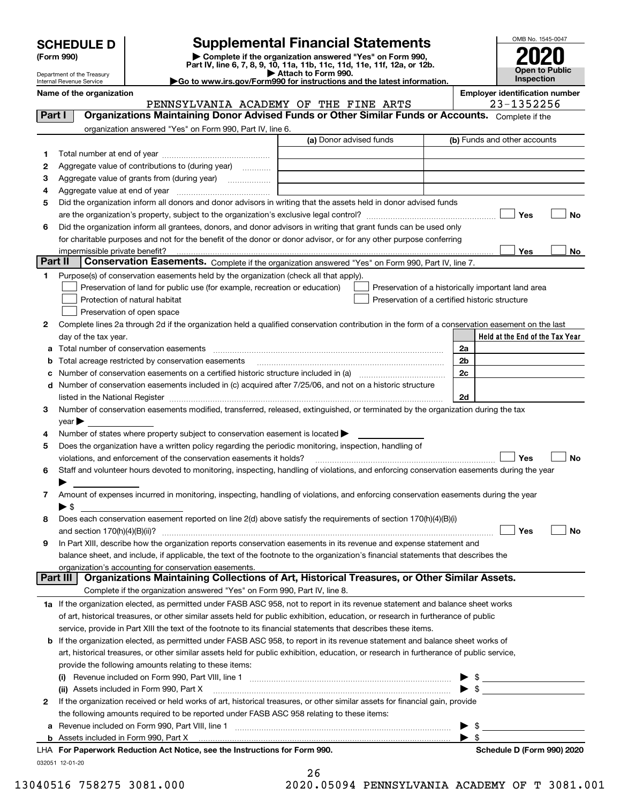| <b>SCHEDULE D</b> |  |  |
|-------------------|--|--|
|                   |  |  |

| (Form 990) |  |
|------------|--|
|------------|--|

## **Supplemental Financial Statements**

(Form 990)<br>
Pepartment of the Treasury<br>
Department of the Treasury<br>
Department of the Treasury<br>
Department of the Treasury<br> **Co to www.irs.gov/Form990 for instructions and the latest information.**<br> **Co to www.irs.gov/Form9** 



Department of the Treasury Internal Revenue Service

**Name of the organization Employer identification number** PENNSYLVANIA ACADEMY OF THE FINE ARTS | 23-1352256

| Part I                |                            | <b>Organizations Maintaining Donor Advised Funds or Other Similar Funds or Accounts.</b> Complete if the                                       |                                                |    |                                                                                                                                                                                                                                                                                                                     |
|-----------------------|----------------------------|------------------------------------------------------------------------------------------------------------------------------------------------|------------------------------------------------|----|---------------------------------------------------------------------------------------------------------------------------------------------------------------------------------------------------------------------------------------------------------------------------------------------------------------------|
|                       |                            | organization answered "Yes" on Form 990, Part IV, line 6.                                                                                      |                                                |    |                                                                                                                                                                                                                                                                                                                     |
|                       |                            |                                                                                                                                                | (a) Donor advised funds                        |    | (b) Funds and other accounts                                                                                                                                                                                                                                                                                        |
| 1.                    |                            |                                                                                                                                                |                                                |    |                                                                                                                                                                                                                                                                                                                     |
| 2                     |                            | Aggregate value of contributions to (during year)                                                                                              |                                                |    |                                                                                                                                                                                                                                                                                                                     |
| з                     |                            | Aggregate value of grants from (during year)                                                                                                   |                                                |    |                                                                                                                                                                                                                                                                                                                     |
| 4                     |                            |                                                                                                                                                |                                                |    |                                                                                                                                                                                                                                                                                                                     |
| 5                     |                            | Did the organization inform all donors and donor advisors in writing that the assets held in donor advised funds                               |                                                |    |                                                                                                                                                                                                                                                                                                                     |
|                       |                            |                                                                                                                                                |                                                |    | Yes<br>No                                                                                                                                                                                                                                                                                                           |
| 6                     |                            | Did the organization inform all grantees, donors, and donor advisors in writing that grant funds can be used only                              |                                                |    |                                                                                                                                                                                                                                                                                                                     |
|                       |                            | for charitable purposes and not for the benefit of the donor or donor advisor, or for any other purpose conferring                             |                                                |    |                                                                                                                                                                                                                                                                                                                     |
|                       |                            |                                                                                                                                                |                                                |    | Yes<br>No                                                                                                                                                                                                                                                                                                           |
| <b>Part II</b>        |                            | Conservation Easements. Complete if the organization answered "Yes" on Form 990, Part IV, line 7.                                              |                                                |    |                                                                                                                                                                                                                                                                                                                     |
| 1                     |                            | Purpose(s) of conservation easements held by the organization (check all that apply).                                                          |                                                |    |                                                                                                                                                                                                                                                                                                                     |
|                       |                            | Preservation of land for public use (for example, recreation or education)                                                                     |                                                |    | Preservation of a historically important land area                                                                                                                                                                                                                                                                  |
|                       |                            | Protection of natural habitat                                                                                                                  | Preservation of a certified historic structure |    |                                                                                                                                                                                                                                                                                                                     |
|                       |                            | Preservation of open space                                                                                                                     |                                                |    |                                                                                                                                                                                                                                                                                                                     |
| 2                     |                            | Complete lines 2a through 2d if the organization held a qualified conservation contribution in the form of a conservation easement on the last |                                                |    |                                                                                                                                                                                                                                                                                                                     |
|                       |                            | day of the tax year.                                                                                                                           |                                                |    | Held at the End of the Tax Year                                                                                                                                                                                                                                                                                     |
| a                     |                            | Total number of conservation easements                                                                                                         |                                                | 2a |                                                                                                                                                                                                                                                                                                                     |
| b                     |                            | Total acreage restricted by conservation easements                                                                                             |                                                | 2b |                                                                                                                                                                                                                                                                                                                     |
| c                     |                            | Number of conservation easements on a certified historic structure included in (a) manufacture included in (a)                                 |                                                | 2c |                                                                                                                                                                                                                                                                                                                     |
| d                     |                            | Number of conservation easements included in (c) acquired after 7/25/06, and not on a historic structure                                       |                                                |    |                                                                                                                                                                                                                                                                                                                     |
|                       |                            |                                                                                                                                                |                                                | 2d |                                                                                                                                                                                                                                                                                                                     |
| 3                     |                            | Number of conservation easements modified, transferred, released, extinguished, or terminated by the organization during the tax               |                                                |    |                                                                                                                                                                                                                                                                                                                     |
|                       | $year \blacktriangleright$ |                                                                                                                                                |                                                |    |                                                                                                                                                                                                                                                                                                                     |
| 4                     |                            | Number of states where property subject to conservation easement is located >                                                                  |                                                |    |                                                                                                                                                                                                                                                                                                                     |
| 5                     |                            | Does the organization have a written policy regarding the periodic monitoring, inspection, handling of                                         |                                                |    |                                                                                                                                                                                                                                                                                                                     |
|                       |                            | violations, and enforcement of the conservation easements it holds?                                                                            |                                                |    | Yes<br><b>No</b>                                                                                                                                                                                                                                                                                                    |
| 6                     |                            | Staff and volunteer hours devoted to monitoring, inspecting, handling of violations, and enforcing conservation easements during the year      |                                                |    |                                                                                                                                                                                                                                                                                                                     |
|                       |                            |                                                                                                                                                |                                                |    |                                                                                                                                                                                                                                                                                                                     |
| 7                     |                            | Amount of expenses incurred in monitoring, inspecting, handling of violations, and enforcing conservation easements during the year            |                                                |    |                                                                                                                                                                                                                                                                                                                     |
|                       | $\blacktriangleright$ s    |                                                                                                                                                |                                                |    |                                                                                                                                                                                                                                                                                                                     |
| 8                     |                            | Does each conservation easement reported on line 2(d) above satisfy the requirements of section 170(h)(4)(B)(i)                                |                                                |    | Yes<br>No                                                                                                                                                                                                                                                                                                           |
| 9                     |                            | In Part XIII, describe how the organization reports conservation easements in its revenue and expense statement and                            |                                                |    |                                                                                                                                                                                                                                                                                                                     |
|                       |                            | balance sheet, and include, if applicable, the text of the footnote to the organization's financial statements that describes the              |                                                |    |                                                                                                                                                                                                                                                                                                                     |
|                       |                            | organization's accounting for conservation easements.                                                                                          |                                                |    |                                                                                                                                                                                                                                                                                                                     |
|                       | Part III                   | Organizations Maintaining Collections of Art, Historical Treasures, or Other Similar Assets.                                                   |                                                |    |                                                                                                                                                                                                                                                                                                                     |
|                       |                            | Complete if the organization answered "Yes" on Form 990, Part IV, line 8.                                                                      |                                                |    |                                                                                                                                                                                                                                                                                                                     |
|                       |                            | 1a If the organization elected, as permitted under FASB ASC 958, not to report in its revenue statement and balance sheet works                |                                                |    |                                                                                                                                                                                                                                                                                                                     |
|                       |                            | of art, historical treasures, or other similar assets held for public exhibition, education, or research in furtherance of public              |                                                |    |                                                                                                                                                                                                                                                                                                                     |
|                       |                            | service, provide in Part XIII the text of the footnote to its financial statements that describes these items.                                 |                                                |    |                                                                                                                                                                                                                                                                                                                     |
| b                     |                            | If the organization elected, as permitted under FASB ASC 958, to report in its revenue statement and balance sheet works of                    |                                                |    |                                                                                                                                                                                                                                                                                                                     |
|                       |                            | art, historical treasures, or other similar assets held for public exhibition, education, or research in furtherance of public service,        |                                                |    |                                                                                                                                                                                                                                                                                                                     |
|                       |                            | provide the following amounts relating to these items:                                                                                         |                                                |    |                                                                                                                                                                                                                                                                                                                     |
|                       |                            |                                                                                                                                                |                                                |    | $\frac{1}{2}$                                                                                                                                                                                                                                                                                                       |
|                       |                            | (ii) Assets included in Form 990, Part X                                                                                                       |                                                |    | $\triangleright$ \$                                                                                                                                                                                                                                                                                                 |
| $\mathbf{2}^{\prime}$ |                            | If the organization received or held works of art, historical treasures, or other similar assets for financial gain, provide                   |                                                |    |                                                                                                                                                                                                                                                                                                                     |
|                       |                            | the following amounts required to be reported under FASB ASC 958 relating to these items:                                                      |                                                |    |                                                                                                                                                                                                                                                                                                                     |
|                       |                            | a Revenue included on Form 990, Part VIII, line 1 [2000] [2000] [2000] [2000] [3000] [3000] [3000] [3000] [3000                                |                                                | ▶  | $\frac{1}{2}$ $\frac{1}{2}$ $\frac{1}{2}$ $\frac{1}{2}$ $\frac{1}{2}$ $\frac{1}{2}$ $\frac{1}{2}$ $\frac{1}{2}$ $\frac{1}{2}$ $\frac{1}{2}$ $\frac{1}{2}$ $\frac{1}{2}$ $\frac{1}{2}$ $\frac{1}{2}$ $\frac{1}{2}$ $\frac{1}{2}$ $\frac{1}{2}$ $\frac{1}{2}$ $\frac{1}{2}$ $\frac{1}{2}$ $\frac{1}{2}$ $\frac{1}{2}$ |
|                       |                            | <b>b</b> Assets included in Form 990, Part X                                                                                                   |                                                |    | $\blacktriangleright$ s                                                                                                                                                                                                                                                                                             |
|                       |                            | LHA For Paperwork Reduction Act Notice, see the Instructions for Form 990.                                                                     |                                                |    | Schedule D (Form 990) 2020                                                                                                                                                                                                                                                                                          |
|                       | 032051 12-01-20            |                                                                                                                                                |                                                |    |                                                                                                                                                                                                                                                                                                                     |

| 26 |                        |
|----|------------------------|
|    | A A5094 DENNICVINIANTI |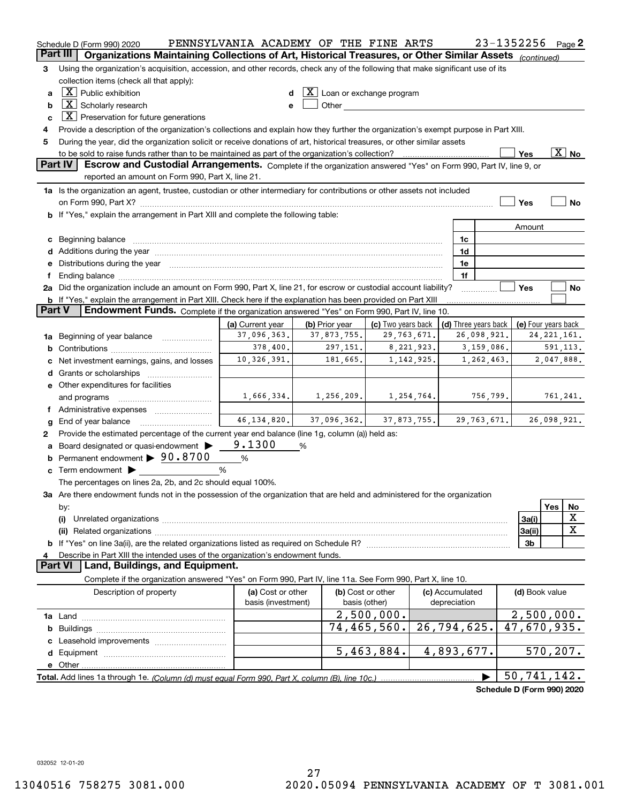|               | Schedule D (Form 990) 2020                                                                                                                                                                                                     | PENNSYLVANIA ACADEMY OF THE FINE ARTS |   |                |                                         |              |                      |               | 23-1352256                 |               | Page 2                   |
|---------------|--------------------------------------------------------------------------------------------------------------------------------------------------------------------------------------------------------------------------------|---------------------------------------|---|----------------|-----------------------------------------|--------------|----------------------|---------------|----------------------------|---------------|--------------------------|
|               | Part III<br>Organizations Maintaining Collections of Art, Historical Treasures, or Other Similar Assets (continued)                                                                                                            |                                       |   |                |                                         |              |                      |               |                            |               |                          |
| 3             | Using the organization's acquisition, accession, and other records, check any of the following that make significant use of its                                                                                                |                                       |   |                |                                         |              |                      |               |                            |               |                          |
|               | collection items (check all that apply):                                                                                                                                                                                       |                                       |   |                |                                         |              |                      |               |                            |               |                          |
| a             | $X$ Public exhibition                                                                                                                                                                                                          |                                       |   |                | $ \mathbf{X} $ Loan or exchange program |              |                      |               |                            |               |                          |
| b             | $\boxed{\text{X}}$ Scholarly research                                                                                                                                                                                          |                                       |   |                |                                         |              |                      |               |                            |               |                          |
| c             | $X$ Preservation for future generations                                                                                                                                                                                        |                                       |   |                |                                         |              |                      |               |                            |               |                          |
| 4             | Provide a description of the organization's collections and explain how they further the organization's exempt purpose in Part XIII.                                                                                           |                                       |   |                |                                         |              |                      |               |                            |               |                          |
| 5             | During the year, did the organization solicit or receive donations of art, historical treasures, or other similar assets                                                                                                       |                                       |   |                |                                         |              |                      |               |                            |               |                          |
|               | to be sold to raise funds rather than to be maintained as part of the organization's collection?                                                                                                                               |                                       |   |                |                                         | . <u>.</u> . |                      |               | Yes                        |               | $\overline{\text{X}}$ No |
|               | <b>Part IV</b><br>Escrow and Custodial Arrangements. Complete if the organization answered "Yes" on Form 990, Part IV, line 9, or<br>reported an amount on Form 990, Part X, line 21.                                          |                                       |   |                |                                         |              |                      |               |                            |               |                          |
|               | 1a Is the organization an agent, trustee, custodian or other intermediary for contributions or other assets not included                                                                                                       |                                       |   |                |                                         |              |                      |               |                            |               |                          |
|               |                                                                                                                                                                                                                                |                                       |   |                |                                         |              |                      |               | Yes                        |               | No                       |
|               | <b>b</b> If "Yes," explain the arrangement in Part XIII and complete the following table:                                                                                                                                      |                                       |   |                |                                         |              |                      |               |                            |               |                          |
|               |                                                                                                                                                                                                                                |                                       |   |                |                                         |              |                      |               | Amount                     |               |                          |
|               | c Beginning balance measurements and the contract of the contract of the contract of the contract of the contract of the contract of the contract of the contract of the contract of the contract of the contract of the contr |                                       |   |                |                                         |              | 1c                   |               |                            |               |                          |
|               |                                                                                                                                                                                                                                |                                       |   |                |                                         |              | 1d                   |               |                            |               |                          |
|               | e Distributions during the year manufactured and an according to the year manufactured and the year manufactur                                                                                                                 |                                       |   |                |                                         |              | 1e                   |               |                            |               |                          |
|               |                                                                                                                                                                                                                                |                                       |   |                |                                         |              | 1f                   |               |                            |               |                          |
|               | 2a Did the organization include an amount on Form 990, Part X, line 21, for escrow or custodial account liability?                                                                                                             |                                       |   |                |                                         |              |                      |               | Yes                        |               | No                       |
|               | <b>b</b> If "Yes," explain the arrangement in Part XIII. Check here if the explanation has been provided on Part XIII                                                                                                          |                                       |   |                |                                         |              |                      |               |                            |               |                          |
| <b>Part V</b> | Endowment Funds. Complete if the organization answered "Yes" on Form 990, Part IV, line 10.                                                                                                                                    |                                       |   |                |                                         |              |                      |               |                            |               |                          |
|               |                                                                                                                                                                                                                                | (a) Current year                      |   | (b) Prior year | (c) Two years back                      |              | (d) Three years back |               | (e) Four years back        |               |                          |
|               | 1a Beginning of year balance                                                                                                                                                                                                   | 37,096,363.                           |   | 37,873,755.    | 29, 763, 671.                           |              |                      | 26,098,921.   |                            | 24, 221, 161. |                          |
|               |                                                                                                                                                                                                                                | 378,400.                              |   | 297,151.       |                                         | 8,221,923.   |                      | 3,159,086.    |                            |               | 591,113.                 |
| c             | Net investment earnings, gains, and losses                                                                                                                                                                                     | 10,326,391.                           |   | 181,665.       |                                         | 1,142,925.   |                      | 1,262,463.    |                            | 2,047,888.    |                          |
|               |                                                                                                                                                                                                                                |                                       |   |                |                                         |              |                      |               |                            |               |                          |
|               | e Other expenditures for facilities                                                                                                                                                                                            |                                       |   |                |                                         |              |                      |               |                            |               |                          |
|               | and programs                                                                                                                                                                                                                   | 1,666,334.                            |   | 1,256,209.     |                                         | 1,254,764.   |                      | 756,799.      |                            |               | 761,241.                 |
|               | f Administrative expenses                                                                                                                                                                                                      |                                       |   |                |                                         |              |                      |               |                            |               |                          |
| g             | End of year balance                                                                                                                                                                                                            | 46, 134, 820.                         |   | 37,096,362.    |                                         | 37,873,755.  |                      | 29, 763, 671. |                            | 26,098,921.   |                          |
| 2             | Provide the estimated percentage of the current year end balance (line 1g, column (a)) held as:                                                                                                                                |                                       |   |                |                                         |              |                      |               |                            |               |                          |
| a             | Board designated or quasi-endowment >                                                                                                                                                                                          | 9.1300                                | % |                |                                         |              |                      |               |                            |               |                          |
|               | <b>b</b> Permanent endowment $\triangleright$ 90.8700                                                                                                                                                                          | %                                     |   |                |                                         |              |                      |               |                            |               |                          |
|               | $\mathbf c$ Term endowment $\blacktriangleright$                                                                                                                                                                               | %                                     |   |                |                                         |              |                      |               |                            |               |                          |
|               | The percentages on lines 2a, 2b, and 2c should equal 100%.                                                                                                                                                                     |                                       |   |                |                                         |              |                      |               |                            |               |                          |
|               | 3a Are there endowment funds not in the possession of the organization that are held and administered for the organization                                                                                                     |                                       |   |                |                                         |              |                      |               |                            |               |                          |
|               | by:                                                                                                                                                                                                                            |                                       |   |                |                                         |              |                      |               |                            | Yes           | No                       |
|               | (i)                                                                                                                                                                                                                            |                                       |   |                |                                         |              |                      |               | 3a(i)                      |               | х                        |
|               |                                                                                                                                                                                                                                |                                       |   |                |                                         |              |                      |               | 3a(ii)                     |               | X                        |
|               |                                                                                                                                                                                                                                |                                       |   |                |                                         |              |                      |               | 3b                         |               |                          |
| 4             | Describe in Part XIII the intended uses of the organization's endowment funds.                                                                                                                                                 |                                       |   |                |                                         |              |                      |               |                            |               |                          |
|               | Land, Buildings, and Equipment.<br><b>Part VI</b>                                                                                                                                                                              |                                       |   |                |                                         |              |                      |               |                            |               |                          |
|               | Complete if the organization answered "Yes" on Form 990, Part IV, line 11a. See Form 990, Part X, line 10.                                                                                                                     |                                       |   |                |                                         |              |                      |               |                            |               |                          |
|               | Description of property                                                                                                                                                                                                        | (a) Cost or other                     |   |                | (b) Cost or other                       |              | (c) Accumulated      |               | (d) Book value             |               |                          |
|               |                                                                                                                                                                                                                                | basis (investment)                    |   |                | basis (other)                           |              | depreciation         |               |                            |               |                          |
|               |                                                                                                                                                                                                                                |                                       |   |                | 2,500,000.                              |              |                      |               | 2,500,000.                 |               |                          |
| b             |                                                                                                                                                                                                                                |                                       |   |                | 74,465,560.                             |              | 26,794,625.          |               | 47,670,935.                |               |                          |
|               |                                                                                                                                                                                                                                |                                       |   |                |                                         |              |                      |               |                            |               |                          |
|               |                                                                                                                                                                                                                                |                                       |   |                | 5,463,884.                              |              | 4,893,677.           |               |                            | 570, 207.     |                          |
|               |                                                                                                                                                                                                                                |                                       |   |                |                                         |              |                      |               |                            |               |                          |
|               |                                                                                                                                                                                                                                |                                       |   |                |                                         |              |                      |               | 50,741,142.                |               |                          |
|               |                                                                                                                                                                                                                                |                                       |   |                |                                         |              |                      |               | Schedule D (Form 990) 2020 |               |                          |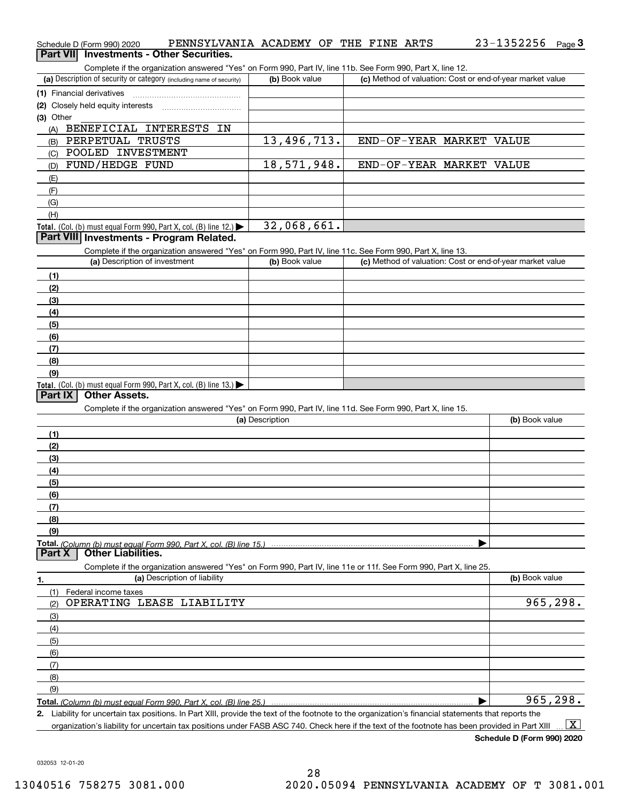| Schedule D (Form 990) 2020                                                                                                                           | PENNSYLVANIA ACADEMY OF THE FINE ARTS | 23-1352256<br>Page $3$                                    |
|------------------------------------------------------------------------------------------------------------------------------------------------------|---------------------------------------|-----------------------------------------------------------|
| Part VII Investments - Other Securities.                                                                                                             |                                       |                                                           |
| Complete if the organization answered "Yes" on Form 990, Part IV, line 11b. See Form 990, Part X, line 12.                                           |                                       |                                                           |
| (a) Description of security or category (including name of security)                                                                                 | (b) Book value                        | (c) Method of valuation: Cost or end-of-year market value |
| (1) Financial derivatives                                                                                                                            |                                       |                                                           |
| (2) Closely held equity interests                                                                                                                    |                                       |                                                           |
| (3) Other                                                                                                                                            |                                       |                                                           |
| BENEFICIAL INTERESTS<br>IN<br>(A)                                                                                                                    |                                       |                                                           |
| PERPETUAL TRUSTS<br>(B)                                                                                                                              | 13,496,713.                           | END-OF-YEAR MARKET VALUE                                  |
| POOLED INVESTMENT<br>(C)                                                                                                                             |                                       |                                                           |
| FUND/HEDGE FUND<br>(D)                                                                                                                               | 18,571,948.                           | END-OF-YEAR MARKET VALUE                                  |
| (E)                                                                                                                                                  |                                       |                                                           |
| (F)                                                                                                                                                  |                                       |                                                           |
| (G)                                                                                                                                                  |                                       |                                                           |
| (H)                                                                                                                                                  |                                       |                                                           |
| Total. (Col. (b) must equal Form 990, Part X, col. (B) line 12.) $\blacktriangleright$                                                               | 32,068,661.                           |                                                           |
| Part VIII Investments - Program Related.                                                                                                             |                                       |                                                           |
| Complete if the organization answered "Yes" on Form 990, Part IV, line 11c. See Form 990, Part X, line 13.<br>(a) Description of investment          | (b) Book value                        |                                                           |
|                                                                                                                                                      |                                       | (c) Method of valuation: Cost or end-of-year market value |
| (1)                                                                                                                                                  |                                       |                                                           |
| (2)                                                                                                                                                  |                                       |                                                           |
| (3)                                                                                                                                                  |                                       |                                                           |
| (4)                                                                                                                                                  |                                       |                                                           |
| (5)                                                                                                                                                  |                                       |                                                           |
| (6)                                                                                                                                                  |                                       |                                                           |
| (7)                                                                                                                                                  |                                       |                                                           |
| (8)                                                                                                                                                  |                                       |                                                           |
| (9)                                                                                                                                                  |                                       |                                                           |
| Total. (Col. (b) must equal Form 990, Part X, col. (B) line $13.$ )<br><b>Other Assets.</b><br>Part IX                                               |                                       |                                                           |
| Complete if the organization answered "Yes" on Form 990, Part IV, line 11d. See Form 990, Part X, line 15.                                           |                                       |                                                           |
|                                                                                                                                                      | (a) Description                       | (b) Book value                                            |
| (1)                                                                                                                                                  |                                       |                                                           |
| (2)                                                                                                                                                  |                                       |                                                           |
| (3)                                                                                                                                                  |                                       |                                                           |
| (4)                                                                                                                                                  |                                       |                                                           |
| (5)                                                                                                                                                  |                                       |                                                           |
| (6)                                                                                                                                                  |                                       |                                                           |
| (7)                                                                                                                                                  |                                       |                                                           |
| (8)                                                                                                                                                  |                                       |                                                           |
| (9)                                                                                                                                                  |                                       |                                                           |
| Total. (Column (b) must equal Form 990. Part X, col. (B) line 15.)                                                                                   |                                       |                                                           |
| <b>Other Liabilities.</b><br>Part X                                                                                                                  |                                       |                                                           |
| Complete if the organization answered "Yes" on Form 990, Part IV, line 11e or 11f. See Form 990, Part X, line 25.                                    |                                       |                                                           |
| (a) Description of liability<br>1.                                                                                                                   |                                       | (b) Book value                                            |
| (1)<br>Federal income taxes                                                                                                                          |                                       |                                                           |
| OPERATING LEASE LIABILITY<br>(2)                                                                                                                     |                                       | 965,298.                                                  |
| (3)                                                                                                                                                  |                                       |                                                           |
| (4)                                                                                                                                                  |                                       |                                                           |
| (5)                                                                                                                                                  |                                       |                                                           |
| (6)                                                                                                                                                  |                                       |                                                           |
| (7)                                                                                                                                                  |                                       |                                                           |
| (8)                                                                                                                                                  |                                       |                                                           |
| (9)                                                                                                                                                  |                                       |                                                           |
| Total. (Column (b) must equal Form 990. Part X, col. (B) line 25.)                                                                                   |                                       | 965, 298.                                                 |
| 2. Liability for uncertain tax positions. In Part XIII, provide the text of the footnote to the organization's financial statements that reports the |                                       |                                                           |
| organization's liability for uncertain tax positions under FASB ASC 740. Check here if the text of the footnote has been provided in Part XIII       |                                       | $\boxed{\text{X}}$                                        |

032053 12-01-20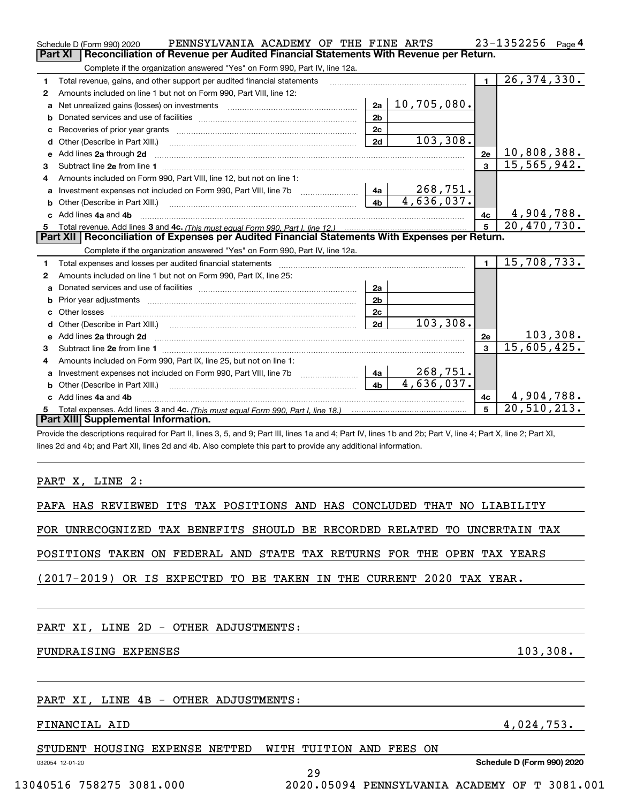|   | PENNSYLVANIA ACADEMY OF THE FINE ARTS<br>Schedule D (Form 990) 2020                                                                                                                                                                 |                |                           |                | 23-1352256<br>Page 4        |
|---|-------------------------------------------------------------------------------------------------------------------------------------------------------------------------------------------------------------------------------------|----------------|---------------------------|----------------|-----------------------------|
|   | Part XI<br>Reconciliation of Revenue per Audited Financial Statements With Revenue per Return.                                                                                                                                      |                |                           |                |                             |
|   | Complete if the organization answered "Yes" on Form 990, Part IV, line 12a.                                                                                                                                                         |                |                           |                |                             |
| 1 | Total revenue, gains, and other support per audited financial statements                                                                                                                                                            |                |                           | $\blacksquare$ | 26, 374, 330.               |
| 2 | Amounts included on line 1 but not on Form 990, Part VIII, line 12:                                                                                                                                                                 |                |                           |                |                             |
| a |                                                                                                                                                                                                                                     | 2a             | 10,705,080.               |                |                             |
| b |                                                                                                                                                                                                                                     | 2 <sub>b</sub> |                           |                |                             |
|   |                                                                                                                                                                                                                                     | 2c             |                           |                |                             |
| d |                                                                                                                                                                                                                                     | 2d             | 103,308.                  |                |                             |
| e | Add lines 2a through 2d                                                                                                                                                                                                             |                |                           | 2e             | 10,808,388.                 |
| 3 |                                                                                                                                                                                                                                     |                |                           | 3              | $\overline{15}$ , 565, 942. |
| 4 | Amounts included on Form 990, Part VIII, line 12, but not on line 1:                                                                                                                                                                |                |                           |                |                             |
| a |                                                                                                                                                                                                                                     |                | 268,751.                  |                |                             |
|   | Other (Describe in Part XIII.) <b>2006</b> 2007 2010 2010 2010 2010 2011 2012 2013 2014 2014 2015 2016 2017 2018 2019 2016 2017 2018 2019 2016 2017 2018 2019 2016 2017 2018 2019 2018 2019 2019 2016 2017 2018 2019 2018 2019 2019 | 4 <sub>b</sub> | $\overline{4,636}$ , 037. |                |                             |
|   | c Add lines 4a and 4b                                                                                                                                                                                                               |                |                           | 4c             | 4,904,788.                  |
|   |                                                                                                                                                                                                                                     |                |                           |                |                             |
|   |                                                                                                                                                                                                                                     |                |                           | 5 <sup>1</sup> | 20,470,730.                 |
|   | Part XII   Reconciliation of Expenses per Audited Financial Statements With Expenses per Return.                                                                                                                                    |                |                           |                |                             |
|   | Complete if the organization answered "Yes" on Form 990, Part IV, line 12a.                                                                                                                                                         |                |                           |                |                             |
| 1 | Total expenses and losses per audited financial statements                                                                                                                                                                          |                |                           | $\blacksquare$ | 15,708,733.                 |
| 2 | Amounts included on line 1 but not on Form 990, Part IX, line 25:                                                                                                                                                                   |                |                           |                |                             |
| a |                                                                                                                                                                                                                                     | 2a             |                           |                |                             |
| b |                                                                                                                                                                                                                                     | 2 <sub>b</sub> |                           |                |                             |
|   | Other losses                                                                                                                                                                                                                        | 2c             |                           |                |                             |
| d |                                                                                                                                                                                                                                     | 2d             | 103,308.                  |                |                             |
|   |                                                                                                                                                                                                                                     |                |                           | 2e             | 103, 308.                   |
| 3 |                                                                                                                                                                                                                                     |                |                           | 3              | 15,605,425.                 |
| 4 | Amounts included on Form 990, Part IX, line 25, but not on line 1:                                                                                                                                                                  |                |                           |                |                             |
| a | Investment expenses not included on Form 990, Part VIII, line 7b [1000000000000000000000000000000000                                                                                                                                | <u>  4</u> a │ | 268,751.                  |                |                             |
|   | Other (Describe in Part XIII.)                                                                                                                                                                                                      | 4 <sub>b</sub> | 4,636,037.                |                |                             |
|   | c Add lines 4a and 4b                                                                                                                                                                                                               |                |                           | 4c             | 4,904,788.                  |
|   | Part XIII Supplemental Information.                                                                                                                                                                                                 |                |                           | 5              | 20, 510, 213.               |

Provide the descriptions required for Part II, lines 3, 5, and 9; Part III, lines 1a and 4; Part IV, lines 1b and 2b; Part V, line 4; Part X, line 2; Part XI, lines 2d and 4b; and Part XII, lines 2d and 4b. Also complete this part to provide any additional information.

## PART X, LINE 2:

|  |  |  |  | PAFA HAS REVIEWED ITS TAX POSITIONS AND HAS CONCLUDED THAT NO LIABILITY   |  |  |
|--|--|--|--|---------------------------------------------------------------------------|--|--|
|  |  |  |  |                                                                           |  |  |
|  |  |  |  | FOR UNRECOGNIZED TAX BENEFITS SHOULD BE RECORDED RELATED TO UNCERTAIN TAX |  |  |
|  |  |  |  |                                                                           |  |  |
|  |  |  |  | POSITIONS TAKEN ON FEDERAL AND STATE TAX RETURNS FOR THE OPEN TAX YEARS   |  |  |
|  |  |  |  |                                                                           |  |  |
|  |  |  |  | (2017-2019) OR IS EXPECTED TO BE TAKEN IN THE CURRENT 2020 TAX YEAR.      |  |  |
|  |  |  |  |                                                                           |  |  |

29

|  |  |  |  |  |  | PART XI, LINE 2D - OTHER ADJUSTMENTS: |
|--|--|--|--|--|--|---------------------------------------|
|--|--|--|--|--|--|---------------------------------------|

## FUNDRAISING EXPENSES 103, 103, 108.

## PART XI, LINE 4B - OTHER ADJUSTMENTS:

## FINANCIAL AID 4,024,753.

| STUDENT HOUSING EXPENSE NETTED WITH TUITION AND FEES ON |  |  |  |  |
|---------------------------------------------------------|--|--|--|--|

032054 12-01-20

**Schedule D (Form 990) 2020**

13040516 758275 3081.000 2020.05094 PENNSYLVANIA ACADEMY OF T 3081.001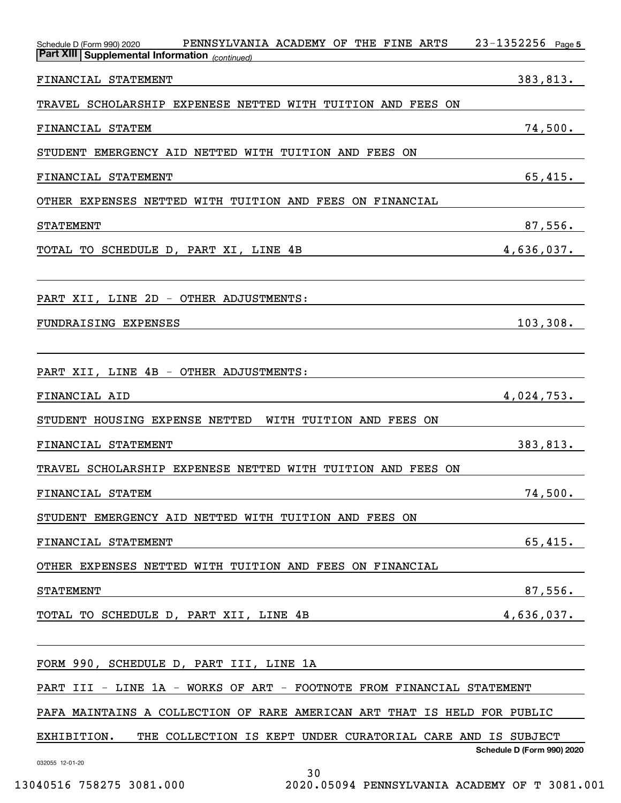| PENNSYLVANIA ACADEMY OF THE FINE ARTS<br>Schedule D (Form 990) 2020<br><b>Part XIII Supplemental Information</b> (continued) | $23 - 1352256$ Page 5      |
|------------------------------------------------------------------------------------------------------------------------------|----------------------------|
| FINANCIAL STATEMENT                                                                                                          | 383,813.                   |
| TRAVEL SCHOLARSHIP EXPENESE NETTED WITH TUITION AND<br>FEES ON                                                               |                            |
| FINANCIAL STATEM                                                                                                             | 74,500.                    |
| STUDENT EMERGENCY AID NETTED WITH TUITION AND FEES ON                                                                        |                            |
| FINANCIAL STATEMENT                                                                                                          | 65,415.                    |
| OTHER EXPENSES NETTED WITH TUITION AND FEES ON FINANCIAL                                                                     |                            |
| <b>STATEMENT</b>                                                                                                             | 87,556.                    |
| TOTAL TO SCHEDULE D, PART XI, LINE 4B                                                                                        | 4,636,037.                 |
| PART XII, LINE 2D - OTHER ADJUSTMENTS:                                                                                       |                            |
| <b>FUNDRAISING EXPENSES</b>                                                                                                  | 103, 308.                  |
|                                                                                                                              |                            |
| PART XII, LINE 4B - OTHER ADJUSTMENTS:                                                                                       |                            |
| FINANCIAL AID                                                                                                                | 4,024,753.                 |
| STUDENT HOUSING EXPENSE NETTED<br>WITH TUITION AND FEES<br>0N                                                                |                            |
| FINANCIAL STATEMENT                                                                                                          | 383,813.                   |
| TRAVEL SCHOLARSHIP EXPENESE NETTED WITH TUITION AND FEES ON                                                                  |                            |
| FINANCIAL STATEM                                                                                                             | 74,500.                    |
| STUDENT EMERGENCY AID NETTED WITH TUITION AND FEES ON                                                                        |                            |
| FINANCIAL STATEMENT                                                                                                          | 65,415.                    |
| OTHER EXPENSES NETTED WITH TUITION AND FEES ON FINANCIAL                                                                     |                            |
| <b>STATEMENT</b>                                                                                                             | 87,556.                    |
| TOTAL TO SCHEDULE D, PART XII, LINE 4B                                                                                       | 4,636,037.                 |
|                                                                                                                              |                            |
| FORM 990, SCHEDULE D, PART III, LINE 1A                                                                                      |                            |
| PART III - LINE 1A - WORKS OF ART - FOOTNOTE FROM FINANCIAL STATEMENT                                                        |                            |
| PAFA MAINTAINS A COLLECTION OF RARE AMERICAN ART THAT IS HELD FOR PUBLIC                                                     |                            |
| EXHIBITION.<br>THE COLLECTION IS KEPT UNDER CURATORIAL CARE AND IS SUBJECT                                                   | Schedule D (Form 990) 2020 |
| 032055 12-01-20<br>30                                                                                                        |                            |

13040516 758275 3081.000 2020.05094 PENNSYLVANIA ACADEMY OF T 3081.001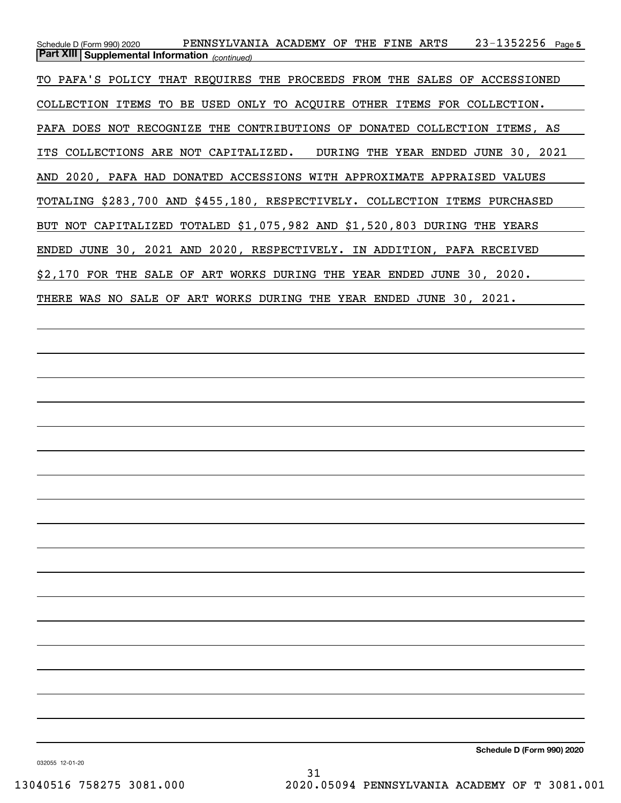23-1352256 Page 5 *(continued)* **Part XIII Supplemental Information**  Schedule D (Form 990) 2020 PENNSYLVANIA ACADEMY OF THE FINE ARTS 23-1352256 <sub>Page</sub> TO PAFA'S POLICY THAT REQUIRES THE PROCEEDS FROM THE SALES OF ACCESSIONED COLLECTION ITEMS TO BE USED ONLY TO ACQUIRE OTHER ITEMS FOR COLLECTION. PAFA DOES NOT RECOGNIZE THE CONTRIBUTIONS OF DONATED COLLECTION ITEMS, AS ITS COLLECTIONS ARE NOT CAPITALIZED. DURING THE YEAR ENDED JUNE 30, 2021 AND 2020, PAFA HAD DONATED ACCESSIONS WITH APPROXIMATE APPRAISED VALUES TOTALING \$283,700 AND \$455,180, RESPECTIVELY. COLLECTION ITEMS PURCHASED BUT NOT CAPITALIZED TOTALED \$1,075,982 AND \$1,520,803 DURING THE YEARS ENDED JUNE 30, 2021 AND 2020, RESPECTIVELY. IN ADDITION, PAFA RECEIVED \$2,170 FOR THE SALE OF ART WORKS DURING THE YEAR ENDED JUNE 30, 2020. THERE WAS NO SALE OF ART WORKS DURING THE YEAR ENDED JUNE 30, 2021.

**Schedule D (Form 990) 2020**

032055 12-01-20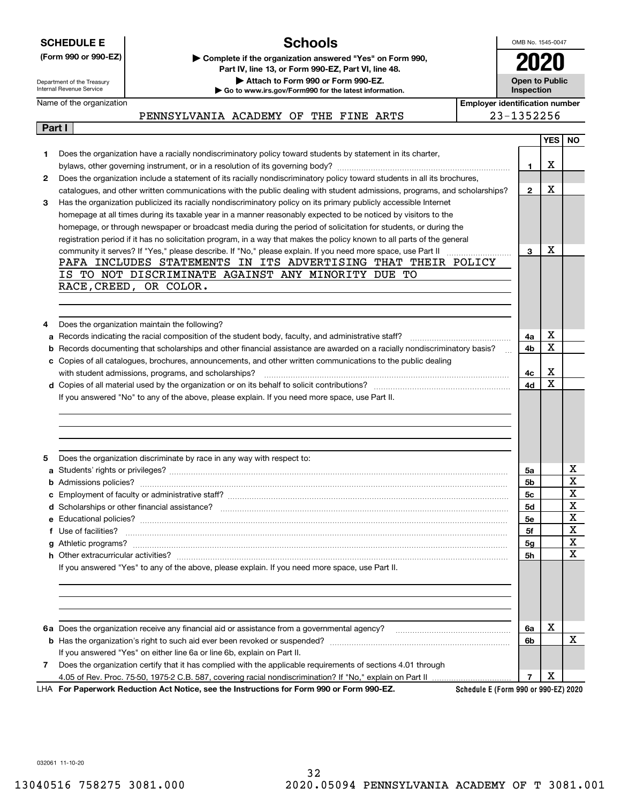|  | <b>SCHEDULE E</b> |  |
|--|-------------------|--|
|  |                   |  |

## **Schools**

OMB No. 1545-0047 **2020**

**Open to Public**

Department of the Treasury Internal Revenue Service

**Part I**

**(Form 990 or 990-EZ) | Complete if the organization answered "Yes" on Form 990, Part IV, line 13, or Form 990-EZ, Part VI, line 48. | Attach to Form 990 or Form 990-EZ.**

**| Go to www.irs.gov/Form990 for the latest information.**

Name of the organization

**InspectionEmployer identification number**

PENNSYLVANIA ACADEMY OF THE FINE ARTS 23-1352256

|   |                                                                                                                                         |                | <b>YES</b>   NO |             |
|---|-----------------------------------------------------------------------------------------------------------------------------------------|----------------|-----------------|-------------|
| 1 | Does the organization have a racially nondiscriminatory policy toward students by statement in its charter,                             |                |                 |             |
|   |                                                                                                                                         | 1              | x               |             |
| 2 | Does the organization include a statement of its racially nondiscriminatory policy toward students in all its brochures,                |                |                 |             |
|   | catalogues, and other written communications with the public dealing with student admissions, programs, and scholarships?               | $\mathbf{2}$   | x               |             |
| 3 | Has the organization publicized its racially nondiscriminatory policy on its primary publicly accessible Internet                       |                |                 |             |
|   | homepage at all times during its taxable year in a manner reasonably expected to be noticed by visitors to the                          |                |                 |             |
|   | homepage, or through newspaper or broadcast media during the period of solicitation for students, or during the                         |                |                 |             |
|   | registration period if it has no solicitation program, in a way that makes the policy known to all parts of the general                 |                |                 |             |
|   |                                                                                                                                         | 3              | X               |             |
|   | PAFA INCLUDES STATEMENTS IN ITS ADVERTISING THAT THEIR POLICY                                                                           |                |                 |             |
|   | IS TO NOT DISCRIMINATE AGAINST ANY MINORITY DUE TO                                                                                      |                |                 |             |
|   | RACE, CREED, OR COLOR.                                                                                                                  |                |                 |             |
|   |                                                                                                                                         |                |                 |             |
|   |                                                                                                                                         |                |                 |             |
| 4 | Does the organization maintain the following?                                                                                           |                |                 |             |
| a |                                                                                                                                         | 4a             | X               |             |
| b | Records documenting that scholarships and other financial assistance are awarded on a racially nondiscriminatory basis?<br>$\mathbf{r}$ | 4b             | X               |             |
| с | Copies of all catalogues, brochures, announcements, and other written communications to the public dealing                              |                |                 |             |
|   |                                                                                                                                         | 4с             | x               |             |
|   |                                                                                                                                         | 4d             | Χ               |             |
|   | If you answered "No" to any of the above, please explain. If you need more space, use Part II.                                          |                |                 |             |
|   |                                                                                                                                         |                |                 |             |
|   |                                                                                                                                         |                |                 |             |
|   |                                                                                                                                         |                |                 |             |
|   |                                                                                                                                         |                |                 |             |
| 5 | Does the organization discriminate by race in any way with respect to:                                                                  |                |                 |             |
| a |                                                                                                                                         | 5a             |                 | х           |
| b |                                                                                                                                         | 5b             |                 | $\mathbf X$ |
| с |                                                                                                                                         | 5с             |                 | X           |
|   |                                                                                                                                         | <b>5d</b>      |                 | х           |
| е |                                                                                                                                         | 5e             |                 | х           |
| f | Use of facilities? <b>With the Contract of the Contract of the Contract of Tacilities</b> of facilities?                                | 5f             |                 | X           |
|   |                                                                                                                                         | 5 <sub>g</sub> |                 | $\mathbf X$ |
|   |                                                                                                                                         | 5h             |                 | X           |
|   | If you answered "Yes" to any of the above, please explain. If you need more space, use Part II.                                         |                |                 |             |
|   |                                                                                                                                         |                |                 |             |
|   |                                                                                                                                         |                |                 |             |
|   |                                                                                                                                         |                |                 |             |
|   |                                                                                                                                         |                |                 |             |
|   | 6a Does the organization receive any financial aid or assistance from a governmental agency?                                            | 6a             | X               |             |
|   |                                                                                                                                         | 6b             |                 | х           |
|   | If you answered "Yes" on either line 6a or line 6b, explain on Part II.                                                                 |                |                 |             |
| 7 | Does the organization certify that it has complied with the applicable requirements of sections 4.01 through                            |                |                 |             |
|   | 4.05 of Rev. Proc. 75-50, 1975-2 C.B. 587, covering racial nondiscrimination? If "No," explain on Part II                               | $\overline{7}$ | х               |             |
|   | Schedule E (Form 990 or 990-EZ) 2020<br>LHA For Paperwork Reduction Act Notice, see the Instructions for Form 990 or Form 990-EZ.       |                |                 |             |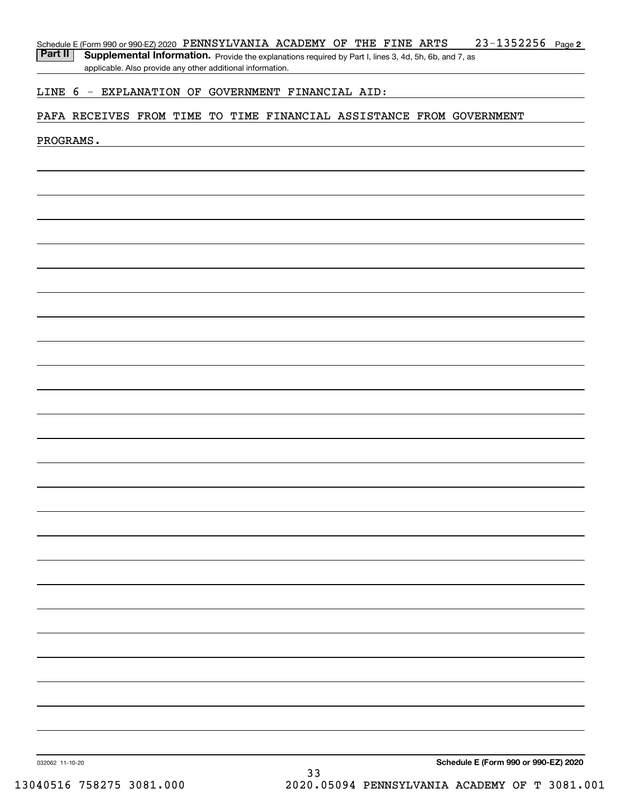Part II | Supplemental Information. Provide the explanations required by Part I, lines 3, 4d, 5h, 6b, and 7, as applicable. Also provide any other additional information.

## LINE 6 - EXPLANATION OF GOVERNMENT FINANCIAL AID:

## PAFA RECEIVES FROM TIME TO TIME FINANCIAL ASSISTANCE FROM GOVERNMENT

### PROGRAMS.

**Schedule E (Form 990 or 990-EZ) 2020**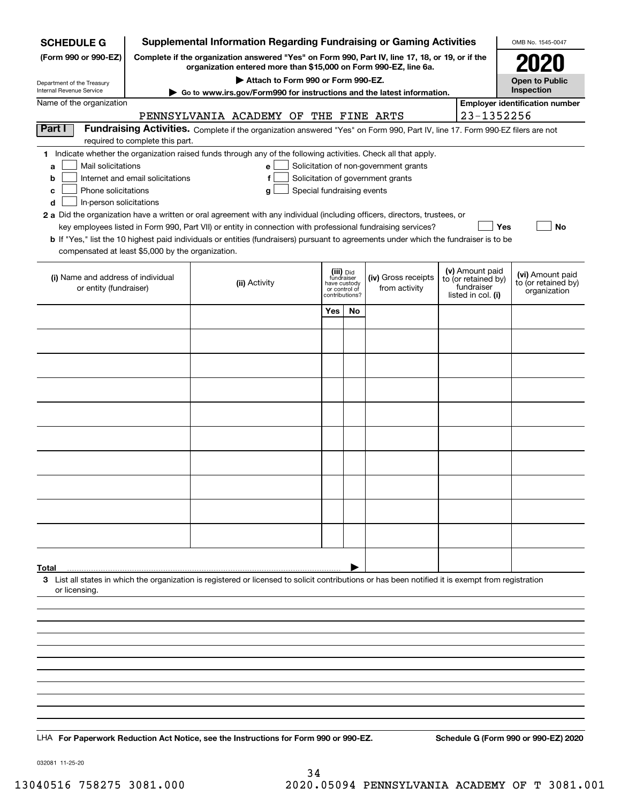| <b>Supplemental Information Regarding Fundraising or Gaming Activities</b><br><b>SCHEDULE G</b><br>OMB No. 1545-0047 |                                  |                                                                                                                                                                     |                                                                            |    |                                                                            |  |                                                                            |                                                         |  |  |
|----------------------------------------------------------------------------------------------------------------------|----------------------------------|---------------------------------------------------------------------------------------------------------------------------------------------------------------------|----------------------------------------------------------------------------|----|----------------------------------------------------------------------------|--|----------------------------------------------------------------------------|---------------------------------------------------------|--|--|
| (Form 990 or 990-EZ)                                                                                                 |                                  | Complete if the organization answered "Yes" on Form 990, Part IV, line 17, 18, or 19, or if the<br>organization entered more than \$15,000 on Form 990-EZ, line 6a. |                                                                            |    |                                                                            |  |                                                                            |                                                         |  |  |
| Department of the Treasury                                                                                           |                                  | Attach to Form 990 or Form 990-EZ.                                                                                                                                  |                                                                            |    |                                                                            |  |                                                                            | <b>Open to Public</b>                                   |  |  |
| Internal Revenue Service                                                                                             |                                  | ► Go to www.irs.gov/Form990 for instructions and the latest information.                                                                                            |                                                                            |    |                                                                            |  |                                                                            | Inspection                                              |  |  |
| Name of the organization                                                                                             |                                  | PENNSYLVANIA ACADEMY OF                                                                                                                                             |                                                                            |    | THE FINE ARTS                                                              |  | 23-1352256                                                                 | <b>Employer identification number</b>                   |  |  |
| Part I                                                                                                               |                                  | Fundraising Activities. Complete if the organization answered "Yes" on Form 990, Part IV, line 17. Form 990-EZ filers are not                                       |                                                                            |    |                                                                            |  |                                                                            |                                                         |  |  |
|                                                                                                                      | required to complete this part.  | 1 Indicate whether the organization raised funds through any of the following activities. Check all that apply.                                                     |                                                                            |    |                                                                            |  |                                                                            |                                                         |  |  |
| Mail solicitations<br>a<br>b                                                                                         | Internet and email solicitations | e<br>f                                                                                                                                                              |                                                                            |    | Solicitation of non-government grants<br>Solicitation of government grants |  |                                                                            |                                                         |  |  |
| Phone solicitations<br>c                                                                                             |                                  | Special fundraising events<br>g                                                                                                                                     |                                                                            |    |                                                                            |  |                                                                            |                                                         |  |  |
| In-person solicitations<br>d                                                                                         |                                  |                                                                                                                                                                     |                                                                            |    |                                                                            |  |                                                                            |                                                         |  |  |
|                                                                                                                      |                                  | 2 a Did the organization have a written or oral agreement with any individual (including officers, directors, trustees, or                                          |                                                                            |    |                                                                            |  |                                                                            |                                                         |  |  |
|                                                                                                                      |                                  | key employees listed in Form 990, Part VII) or entity in connection with professional fundraising services?                                                         |                                                                            |    |                                                                            |  | Yes                                                                        | No                                                      |  |  |
| compensated at least \$5,000 by the organization.                                                                    |                                  | <b>b</b> If "Yes," list the 10 highest paid individuals or entities (fundraisers) pursuant to agreements under which the fundraiser is to be                        |                                                                            |    |                                                                            |  |                                                                            |                                                         |  |  |
|                                                                                                                      |                                  |                                                                                                                                                                     |                                                                            |    |                                                                            |  |                                                                            |                                                         |  |  |
| (i) Name and address of individual<br>or entity (fundraiser)                                                         |                                  | (ii) Activity                                                                                                                                                       | (iii) Did<br>fundraiser<br>have custody<br>or control of<br>contributions? |    | (iv) Gross receipts<br>from activity                                       |  | (v) Amount paid<br>to (or retained by)<br>fundraiser<br>listed in col. (i) | (vi) Amount paid<br>to (or retained by)<br>organization |  |  |
|                                                                                                                      |                                  |                                                                                                                                                                     | Yes                                                                        | No |                                                                            |  |                                                                            |                                                         |  |  |
|                                                                                                                      |                                  |                                                                                                                                                                     |                                                                            |    |                                                                            |  |                                                                            |                                                         |  |  |
|                                                                                                                      |                                  |                                                                                                                                                                     |                                                                            |    |                                                                            |  |                                                                            |                                                         |  |  |
|                                                                                                                      |                                  |                                                                                                                                                                     |                                                                            |    |                                                                            |  |                                                                            |                                                         |  |  |
|                                                                                                                      |                                  |                                                                                                                                                                     |                                                                            |    |                                                                            |  |                                                                            |                                                         |  |  |
|                                                                                                                      |                                  |                                                                                                                                                                     |                                                                            |    |                                                                            |  |                                                                            |                                                         |  |  |
|                                                                                                                      |                                  |                                                                                                                                                                     |                                                                            |    |                                                                            |  |                                                                            |                                                         |  |  |
|                                                                                                                      |                                  |                                                                                                                                                                     |                                                                            |    |                                                                            |  |                                                                            |                                                         |  |  |
|                                                                                                                      |                                  |                                                                                                                                                                     |                                                                            |    |                                                                            |  |                                                                            |                                                         |  |  |
|                                                                                                                      |                                  |                                                                                                                                                                     |                                                                            |    |                                                                            |  |                                                                            |                                                         |  |  |
|                                                                                                                      |                                  |                                                                                                                                                                     |                                                                            |    |                                                                            |  |                                                                            |                                                         |  |  |
|                                                                                                                      |                                  |                                                                                                                                                                     |                                                                            |    |                                                                            |  |                                                                            |                                                         |  |  |
| Total                                                                                                                |                                  |                                                                                                                                                                     |                                                                            |    |                                                                            |  |                                                                            |                                                         |  |  |
| or licensing.                                                                                                        |                                  | 3 List all states in which the organization is registered or licensed to solicit contributions or has been notified it is exempt from registration                  |                                                                            |    |                                                                            |  |                                                                            |                                                         |  |  |
|                                                                                                                      |                                  |                                                                                                                                                                     |                                                                            |    |                                                                            |  |                                                                            |                                                         |  |  |
|                                                                                                                      |                                  |                                                                                                                                                                     |                                                                            |    |                                                                            |  |                                                                            |                                                         |  |  |
|                                                                                                                      |                                  |                                                                                                                                                                     |                                                                            |    |                                                                            |  |                                                                            |                                                         |  |  |
|                                                                                                                      |                                  |                                                                                                                                                                     |                                                                            |    |                                                                            |  |                                                                            |                                                         |  |  |
|                                                                                                                      |                                  |                                                                                                                                                                     |                                                                            |    |                                                                            |  |                                                                            |                                                         |  |  |
|                                                                                                                      |                                  |                                                                                                                                                                     |                                                                            |    |                                                                            |  |                                                                            |                                                         |  |  |
|                                                                                                                      |                                  |                                                                                                                                                                     |                                                                            |    |                                                                            |  |                                                                            |                                                         |  |  |
|                                                                                                                      |                                  |                                                                                                                                                                     |                                                                            |    |                                                                            |  |                                                                            |                                                         |  |  |
|                                                                                                                      |                                  |                                                                                                                                                                     |                                                                            |    |                                                                            |  |                                                                            |                                                         |  |  |
|                                                                                                                      |                                  | LHA For Paperwork Reduction Act Notice, see the Instructions for Form 990 or 990-EZ.                                                                                |                                                                            |    |                                                                            |  |                                                                            | Schedule G (Form 990 or 990-EZ) 2020                    |  |  |

032081 11-25-20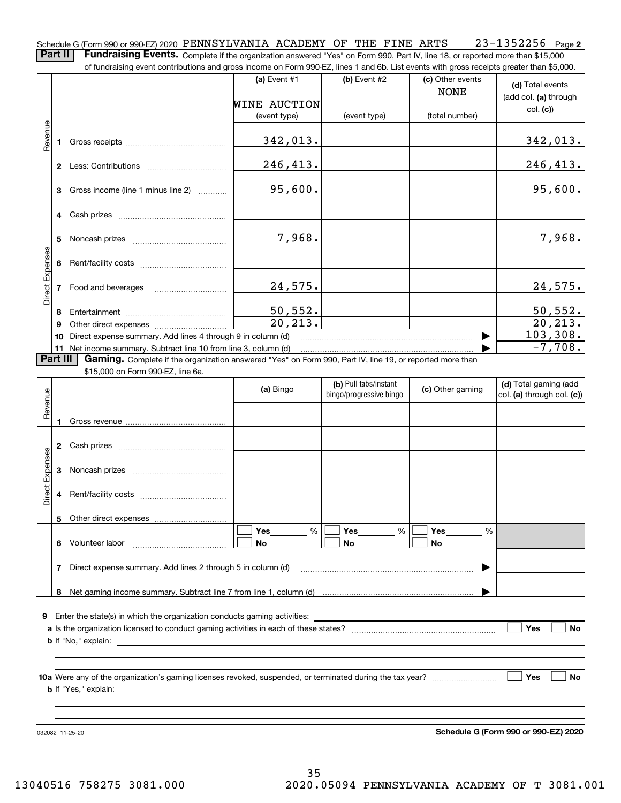| Schedule G (Form 990 or 990-EZ) 2020 PENNSYLVANIA ACADEMY OF THE FINE ARTS                                                                   |  |  |  | 23-1352256 Page2 |  |
|----------------------------------------------------------------------------------------------------------------------------------------------|--|--|--|------------------|--|
| <b>Part II</b> Fundraising Events. Complete if the organization answered "Yes" on Form 990, Part IV, line 18, or reported more than \$15,000 |  |  |  |                  |  |

of fundraising event contributions and gross income on Form 990-EZ, lines 1 and 6b. List events with gross receipts greater than \$5,000.

|                 |    | ה תחתו מושון כעכות כטותו וטענטו שפות קו טשט ווכטו וכ טו דיטוווו טטטיבב, ווווכט דיפות טט. בואג כעכותט אתנו קו טשט וכככוןנא קו כפנכו מופח קט,טטט. |                     |                                                  |                                 |                                                         |
|-----------------|----|-------------------------------------------------------------------------------------------------------------------------------------------------|---------------------|--------------------------------------------------|---------------------------------|---------------------------------------------------------|
|                 |    |                                                                                                                                                 | (a) Event $#1$      | (b) Event $#2$                                   | (c) Other events<br><b>NONE</b> | (d) Total events<br>(add col. (a) through               |
|                 |    |                                                                                                                                                 | <b>WINE AUCTION</b> |                                                  |                                 | col. (c)                                                |
|                 |    |                                                                                                                                                 | (event type)        | (event type)                                     | (total number)                  |                                                         |
| Revenue         | 1  |                                                                                                                                                 | 342,013.            |                                                  |                                 | 342,013.                                                |
|                 |    |                                                                                                                                                 | 246,413.            |                                                  |                                 | 246,413.                                                |
|                 | 3  | Gross income (line 1 minus line 2)                                                                                                              | 95,600.             |                                                  |                                 | 95,600.                                                 |
|                 |    |                                                                                                                                                 |                     |                                                  |                                 |                                                         |
|                 | 5  |                                                                                                                                                 | 7,968.              |                                                  |                                 | 7,968.                                                  |
| Direct Expenses | 6  |                                                                                                                                                 |                     |                                                  |                                 |                                                         |
|                 |    |                                                                                                                                                 | 24,575.             |                                                  |                                 | 24,575.                                                 |
|                 | 8  |                                                                                                                                                 | 50, 552.            |                                                  |                                 | 50, 552.                                                |
|                 | 9  |                                                                                                                                                 | 20, 213.            |                                                  |                                 | 20, 213.                                                |
|                 | 10 | Direct expense summary. Add lines 4 through 9 in column (d)                                                                                     |                     |                                                  |                                 | 103,308.                                                |
|                 | 11 | Net income summary. Subtract line 10 from line 3, column (d)                                                                                    |                     |                                                  |                                 | $-7,708.$                                               |
| Part III        |    | Gaming. Complete if the organization answered "Yes" on Form 990, Part IV, line 19, or reported more than                                        |                     |                                                  |                                 |                                                         |
|                 |    | \$15,000 on Form 990-EZ, line 6a.                                                                                                               |                     |                                                  |                                 |                                                         |
| Revenue         |    |                                                                                                                                                 | (a) Bingo           | (b) Pull tabs/instant<br>bingo/progressive bingo | (c) Other gaming                | (d) Total gaming (add<br>$ col. (a)$ through col. $(c)$ |
|                 | 1  |                                                                                                                                                 |                     |                                                  |                                 |                                                         |
|                 | 2  |                                                                                                                                                 |                     |                                                  |                                 |                                                         |
| Direct Expenses | 3  |                                                                                                                                                 |                     |                                                  |                                 |                                                         |
|                 | 4  |                                                                                                                                                 |                     |                                                  |                                 |                                                         |
|                 |    | 5 Other direct expenses                                                                                                                         |                     |                                                  |                                 |                                                         |
|                 |    |                                                                                                                                                 | Yes<br>%            | Yes<br>%                                         | Yes<br>%                        |                                                         |
|                 | 6  | Volunteer labor                                                                                                                                 | No                  | No                                               | No                              |                                                         |
|                 | 7  | Direct expense summary. Add lines 2 through 5 in column (d)                                                                                     |                     |                                                  |                                 |                                                         |
|                 | 8  |                                                                                                                                                 |                     |                                                  |                                 |                                                         |
|                 |    |                                                                                                                                                 |                     |                                                  |                                 |                                                         |
| 9               |    | Enter the state(s) in which the organization conducts gaming activities:                                                                        |                     | <u> 1980 - Andrea Andrew Maria (h. 1980).</u>    |                                 |                                                         |
|                 |    |                                                                                                                                                 |                     |                                                  |                                 | Yes<br><b>No</b>                                        |
|                 |    |                                                                                                                                                 |                     |                                                  |                                 |                                                         |
|                 |    |                                                                                                                                                 |                     |                                                  |                                 |                                                         |
|                 |    |                                                                                                                                                 |                     |                                                  |                                 |                                                         |
|                 |    |                                                                                                                                                 |                     |                                                  |                                 | ∣ Yes<br>No                                             |
|                 |    |                                                                                                                                                 |                     |                                                  |                                 |                                                         |
|                 |    |                                                                                                                                                 |                     |                                                  |                                 |                                                         |
|                 |    |                                                                                                                                                 |                     |                                                  |                                 |                                                         |
|                 |    | 032082 11-25-20                                                                                                                                 |                     |                                                  |                                 | Schedule G (Form 990 or 990-EZ) 2020                    |

**Schedule G (Form 990 or 990-EZ) 2020**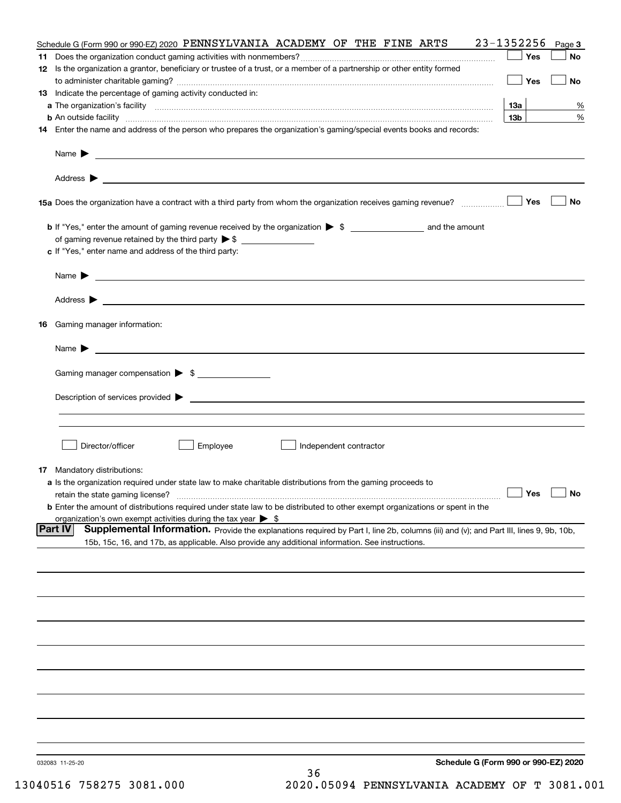|    | Schedule G (Form 990 or 990-EZ) 2020 PENNSYLVANIA ACADEMY OF THE FINE ARTS                                                                                                                                                                                            | 23-1352256        | Page 3                      |
|----|-----------------------------------------------------------------------------------------------------------------------------------------------------------------------------------------------------------------------------------------------------------------------|-------------------|-----------------------------|
|    |                                                                                                                                                                                                                                                                       | Yes               | No                          |
|    | 12 Is the organization a grantor, beneficiary or trustee of a trust, or a member of a partnership or other entity formed                                                                                                                                              |                   |                             |
|    |                                                                                                                                                                                                                                                                       | Yes               | No                          |
|    | 13 Indicate the percentage of gaming activity conducted in:                                                                                                                                                                                                           |                   |                             |
|    |                                                                                                                                                                                                                                                                       | 13а               | %                           |
|    | <b>b</b> An outside facility <b>contract and the contract of the contract of the contract of the contract of the contract of the contract of the contract of the contract of the contract of the contract of the contract of the cont</b>                             | 13 <sub>b</sub>   | %                           |
|    | 14 Enter the name and address of the person who prepares the organization's gaming/special events books and records:                                                                                                                                                  |                   |                             |
|    |                                                                                                                                                                                                                                                                       |                   |                             |
|    | Name $\blacktriangleright$<br><u>and the state of the state of the state of the state of the state of the state of the state of the state of the state of the state of the state of the state of the state of the state of the state of the state of the state</u>    |                   |                             |
|    |                                                                                                                                                                                                                                                                       |                   |                             |
|    |                                                                                                                                                                                                                                                                       |                   |                             |
|    |                                                                                                                                                                                                                                                                       |                   |                             |
|    |                                                                                                                                                                                                                                                                       | Yes               | No                          |
|    |                                                                                                                                                                                                                                                                       |                   |                             |
|    |                                                                                                                                                                                                                                                                       |                   |                             |
|    |                                                                                                                                                                                                                                                                       |                   |                             |
|    | c If "Yes," enter name and address of the third party:                                                                                                                                                                                                                |                   |                             |
|    |                                                                                                                                                                                                                                                                       |                   |                             |
|    | <u> 1980 - Johann Barbara, martin amerikan personal (</u><br>Name $\blacktriangleright$                                                                                                                                                                               |                   |                             |
|    |                                                                                                                                                                                                                                                                       |                   |                             |
|    | Address $\blacktriangleright$<br><u>state and the state of the state of the state of the state of the state of the state of the state of the state of the state of the state of the state of the state of the state of the state of the state of the state of the</u> |                   |                             |
|    |                                                                                                                                                                                                                                                                       |                   |                             |
| 16 | Gaming manager information:                                                                                                                                                                                                                                           |                   |                             |
|    |                                                                                                                                                                                                                                                                       |                   |                             |
|    |                                                                                                                                                                                                                                                                       |                   |                             |
|    | Name $\blacktriangleright$                                                                                                                                                                                                                                            |                   |                             |
|    |                                                                                                                                                                                                                                                                       |                   |                             |
|    | Gaming manager compensation > \$                                                                                                                                                                                                                                      |                   |                             |
|    |                                                                                                                                                                                                                                                                       |                   |                             |
|    | $\blacksquare$ Description of services provided $\blacktriangleright$                                                                                                                                                                                                 |                   |                             |
|    |                                                                                                                                                                                                                                                                       |                   |                             |
|    |                                                                                                                                                                                                                                                                       |                   |                             |
|    |                                                                                                                                                                                                                                                                       |                   |                             |
|    | Director/officer<br>Employee<br>Independent contractor                                                                                                                                                                                                                |                   |                             |
|    |                                                                                                                                                                                                                                                                       |                   |                             |
|    | <b>17</b> Mandatory distributions:                                                                                                                                                                                                                                    |                   |                             |
|    | a Is the organization required under state law to make charitable distributions from the gaming proceeds to                                                                                                                                                           |                   |                             |
|    | retain the state gaming license?                                                                                                                                                                                                                                      | $\Box$ Yes $\Box$ | $\overline{\phantom{a}}$ No |
|    | <b>b</b> Enter the amount of distributions required under state law to be distributed to other exempt organizations or spent in the                                                                                                                                   |                   |                             |
|    | organization's own exempt activities during the tax year $\triangleright$ \$                                                                                                                                                                                          |                   |                             |
|    | <b>Part IV</b><br>Supplemental Information. Provide the explanations required by Part I, line 2b, columns (iii) and (v); and Part III, lines 9, 9b, 10b,                                                                                                              |                   |                             |
|    | 15b, 15c, 16, and 17b, as applicable. Also provide any additional information. See instructions.                                                                                                                                                                      |                   |                             |
|    |                                                                                                                                                                                                                                                                       |                   |                             |
|    |                                                                                                                                                                                                                                                                       |                   |                             |
|    |                                                                                                                                                                                                                                                                       |                   |                             |
|    |                                                                                                                                                                                                                                                                       |                   |                             |
|    |                                                                                                                                                                                                                                                                       |                   |                             |
|    |                                                                                                                                                                                                                                                                       |                   |                             |
|    |                                                                                                                                                                                                                                                                       |                   |                             |
|    |                                                                                                                                                                                                                                                                       |                   |                             |
|    |                                                                                                                                                                                                                                                                       |                   |                             |
|    |                                                                                                                                                                                                                                                                       |                   |                             |
|    |                                                                                                                                                                                                                                                                       |                   |                             |
|    |                                                                                                                                                                                                                                                                       |                   |                             |
|    |                                                                                                                                                                                                                                                                       |                   |                             |
|    |                                                                                                                                                                                                                                                                       |                   |                             |
|    |                                                                                                                                                                                                                                                                       |                   |                             |
|    |                                                                                                                                                                                                                                                                       |                   |                             |
|    |                                                                                                                                                                                                                                                                       |                   |                             |
|    | Schedule G (Form 990 or 990-EZ) 2020<br>032083 11-25-20                                                                                                                                                                                                               |                   |                             |
|    | 36                                                                                                                                                                                                                                                                    |                   |                             |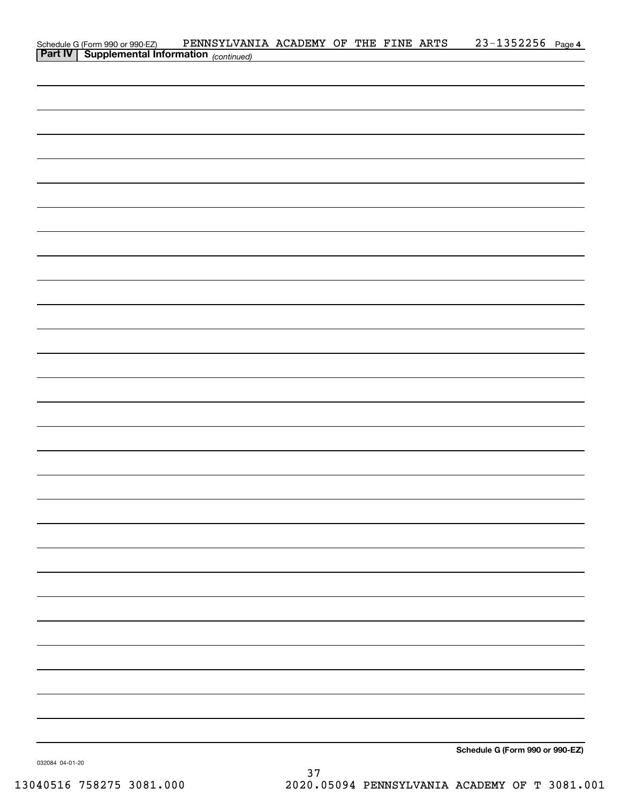|                                                                                            | PENNSYLVANIA ACADEMY OF THE FINE ARTS |  |  | $23 - 1352256$ Page 4           |  |
|--------------------------------------------------------------------------------------------|---------------------------------------|--|--|---------------------------------|--|
| Schedule G (Form 990 or 990-EZ) PENNSYLVAN<br>Part IV Supplemental Information (continued) |                                       |  |  |                                 |  |
|                                                                                            |                                       |  |  |                                 |  |
|                                                                                            |                                       |  |  |                                 |  |
|                                                                                            |                                       |  |  |                                 |  |
|                                                                                            |                                       |  |  |                                 |  |
|                                                                                            |                                       |  |  |                                 |  |
|                                                                                            |                                       |  |  |                                 |  |
|                                                                                            |                                       |  |  |                                 |  |
|                                                                                            |                                       |  |  |                                 |  |
|                                                                                            |                                       |  |  |                                 |  |
|                                                                                            |                                       |  |  |                                 |  |
|                                                                                            |                                       |  |  |                                 |  |
|                                                                                            |                                       |  |  |                                 |  |
|                                                                                            |                                       |  |  |                                 |  |
|                                                                                            |                                       |  |  |                                 |  |
|                                                                                            |                                       |  |  |                                 |  |
|                                                                                            |                                       |  |  |                                 |  |
|                                                                                            |                                       |  |  |                                 |  |
|                                                                                            |                                       |  |  |                                 |  |
|                                                                                            |                                       |  |  |                                 |  |
|                                                                                            |                                       |  |  |                                 |  |
|                                                                                            |                                       |  |  |                                 |  |
|                                                                                            |                                       |  |  |                                 |  |
|                                                                                            |                                       |  |  |                                 |  |
|                                                                                            |                                       |  |  |                                 |  |
|                                                                                            |                                       |  |  |                                 |  |
|                                                                                            |                                       |  |  |                                 |  |
|                                                                                            |                                       |  |  |                                 |  |
|                                                                                            |                                       |  |  |                                 |  |
|                                                                                            |                                       |  |  |                                 |  |
|                                                                                            |                                       |  |  |                                 |  |
|                                                                                            |                                       |  |  |                                 |  |
|                                                                                            |                                       |  |  |                                 |  |
|                                                                                            |                                       |  |  |                                 |  |
|                                                                                            |                                       |  |  |                                 |  |
|                                                                                            |                                       |  |  |                                 |  |
|                                                                                            |                                       |  |  |                                 |  |
|                                                                                            |                                       |  |  |                                 |  |
|                                                                                            |                                       |  |  |                                 |  |
|                                                                                            |                                       |  |  |                                 |  |
|                                                                                            |                                       |  |  |                                 |  |
|                                                                                            |                                       |  |  |                                 |  |
|                                                                                            |                                       |  |  |                                 |  |
|                                                                                            |                                       |  |  |                                 |  |
|                                                                                            |                                       |  |  |                                 |  |
|                                                                                            |                                       |  |  |                                 |  |
|                                                                                            |                                       |  |  |                                 |  |
|                                                                                            |                                       |  |  |                                 |  |
|                                                                                            |                                       |  |  |                                 |  |
|                                                                                            |                                       |  |  |                                 |  |
|                                                                                            |                                       |  |  |                                 |  |
|                                                                                            |                                       |  |  |                                 |  |
|                                                                                            |                                       |  |  |                                 |  |
|                                                                                            |                                       |  |  |                                 |  |
|                                                                                            |                                       |  |  |                                 |  |
|                                                                                            |                                       |  |  |                                 |  |
|                                                                                            |                                       |  |  |                                 |  |
|                                                                                            |                                       |  |  |                                 |  |
|                                                                                            |                                       |  |  |                                 |  |
|                                                                                            |                                       |  |  |                                 |  |
|                                                                                            |                                       |  |  |                                 |  |
|                                                                                            |                                       |  |  | Schedule G (Form 990 or 990-EZ) |  |

032084 04-01-20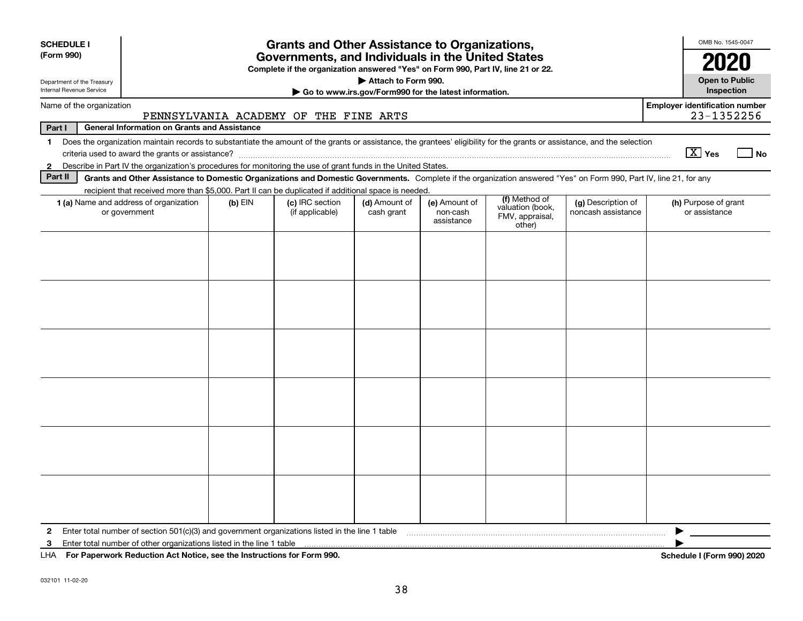| <b>SCHEDULE I</b>                                                                                                                                                                                                                                                                                                                                                                                                                                  |                                                                                                                                                                           |  | <b>Grants and Other Assistance to Organizations,</b>                             |                                                       |  |  |  |  | OMB No. 1545-0047                                   |      |  |
|----------------------------------------------------------------------------------------------------------------------------------------------------------------------------------------------------------------------------------------------------------------------------------------------------------------------------------------------------------------------------------------------------------------------------------------------------|---------------------------------------------------------------------------------------------------------------------------------------------------------------------------|--|----------------------------------------------------------------------------------|-------------------------------------------------------|--|--|--|--|-----------------------------------------------------|------|--|
| (Form 990)                                                                                                                                                                                                                                                                                                                                                                                                                                         |                                                                                                                                                                           |  | Governments, and Individuals in the United States                                |                                                       |  |  |  |  | 2020                                                |      |  |
| Department of the Treasury                                                                                                                                                                                                                                                                                                                                                                                                                         |                                                                                                                                                                           |  | Complete if the organization answered "Yes" on Form 990, Part IV, line 21 or 22. | Attach to Form 990.                                   |  |  |  |  | <b>Open to Public</b>                               |      |  |
| Internal Revenue Service                                                                                                                                                                                                                                                                                                                                                                                                                           |                                                                                                                                                                           |  |                                                                                  | Go to www.irs.gov/Form990 for the latest information. |  |  |  |  | Inspection                                          |      |  |
| Name of the organization                                                                                                                                                                                                                                                                                                                                                                                                                           |                                                                                                                                                                           |  | PENNSYLVANIA ACADEMY OF THE FINE ARTS                                            |                                                       |  |  |  |  | <b>Employer identification number</b><br>23-1352256 |      |  |
| Part I                                                                                                                                                                                                                                                                                                                                                                                                                                             | <b>General Information on Grants and Assistance</b>                                                                                                                       |  |                                                                                  |                                                       |  |  |  |  |                                                     |      |  |
| Does the organization maintain records to substantiate the amount of the grants or assistance, the grantees' eligibility for the grants or assistance, and the selection<br>$\mathbf 1$                                                                                                                                                                                                                                                            |                                                                                                                                                                           |  |                                                                                  |                                                       |  |  |  |  |                                                     |      |  |
| $\mathbf{2}$                                                                                                                                                                                                                                                                                                                                                                                                                                       | Describe in Part IV the organization's procedures for monitoring the use of grant funds in the United States.                                                             |  |                                                                                  |                                                       |  |  |  |  | $X$ Yes                                             | l No |  |
| Part II                                                                                                                                                                                                                                                                                                                                                                                                                                            | Grants and Other Assistance to Domestic Organizations and Domestic Governments. Complete if the organization answered "Yes" on Form 990, Part IV, line 21, for any        |  |                                                                                  |                                                       |  |  |  |  |                                                     |      |  |
|                                                                                                                                                                                                                                                                                                                                                                                                                                                    |                                                                                                                                                                           |  |                                                                                  |                                                       |  |  |  |  |                                                     |      |  |
| recipient that received more than \$5,000. Part II can be duplicated if additional space is needed.<br>(f) Method of<br>(c) IRC section<br>1 (a) Name and address of organization<br>$(b)$ EIN<br>(d) Amount of<br>(e) Amount of<br>(g) Description of<br>(h) Purpose of grant<br>valuation (book,<br>or government<br>(if applicable)<br>cash grant<br>noncash assistance<br>or assistance<br>non-cash<br>FMV, appraisal,<br>assistance<br>other) |                                                                                                                                                                           |  |                                                                                  |                                                       |  |  |  |  |                                                     |      |  |
|                                                                                                                                                                                                                                                                                                                                                                                                                                                    |                                                                                                                                                                           |  |                                                                                  |                                                       |  |  |  |  |                                                     |      |  |
|                                                                                                                                                                                                                                                                                                                                                                                                                                                    |                                                                                                                                                                           |  |                                                                                  |                                                       |  |  |  |  |                                                     |      |  |
|                                                                                                                                                                                                                                                                                                                                                                                                                                                    |                                                                                                                                                                           |  |                                                                                  |                                                       |  |  |  |  |                                                     |      |  |
|                                                                                                                                                                                                                                                                                                                                                                                                                                                    |                                                                                                                                                                           |  |                                                                                  |                                                       |  |  |  |  |                                                     |      |  |
|                                                                                                                                                                                                                                                                                                                                                                                                                                                    |                                                                                                                                                                           |  |                                                                                  |                                                       |  |  |  |  |                                                     |      |  |
|                                                                                                                                                                                                                                                                                                                                                                                                                                                    |                                                                                                                                                                           |  |                                                                                  |                                                       |  |  |  |  |                                                     |      |  |
|                                                                                                                                                                                                                                                                                                                                                                                                                                                    |                                                                                                                                                                           |  |                                                                                  |                                                       |  |  |  |  |                                                     |      |  |
|                                                                                                                                                                                                                                                                                                                                                                                                                                                    |                                                                                                                                                                           |  |                                                                                  |                                                       |  |  |  |  |                                                     |      |  |
|                                                                                                                                                                                                                                                                                                                                                                                                                                                    |                                                                                                                                                                           |  |                                                                                  |                                                       |  |  |  |  |                                                     |      |  |
|                                                                                                                                                                                                                                                                                                                                                                                                                                                    |                                                                                                                                                                           |  |                                                                                  |                                                       |  |  |  |  |                                                     |      |  |
|                                                                                                                                                                                                                                                                                                                                                                                                                                                    |                                                                                                                                                                           |  |                                                                                  |                                                       |  |  |  |  |                                                     |      |  |
|                                                                                                                                                                                                                                                                                                                                                                                                                                                    |                                                                                                                                                                           |  |                                                                                  |                                                       |  |  |  |  |                                                     |      |  |
|                                                                                                                                                                                                                                                                                                                                                                                                                                                    |                                                                                                                                                                           |  |                                                                                  |                                                       |  |  |  |  |                                                     |      |  |
|                                                                                                                                                                                                                                                                                                                                                                                                                                                    |                                                                                                                                                                           |  |                                                                                  |                                                       |  |  |  |  |                                                     |      |  |
| $\mathbf{2}$<br>3                                                                                                                                                                                                                                                                                                                                                                                                                                  | Enter total number of section $501(c)(3)$ and government organizations listed in the line 1 table<br>Enter total number of other organizations listed in the line 1 table |  |                                                                                  |                                                       |  |  |  |  |                                                     |      |  |
|                                                                                                                                                                                                                                                                                                                                                                                                                                                    | LHA For Paperwork Reduction Act Notice, see the Instructions for Form 990.                                                                                                |  |                                                                                  |                                                       |  |  |  |  | Schedule I (Form 990) 2020                          |      |  |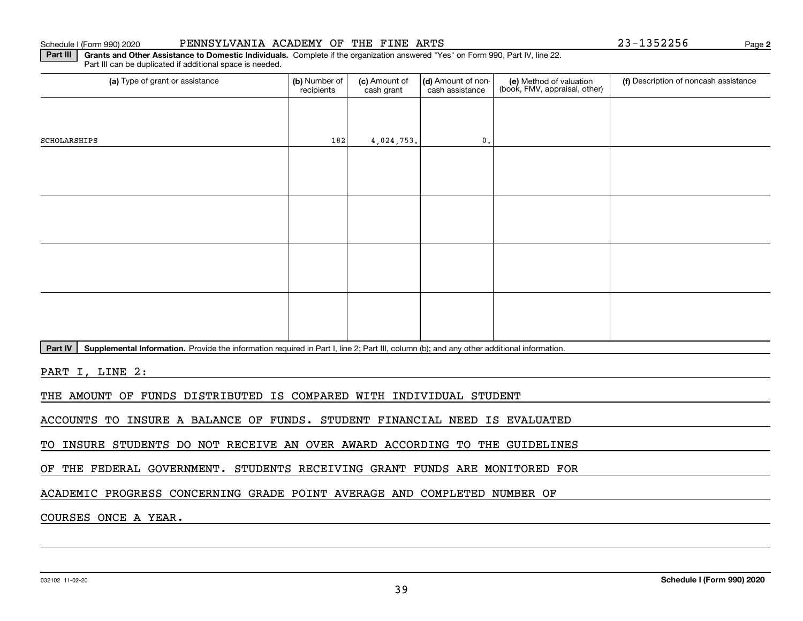### Schedule I (Form 990) 2020 Page PENNSYLVANIA ACADEMY OF THE FINE ARTS 23-1352256

**2**

**Part III | Grants and Other Assistance to Domestic Individuals. Complete if the organization answered "Yes" on Form 990, Part IV, line 22.** Part III can be duplicated if additional space is needed.

| (b) Number of<br>(c) Amount of<br>recipients<br>cash grant |  | cash assistance | (e) Method of valuation<br>(book, FMV, appraisal, other) | (f) Description of noncash assistance |
|------------------------------------------------------------|--|-----------------|----------------------------------------------------------|---------------------------------------|
|                                                            |  |                 |                                                          |                                       |
|                                                            |  | $\mathfrak o$ . |                                                          |                                       |
|                                                            |  |                 |                                                          |                                       |
|                                                            |  |                 |                                                          |                                       |
|                                                            |  |                 |                                                          |                                       |
|                                                            |  |                 |                                                          |                                       |
|                                                            |  |                 |                                                          |                                       |
|                                                            |  |                 |                                                          |                                       |
|                                                            |  |                 |                                                          |                                       |
|                                                            |  |                 |                                                          |                                       |
|                                                            |  | 182             | 4,024,753.                                               | (d) Amount of non-                    |

Part IV | Supplemental Information. Provide the information required in Part I, line 2; Part III, column (b); and any other additional information.

PART I, LINE 2:

THE AMOUNT OF FUNDS DISTRIBUTED IS COMPARED WITH INDIVIDUAL STUDENT

ACCOUNTS TO INSURE A BALANCE OF FUNDS. STUDENT FINANCIAL NEED IS EVALUATED

TO INSURE STUDENTS DO NOT RECEIVE AN OVER AWARD ACCORDING TO THE GUIDELINES

OF THE FEDERAL GOVERNMENT. STUDENTS RECEIVING GRANT FUNDS ARE MONITORED FOR

ACADEMIC PROGRESS CONCERNING GRADE POINT AVERAGE AND COMPLETED NUMBER OF

COURSES ONCE A YEAR.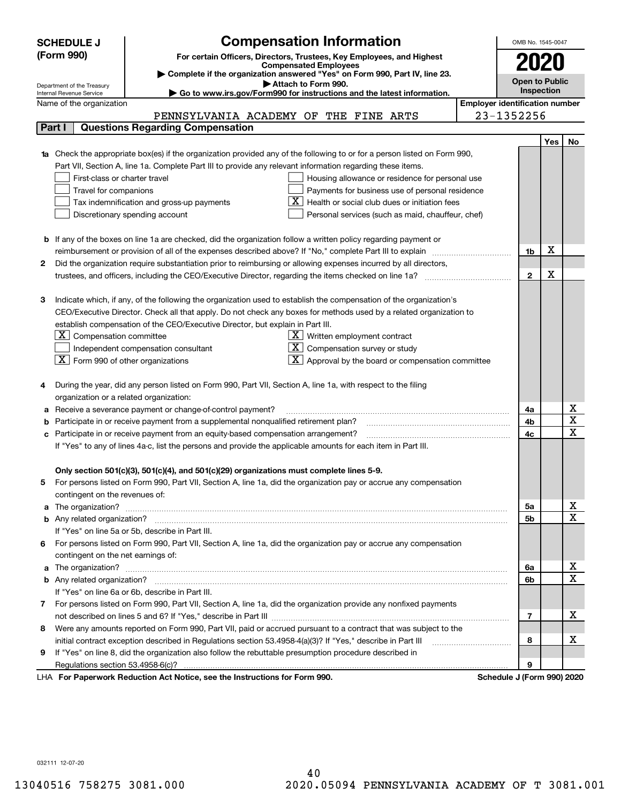|    | <b>Compensation Information</b><br><b>SCHEDULE J</b>                                                                         |                                                                                                                                                                                                                                    |                                       |                       |            |                                     |  |  |  |
|----|------------------------------------------------------------------------------------------------------------------------------|------------------------------------------------------------------------------------------------------------------------------------------------------------------------------------------------------------------------------------|---------------------------------------|-----------------------|------------|-------------------------------------|--|--|--|
|    | (Form 990)                                                                                                                   | For certain Officers, Directors, Trustees, Key Employees, and Highest                                                                                                                                                              |                                       |                       |            |                                     |  |  |  |
|    |                                                                                                                              | <b>Compensated Employees</b>                                                                                                                                                                                                       |                                       |                       |            |                                     |  |  |  |
|    | Department of the Treasury                                                                                                   | Complete if the organization answered "Yes" on Form 990, Part IV, line 23.<br>Attach to Form 990.                                                                                                                                  |                                       | <b>Open to Public</b> |            |                                     |  |  |  |
|    | Internal Revenue Service                                                                                                     | Go to www.irs.gov/Form990 for instructions and the latest information.                                                                                                                                                             |                                       |                       | Inspection |                                     |  |  |  |
|    | Name of the organization                                                                                                     |                                                                                                                                                                                                                                    | <b>Employer identification number</b> |                       |            |                                     |  |  |  |
|    |                                                                                                                              | PENNSYLVANIA ACADEMY OF THE FINE ARTS                                                                                                                                                                                              |                                       | 23-1352256            |            |                                     |  |  |  |
|    | Part I                                                                                                                       | <b>Questions Regarding Compensation</b>                                                                                                                                                                                            |                                       |                       |            |                                     |  |  |  |
|    |                                                                                                                              |                                                                                                                                                                                                                                    |                                       |                       | <b>Yes</b> | No                                  |  |  |  |
|    |                                                                                                                              | <b>1a</b> Check the appropriate box(es) if the organization provided any of the following to or for a person listed on Form 990,                                                                                                   |                                       |                       |            |                                     |  |  |  |
|    |                                                                                                                              | Part VII, Section A, line 1a. Complete Part III to provide any relevant information regarding these items.                                                                                                                         |                                       |                       |            |                                     |  |  |  |
|    | First-class or charter travel                                                                                                | Housing allowance or residence for personal use                                                                                                                                                                                    |                                       |                       |            |                                     |  |  |  |
|    | Travel for companions                                                                                                        | Payments for business use of personal residence                                                                                                                                                                                    |                                       |                       |            |                                     |  |  |  |
|    | Health or social club dues or initiation fees<br>Tax indemnification and gross-up payments<br>Discretionary spending account |                                                                                                                                                                                                                                    |                                       |                       |            |                                     |  |  |  |
|    |                                                                                                                              | Personal services (such as maid, chauffeur, chef)                                                                                                                                                                                  |                                       |                       |            |                                     |  |  |  |
|    |                                                                                                                              |                                                                                                                                                                                                                                    |                                       |                       |            |                                     |  |  |  |
|    |                                                                                                                              | <b>b</b> If any of the boxes on line 1a are checked, did the organization follow a written policy regarding payment or<br>reimbursement or provision of all of the expenses described above? If "No," complete Part III to explain |                                       | 1b                    | х          |                                     |  |  |  |
| 2  |                                                                                                                              | Did the organization require substantiation prior to reimbursing or allowing expenses incurred by all directors,                                                                                                                   |                                       |                       |            |                                     |  |  |  |
|    |                                                                                                                              |                                                                                                                                                                                                                                    | $\mathbf{2}$                          | X                     |            |                                     |  |  |  |
|    |                                                                                                                              |                                                                                                                                                                                                                                    |                                       |                       |            |                                     |  |  |  |
| з  |                                                                                                                              | Indicate which, if any, of the following the organization used to establish the compensation of the organization's                                                                                                                 |                                       |                       |            |                                     |  |  |  |
|    |                                                                                                                              | CEO/Executive Director. Check all that apply. Do not check any boxes for methods used by a related organization to                                                                                                                 |                                       |                       |            |                                     |  |  |  |
|    |                                                                                                                              | establish compensation of the CEO/Executive Director, but explain in Part III.                                                                                                                                                     |                                       |                       |            |                                     |  |  |  |
|    | $ \mathbf{X} $ Compensation committee                                                                                        | $X$ Written employment contract                                                                                                                                                                                                    |                                       |                       |            |                                     |  |  |  |
|    |                                                                                                                              | Compensation survey or study<br>Independent compensation consultant                                                                                                                                                                |                                       |                       |            |                                     |  |  |  |
|    | $\boxed{\textbf{X}}$ Form 990 of other organizations                                                                         | Approval by the board or compensation committee                                                                                                                                                                                    |                                       |                       |            |                                     |  |  |  |
|    |                                                                                                                              |                                                                                                                                                                                                                                    |                                       |                       |            |                                     |  |  |  |
|    |                                                                                                                              | During the year, did any person listed on Form 990, Part VII, Section A, line 1a, with respect to the filing                                                                                                                       |                                       |                       |            |                                     |  |  |  |
|    | organization or a related organization:                                                                                      |                                                                                                                                                                                                                                    |                                       |                       |            |                                     |  |  |  |
|    |                                                                                                                              | Receive a severance payment or change-of-control payment?                                                                                                                                                                          |                                       | 4a                    |            | x                                   |  |  |  |
|    |                                                                                                                              | Participate in or receive payment from a supplemental nonqualified retirement plan?                                                                                                                                                |                                       | 4b                    |            | $\overline{\text{x}}$               |  |  |  |
|    |                                                                                                                              | Participate in or receive payment from an equity-based compensation arrangement?                                                                                                                                                   |                                       | 4c                    |            | $\overline{\text{x}}$               |  |  |  |
|    |                                                                                                                              | If "Yes" to any of lines 4a-c, list the persons and provide the applicable amounts for each item in Part III.                                                                                                                      |                                       |                       |            |                                     |  |  |  |
|    |                                                                                                                              |                                                                                                                                                                                                                                    |                                       |                       |            |                                     |  |  |  |
|    |                                                                                                                              | Only section 501(c)(3), 501(c)(4), and 501(c)(29) organizations must complete lines 5-9.                                                                                                                                           |                                       |                       |            |                                     |  |  |  |
| 5. |                                                                                                                              | For persons listed on Form 990, Part VII, Section A, line 1a, did the organization pay or accrue any compensation                                                                                                                  |                                       |                       |            |                                     |  |  |  |
|    | contingent on the revenues of:                                                                                               |                                                                                                                                                                                                                                    |                                       |                       |            |                                     |  |  |  |
|    |                                                                                                                              | a The organization? <b>Manual Community Community</b> Community Community Community Community Community Community Community                                                                                                        |                                       | 5a                    |            | <u>x</u><br>$\overline{\mathbf{x}}$ |  |  |  |
|    |                                                                                                                              |                                                                                                                                                                                                                                    |                                       | 5b                    |            |                                     |  |  |  |
|    |                                                                                                                              | If "Yes" on line 5a or 5b, describe in Part III.                                                                                                                                                                                   |                                       |                       |            |                                     |  |  |  |
| 6. |                                                                                                                              | For persons listed on Form 990, Part VII, Section A, line 1a, did the organization pay or accrue any compensation                                                                                                                  |                                       |                       |            |                                     |  |  |  |
|    | contingent on the net earnings of:                                                                                           |                                                                                                                                                                                                                                    |                                       |                       |            |                                     |  |  |  |
|    |                                                                                                                              |                                                                                                                                                                                                                                    |                                       | 6a                    |            | <u>x</u><br>$\overline{\mathbf{x}}$ |  |  |  |
|    |                                                                                                                              |                                                                                                                                                                                                                                    |                                       | 6b                    |            |                                     |  |  |  |
|    |                                                                                                                              | If "Yes" on line 6a or 6b, describe in Part III.                                                                                                                                                                                   |                                       |                       |            |                                     |  |  |  |
|    |                                                                                                                              | 7 For persons listed on Form 990, Part VII, Section A, line 1a, did the organization provide any nonfixed payments                                                                                                                 |                                       | $\overline{7}$        |            | х                                   |  |  |  |
| 8  |                                                                                                                              | Were any amounts reported on Form 990, Part VII, paid or accrued pursuant to a contract that was subject to the                                                                                                                    |                                       |                       |            |                                     |  |  |  |
|    |                                                                                                                              |                                                                                                                                                                                                                                    |                                       | 8                     |            | х                                   |  |  |  |
| 9  |                                                                                                                              | If "Yes" on line 8, did the organization also follow the rebuttable presumption procedure described in                                                                                                                             |                                       |                       |            |                                     |  |  |  |
|    |                                                                                                                              |                                                                                                                                                                                                                                    |                                       | 9                     |            |                                     |  |  |  |
|    |                                                                                                                              | uli Dedication Ast Notice, and the Instructions for Form 000                                                                                                                                                                       |                                       | Calcadola Line        |            |                                     |  |  |  |

LHA For Paperwork Reduction Act Notice, see the Instructions for Form 990. Schedule J (Form 990) 2020

032111 12-07-20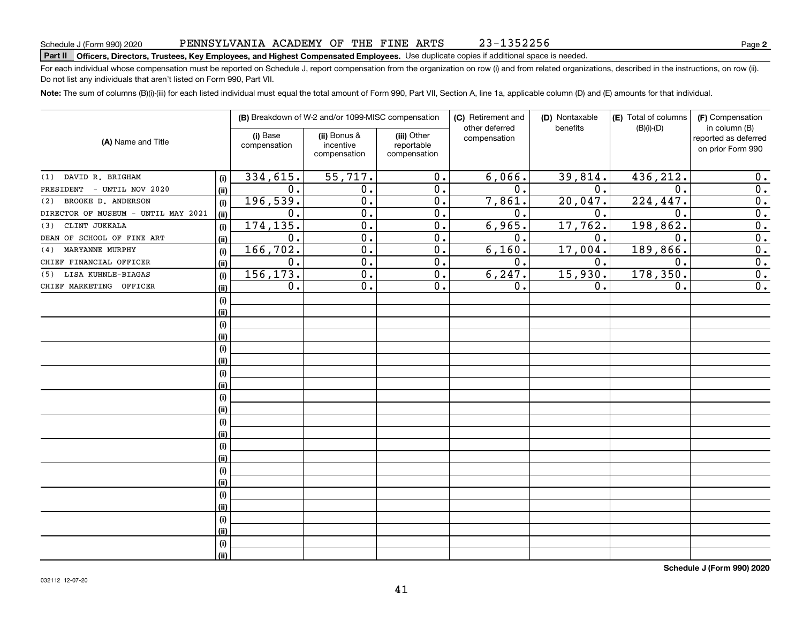#### PENNSYLVANIA ACADEMY OF THE FINE ARTS 23-1352256

# **Part II Officers, Directors, Trustees, Key Employees, and Highest Compensated Employees.**  Schedule J (Form 990) 2020 Page Use duplicate copies if additional space is needed.

For each individual whose compensation must be reported on Schedule J, report compensation from the organization on row (i) and from related organizations, described in the instructions, on row (ii). Do not list any individuals that aren't listed on Form 990, Part VII.

**Note:**  The sum of columns (B)(i)-(iii) for each listed individual must equal the total amount of Form 990, Part VII, Section A, line 1a, applicable column (D) and (E) amounts for that individual.

|                                     |      |                          | (B) Breakdown of W-2 and/or 1099-MISC compensation |                                           | (C) Retirement and             | (D) Nontaxable | (E) Total of columns | (F) Compensation                                           |  |
|-------------------------------------|------|--------------------------|----------------------------------------------------|-------------------------------------------|--------------------------------|----------------|----------------------|------------------------------------------------------------|--|
| (A) Name and Title                  |      | (i) Base<br>compensation | (ii) Bonus &<br>incentive<br>compensation          | (iii) Other<br>reportable<br>compensation | other deferred<br>compensation | benefits       | $(B)(i)$ - $(D)$     | in column (B)<br>reported as deferred<br>on prior Form 990 |  |
| DAVID R. BRIGHAM<br>(1)             | (i)  | 334,615.                 | 55,717.                                            | 0.                                        | 6,066.                         | 39,814.        | 436, 212.            | 0.                                                         |  |
| - UNTIL NOV 2020<br>PRESIDENT       | (ii) | 0.                       | 0.                                                 | 0.                                        | 0.                             | 0.             | 0.                   | $\overline{0}$ .                                           |  |
| BROOKE D. ANDERSON<br>(2)           | (i)  | 196,539.                 | $\overline{0}$ .                                   | 0.                                        | 7,861.                         | 20,047.        | 224, 447.            | $\overline{0}$ .                                           |  |
| DIRECTOR OF MUSEUM - UNTIL MAY 2021 | (ii) | 0.                       | 0.                                                 | 0.                                        | 0.                             | 0.             | $\mathbf 0$ .        | $\overline{0}$ .                                           |  |
| CLINT JUKKALA<br>(3)                | (i)  | 174, 135.                | $\overline{0}$ .                                   | $\overline{0}$ .                          | 6,965.                         | 17,762.        | 198,862.             | $\overline{0}$ .                                           |  |
| DEAN OF SCHOOL OF FINE ART          | (ii) | $\overline{0}$ .         | $\overline{0}$ .                                   | $\overline{0}$ .                          | $\overline{0}$ .               | 0.             | 0.                   | $\overline{0}$ .                                           |  |
| MARYANNE MURPHY<br>(4)              | (i)  | 166, 702.                | $\overline{0}$ .                                   | $\overline{0}$ .                          | 6,160.                         | $17,004$ .     | 189,866.             | $\overline{0}$ .                                           |  |
| CHIEF FINANCIAL OFFICER             | (ii) | $\overline{0}$ .         | $\overline{0}$ .                                   | $\overline{0}$ .                          | $\overline{0}$ .               | 0.             | 0.                   | $\overline{0}$ .                                           |  |
| LISA KUHNLE-BIAGAS<br>(5)           | (i)  | 156, 173.                | $\overline{0}$ .                                   | $\overline{0}$ .                          | 6, 247.                        | 15,930.        | 178,350.             | $\overline{0}$ .                                           |  |
| CHIEF MARKETING OFFICER             | (ii) | $0$ .                    | $\overline{0}$ .                                   | $\overline{0}$ .                          | 0.                             | 0.             | 0.                   | 0.                                                         |  |
|                                     | (i)  |                          |                                                    |                                           |                                |                |                      |                                                            |  |
|                                     | (ii) |                          |                                                    |                                           |                                |                |                      |                                                            |  |
|                                     | (i)  |                          |                                                    |                                           |                                |                |                      |                                                            |  |
|                                     | (ii) |                          |                                                    |                                           |                                |                |                      |                                                            |  |
|                                     | (i)  |                          |                                                    |                                           |                                |                |                      |                                                            |  |
|                                     | (ii) |                          |                                                    |                                           |                                |                |                      |                                                            |  |
|                                     | (i)  |                          |                                                    |                                           |                                |                |                      |                                                            |  |
|                                     | (ii) |                          |                                                    |                                           |                                |                |                      |                                                            |  |
|                                     | (i)  |                          |                                                    |                                           |                                |                |                      |                                                            |  |
|                                     | (ii) |                          |                                                    |                                           |                                |                |                      |                                                            |  |
|                                     | (i)  |                          |                                                    |                                           |                                |                |                      |                                                            |  |
|                                     | (ii) |                          |                                                    |                                           |                                |                |                      |                                                            |  |
|                                     | (i)  |                          |                                                    |                                           |                                |                |                      |                                                            |  |
|                                     | (ii) |                          |                                                    |                                           |                                |                |                      |                                                            |  |
|                                     | (i)  |                          |                                                    |                                           |                                |                |                      |                                                            |  |
|                                     | (ii) |                          |                                                    |                                           |                                |                |                      |                                                            |  |
|                                     | (i)  |                          |                                                    |                                           |                                |                |                      |                                                            |  |
|                                     | (ii) |                          |                                                    |                                           |                                |                |                      |                                                            |  |
|                                     | (i)  |                          |                                                    |                                           |                                |                |                      |                                                            |  |
|                                     | (ii) |                          |                                                    |                                           |                                |                |                      |                                                            |  |
|                                     | (i)  |                          |                                                    |                                           |                                |                |                      |                                                            |  |
|                                     | (ii) |                          |                                                    |                                           |                                |                |                      |                                                            |  |

**Schedule J (Form 990) 2020**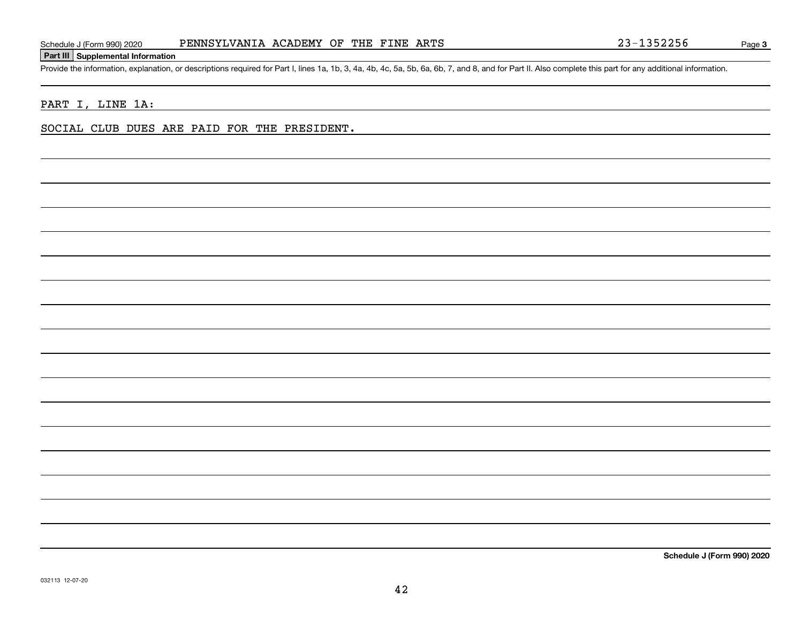### **Part III Supplemental Information**

Schedule J (Form 990) 2020 PENNSYLVANIA ACADEMY OF THE FINE ARTS 23-1352256<br>Part III Supplemental Information<br>Provide the information, explanation, or descriptions required for Part I, lines 1a, 1b, 3, 4a, 4b, 4c, 5a, 5b,

PART I, LINE 1A:

SOCIAL CLUB DUES ARE PAID FOR THE PRESIDENT.

**Schedule J (Form 990) 2020**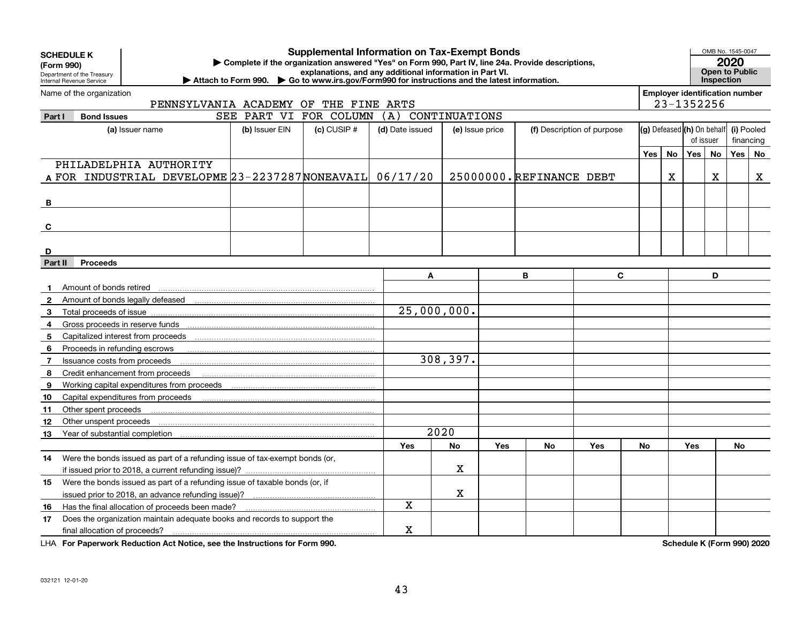| <b>Supplemental Information on Tax-Exempt Bonds</b><br><b>SCHEDULE K</b><br>Complete if the organization answered "Yes" on Form 990, Part IV, line 24a. Provide descriptions,<br>(Form 990)<br>explanations, and any additional information in Part VI.<br>Department of the Treasury<br>Attach to Form 990. $\triangleright$ Go to www.irs.gov/Form990 for instructions and the latest information.<br>Internal Revenue Service |                                 |                                                                             |                |                 |                 |                 |            |                            |              |     |    |                                                     | <b>Inspection</b> | OMB No. 1545-0047<br>2020<br>Open to Public |         |
|----------------------------------------------------------------------------------------------------------------------------------------------------------------------------------------------------------------------------------------------------------------------------------------------------------------------------------------------------------------------------------------------------------------------------------|---------------------------------|-----------------------------------------------------------------------------|----------------|-----------------|-----------------|-----------------|------------|----------------------------|--------------|-----|----|-----------------------------------------------------|-------------------|---------------------------------------------|---------|
|                                                                                                                                                                                                                                                                                                                                                                                                                                  | Name of the organization        | PENNSYLVANIA ACADEMY OF THE FINE ARTS                                       |                |                 |                 |                 |            |                            |              |     |    | <b>Employer identification number</b><br>23-1352256 |                   |                                             |         |
| Part I                                                                                                                                                                                                                                                                                                                                                                                                                           | <b>Bond Issues</b>              |                                                                             | SEE PART VI    | FOR COLUMN      | (A)             | CONTINUATIONS   |            |                            |              |     |    |                                                     |                   |                                             |         |
|                                                                                                                                                                                                                                                                                                                                                                                                                                  |                                 | (a) Issuer name                                                             | (b) Issuer EIN | $(c)$ CUSIP $#$ | (d) Date issued | (e) Issue price |            | (f) Description of purpose |              |     |    | (g) Defeased (h) On behalf                          |                   | (i) Pooled                                  |         |
|                                                                                                                                                                                                                                                                                                                                                                                                                                  |                                 |                                                                             |                |                 |                 |                 |            |                            |              |     |    | of issuer                                           |                   | financing                                   |         |
|                                                                                                                                                                                                                                                                                                                                                                                                                                  |                                 |                                                                             |                |                 |                 |                 |            |                            |              | Yes | No | Yes                                                 | <b>No</b>         | Yes                                         | $N_{0}$ |
|                                                                                                                                                                                                                                                                                                                                                                                                                                  |                                 | PHILADELPHIA AUTHORITY                                                      |                |                 |                 |                 |            |                            |              |     |    |                                                     |                   |                                             |         |
|                                                                                                                                                                                                                                                                                                                                                                                                                                  |                                 | A FOR INDUSTRIAL DEVELOPME 23-2237287 NONEAVAIL 06/17/20                    |                |                 |                 |                 |            | 25000000.REFINANCE DEBT    |              |     | Χ  |                                                     | X                 |                                             | X       |
| В                                                                                                                                                                                                                                                                                                                                                                                                                                |                                 |                                                                             |                |                 |                 |                 |            |                            |              |     |    |                                                     |                   |                                             |         |
|                                                                                                                                                                                                                                                                                                                                                                                                                                  |                                 |                                                                             |                |                 |                 |                 |            |                            |              |     |    |                                                     |                   |                                             |         |
| C                                                                                                                                                                                                                                                                                                                                                                                                                                |                                 |                                                                             |                |                 |                 |                 |            |                            |              |     |    |                                                     |                   |                                             |         |
|                                                                                                                                                                                                                                                                                                                                                                                                                                  |                                 |                                                                             |                |                 |                 |                 |            |                            |              |     |    |                                                     |                   |                                             |         |
| D                                                                                                                                                                                                                                                                                                                                                                                                                                |                                 |                                                                             |                |                 |                 |                 |            |                            |              |     |    |                                                     |                   |                                             |         |
| Part II                                                                                                                                                                                                                                                                                                                                                                                                                          | <b>Proceeds</b>                 |                                                                             |                |                 |                 |                 |            |                            |              |     |    |                                                     |                   |                                             |         |
|                                                                                                                                                                                                                                                                                                                                                                                                                                  |                                 |                                                                             |                |                 |                 | A               |            | B                          | $\mathbf{C}$ |     |    |                                                     | D                 |                                             |         |
|                                                                                                                                                                                                                                                                                                                                                                                                                                  | Amount of bonds retired         |                                                                             |                |                 |                 |                 |            |                            |              |     |    |                                                     |                   |                                             |         |
| 2                                                                                                                                                                                                                                                                                                                                                                                                                                |                                 |                                                                             |                |                 |                 |                 |            |                            |              |     |    |                                                     |                   |                                             |         |
| 3                                                                                                                                                                                                                                                                                                                                                                                                                                |                                 |                                                                             |                |                 |                 | 25,000,000.     |            |                            |              |     |    |                                                     |                   |                                             |         |
| 4                                                                                                                                                                                                                                                                                                                                                                                                                                | Gross proceeds in reserve funds |                                                                             |                |                 |                 |                 |            |                            |              |     |    |                                                     |                   |                                             |         |
| 5                                                                                                                                                                                                                                                                                                                                                                                                                                |                                 |                                                                             |                |                 |                 |                 |            |                            |              |     |    |                                                     |                   |                                             |         |
| 6                                                                                                                                                                                                                                                                                                                                                                                                                                | Proceeds in refunding escrows   |                                                                             |                |                 |                 |                 |            |                            |              |     |    |                                                     |                   |                                             |         |
| 7                                                                                                                                                                                                                                                                                                                                                                                                                                | Issuance costs from proceeds    |                                                                             |                |                 |                 | 308, 397.       |            |                            |              |     |    |                                                     |                   |                                             |         |
| 8                                                                                                                                                                                                                                                                                                                                                                                                                                |                                 | Credit enhancement from proceeds                                            |                |                 |                 |                 |            |                            |              |     |    |                                                     |                   |                                             |         |
| 9                                                                                                                                                                                                                                                                                                                                                                                                                                |                                 |                                                                             |                |                 |                 |                 |            |                            |              |     |    |                                                     |                   |                                             |         |
| 10                                                                                                                                                                                                                                                                                                                                                                                                                               |                                 |                                                                             |                |                 |                 |                 |            |                            |              |     |    |                                                     |                   |                                             |         |
| 11                                                                                                                                                                                                                                                                                                                                                                                                                               | Other spent proceeds            |                                                                             |                |                 |                 |                 |            |                            |              |     |    |                                                     |                   |                                             |         |
| 12                                                                                                                                                                                                                                                                                                                                                                                                                               | Other unspent proceeds          |                                                                             |                |                 |                 |                 |            |                            |              |     |    |                                                     |                   |                                             |         |
| 13                                                                                                                                                                                                                                                                                                                                                                                                                               |                                 |                                                                             |                |                 |                 | 2020            |            |                            |              |     |    |                                                     |                   |                                             |         |
|                                                                                                                                                                                                                                                                                                                                                                                                                                  |                                 |                                                                             |                |                 | <b>Yes</b>      | No              | <b>Yes</b> | No                         | Yes          | No  |    | Yes                                                 |                   | No                                          |         |
| 14                                                                                                                                                                                                                                                                                                                                                                                                                               |                                 | Were the bonds issued as part of a refunding issue of tax-exempt bonds (or, |                |                 |                 |                 |            |                            |              |     |    |                                                     |                   |                                             |         |
|                                                                                                                                                                                                                                                                                                                                                                                                                                  |                                 | if issued prior to 2018, a current refunding issue)?                        |                |                 |                 | x               |            |                            |              |     |    |                                                     |                   |                                             |         |
| 15                                                                                                                                                                                                                                                                                                                                                                                                                               |                                 | Were the bonds issued as part of a refunding issue of taxable bonds (or, if |                |                 |                 |                 |            |                            |              |     |    |                                                     |                   |                                             |         |
|                                                                                                                                                                                                                                                                                                                                                                                                                                  |                                 |                                                                             |                |                 |                 | x               |            |                            |              |     |    |                                                     |                   |                                             |         |
| 16                                                                                                                                                                                                                                                                                                                                                                                                                               |                                 | Has the final allocation of proceeds been made?                             |                |                 | X               |                 |            |                            |              |     |    |                                                     |                   |                                             |         |
| 17                                                                                                                                                                                                                                                                                                                                                                                                                               |                                 | Does the organization maintain adequate books and records to support the    |                |                 |                 |                 |            |                            |              |     |    |                                                     |                   |                                             |         |
|                                                                                                                                                                                                                                                                                                                                                                                                                                  | final allocation of proceeds?   |                                                                             |                |                 | $\mathbf X$     |                 |            |                            |              |     |    |                                                     |                   |                                             |         |

**For Paperwork Reduction Act Notice, see the Instructions for Form 990. Schedule K (Form 990) 2020** LHA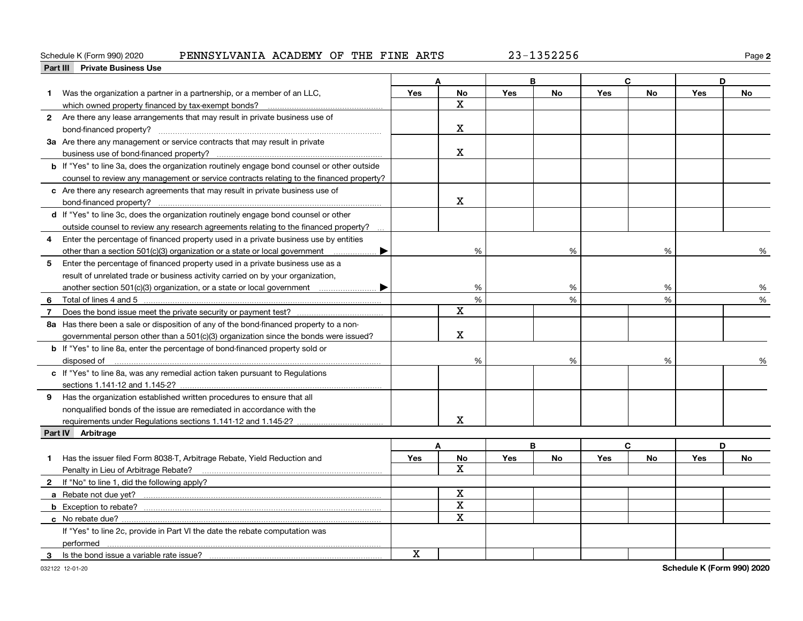### Schedule K (Form 990) 2020 PENNSYLVANIA ACADEMY OF THE FINE ARTS 23-1352256

**2**

|   | Part III Private Business Use                                                                                                                                                                                                        |     |                         |            |           |            |           |     |           |
|---|--------------------------------------------------------------------------------------------------------------------------------------------------------------------------------------------------------------------------------------|-----|-------------------------|------------|-----------|------------|-----------|-----|-----------|
|   |                                                                                                                                                                                                                                      |     |                         |            | B         | C.         |           | D   |           |
| 1 | Was the organization a partner in a partnership, or a member of an LLC,                                                                                                                                                              | Yes | <b>No</b>               | Yes        | <b>No</b> | Yes        | <b>No</b> | Yes | <b>No</b> |
|   | which owned property financed by tax-exempt bonds?                                                                                                                                                                                   |     | x                       |            |           |            |           |     |           |
|   | 2 Are there any lease arrangements that may result in private business use of                                                                                                                                                        |     |                         |            |           |            |           |     |           |
|   |                                                                                                                                                                                                                                      |     | x                       |            |           |            |           |     |           |
|   | 3a Are there any management or service contracts that may result in private                                                                                                                                                          |     |                         |            |           |            |           |     |           |
|   |                                                                                                                                                                                                                                      |     | X                       |            |           |            |           |     |           |
|   | <b>b</b> If "Yes" to line 3a, does the organization routinely engage bond counsel or other outside                                                                                                                                   |     |                         |            |           |            |           |     |           |
|   | counsel to review any management or service contracts relating to the financed property?                                                                                                                                             |     |                         |            |           |            |           |     |           |
|   | c Are there any research agreements that may result in private business use of                                                                                                                                                       |     |                         |            |           |            |           |     |           |
|   |                                                                                                                                                                                                                                      |     | $\mathbf X$             |            |           |            |           |     |           |
|   | d If "Yes" to line 3c, does the organization routinely engage bond counsel or other                                                                                                                                                  |     |                         |            |           |            |           |     |           |
|   | outside counsel to review any research agreements relating to the financed property?                                                                                                                                                 |     |                         |            |           |            |           |     |           |
| 4 | Enter the percentage of financed property used in a private business use by entities                                                                                                                                                 |     |                         |            |           |            |           |     |           |
|   | other than a section 501(c)(3) organization or a state or local government<br>▶                                                                                                                                                      |     | %                       |            | %         |            | %         |     | %         |
| 5 | Enter the percentage of financed property used in a private business use as a                                                                                                                                                        |     |                         |            |           |            |           |     |           |
|   | result of unrelated trade or business activity carried on by your organization,                                                                                                                                                      |     |                         |            |           |            |           |     |           |
|   |                                                                                                                                                                                                                                      |     | %                       |            | %         |            | %         |     | %         |
| 6 |                                                                                                                                                                                                                                      |     | %                       |            | %         |            | %         |     | %         |
| 7 |                                                                                                                                                                                                                                      |     | X                       |            |           |            |           |     |           |
|   | 8a Has there been a sale or disposition of any of the bond-financed property to a non-                                                                                                                                               |     |                         |            |           |            |           |     |           |
|   | governmental person other than a 501(c)(3) organization since the bonds were issued?                                                                                                                                                 |     | x                       |            |           |            |           |     |           |
|   | <b>b</b> If "Yes" to line 8a, enter the percentage of bond-financed property sold or                                                                                                                                                 |     |                         |            |           |            |           |     |           |
|   | disposed of <u>with an international control of the set of the set of the set of the set of the set of the set of the set of the set of the set of the set of the set of the set of the set of the set of the set of the set of </u> |     | %                       |            | %         |            | %         |     | ℅         |
|   | c If "Yes" to line 8a, was any remedial action taken pursuant to Regulations                                                                                                                                                         |     |                         |            |           |            |           |     |           |
|   |                                                                                                                                                                                                                                      |     |                         |            |           |            |           |     |           |
|   | 9 Has the organization established written procedures to ensure that all                                                                                                                                                             |     |                         |            |           |            |           |     |           |
|   | nonqualified bonds of the issue are remediated in accordance with the                                                                                                                                                                |     |                         |            |           |            |           |     |           |
|   |                                                                                                                                                                                                                                      |     | X                       |            |           |            |           |     |           |
|   | Part IV Arbitrage                                                                                                                                                                                                                    |     |                         |            |           |            |           |     |           |
|   |                                                                                                                                                                                                                                      | A   |                         |            | B         |            | C         | D   |           |
| 1 | Has the issuer filed Form 8038-T, Arbitrage Rebate, Yield Reduction and                                                                                                                                                              | Yes | <b>No</b>               | <b>Yes</b> | No        | <b>Yes</b> | No        | Yes | No        |
|   | Penalty in Lieu of Arbitrage Rebate?                                                                                                                                                                                                 |     | X                       |            |           |            |           |     |           |
|   | 2 If "No" to line 1, did the following apply?                                                                                                                                                                                        |     |                         |            |           |            |           |     |           |
|   |                                                                                                                                                                                                                                      |     | $\mathbf X$             |            |           |            |           |     |           |
|   |                                                                                                                                                                                                                                      |     | $\overline{\mathbf{x}}$ |            |           |            |           |     |           |
|   |                                                                                                                                                                                                                                      |     | X                       |            |           |            |           |     |           |
|   | If "Yes" to line 2c, provide in Part VI the date the rebate computation was                                                                                                                                                          |     |                         |            |           |            |           |     |           |
|   | performed                                                                                                                                                                                                                            |     |                         |            |           |            |           |     |           |
| 3 | Is the bond issue a variable rate issue?                                                                                                                                                                                             | X   |                         |            |           |            |           |     |           |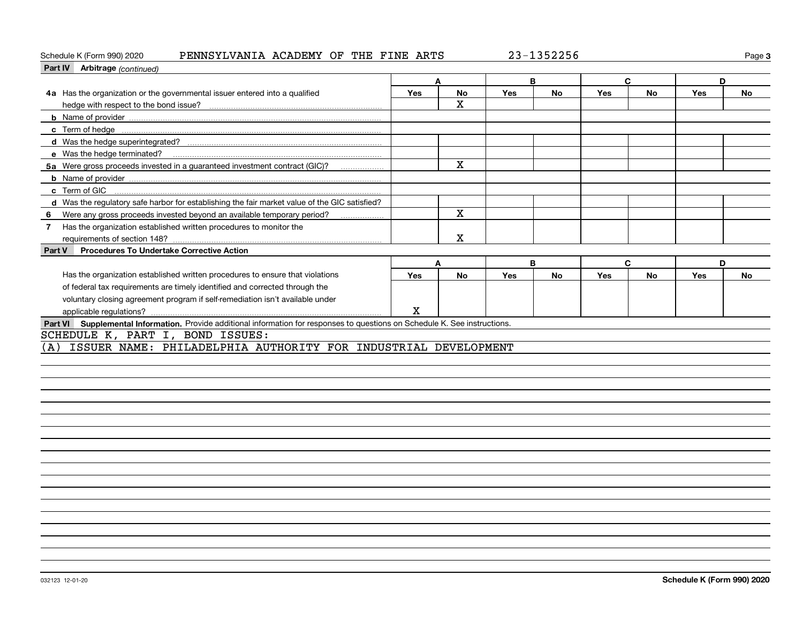### Schedule K (Form 990) 2020 PENNSYLVANIA ACADEMY OF THE FINE ARTS 23-1352256

**3**

| Part IV Arbitrage (continued)                                                                                                |             |              |     |           |            |           |     |           |
|------------------------------------------------------------------------------------------------------------------------------|-------------|--------------|-----|-----------|------------|-----------|-----|-----------|
|                                                                                                                              | A           |              |     | B         | C          |           | D   |           |
| 4a Has the organization or the governmental issuer entered into a qualified                                                  | <b>Yes</b>  | No           | Yes | No        | <b>Yes</b> | No        | Yes | No        |
|                                                                                                                              |             | X            |     |           |            |           |     |           |
|                                                                                                                              |             |              |     |           |            |           |     |           |
| c Term of hedge                                                                                                              |             |              |     |           |            |           |     |           |
|                                                                                                                              |             |              |     |           |            |           |     |           |
| e Was the hedge terminated?                                                                                                  |             |              |     |           |            |           |     |           |
| 5a Were gross proceeds invested in a guaranteed investment contract (GIC)?                                                   |             | $\mathbf{x}$ |     |           |            |           |     |           |
|                                                                                                                              |             |              |     |           |            |           |     |           |
| c Term of GIC                                                                                                                |             |              |     |           |            |           |     |           |
| d Was the regulatory safe harbor for establishing the fair market value of the GIC satisfied?                                |             |              |     |           |            |           |     |           |
| Were any gross proceeds invested beyond an available temporary period?<br>6                                                  |             | $\mathbf x$  |     |           |            |           |     |           |
| Has the organization established written procedures to monitor the<br>$\mathbf{7}$                                           |             |              |     |           |            |           |     |           |
|                                                                                                                              |             | $\mathbf X$  |     |           |            |           |     |           |
| <b>Procedures To Undertake Corrective Action</b><br>Part V                                                                   |             |              |     |           |            |           |     |           |
|                                                                                                                              | A           |              | B   |           | C          |           | D   |           |
| Has the organization established written procedures to ensure that violations                                                | <b>Yes</b>  | <b>No</b>    | Yes | <b>No</b> | Yes        | <b>No</b> | Yes | <b>No</b> |
| of federal tax requirements are timely identified and corrected through the                                                  |             |              |     |           |            |           |     |           |
| voluntary closing agreement program if self-remediation isn't available under                                                |             |              |     |           |            |           |     |           |
|                                                                                                                              | $\mathbf X$ |              |     |           |            |           |     |           |
| Part VI Supplemental Information. Provide additional information for responses to questions on Schedule K. See instructions. |             |              |     |           |            |           |     |           |
| SCHEDULE K, PART I, BOND ISSUES:                                                                                             |             |              |     |           |            |           |     |           |
| ISSUER NAME: PHILADELPHIA AUTHORITY FOR INDUSTRIAL DEVELOPMENT<br>(A)                                                        |             |              |     |           |            |           |     |           |
|                                                                                                                              |             |              |     |           |            |           |     |           |
|                                                                                                                              |             |              |     |           |            |           |     |           |
|                                                                                                                              |             |              |     |           |            |           |     |           |
|                                                                                                                              |             |              |     |           |            |           |     |           |
|                                                                                                                              |             |              |     |           |            |           |     |           |
|                                                                                                                              |             |              |     |           |            |           |     |           |
|                                                                                                                              |             |              |     |           |            |           |     |           |
|                                                                                                                              |             |              |     |           |            |           |     |           |
|                                                                                                                              |             |              |     |           |            |           |     |           |
|                                                                                                                              |             |              |     |           |            |           |     |           |
|                                                                                                                              |             |              |     |           |            |           |     |           |
|                                                                                                                              |             |              |     |           |            |           |     |           |
|                                                                                                                              |             |              |     |           |            |           |     |           |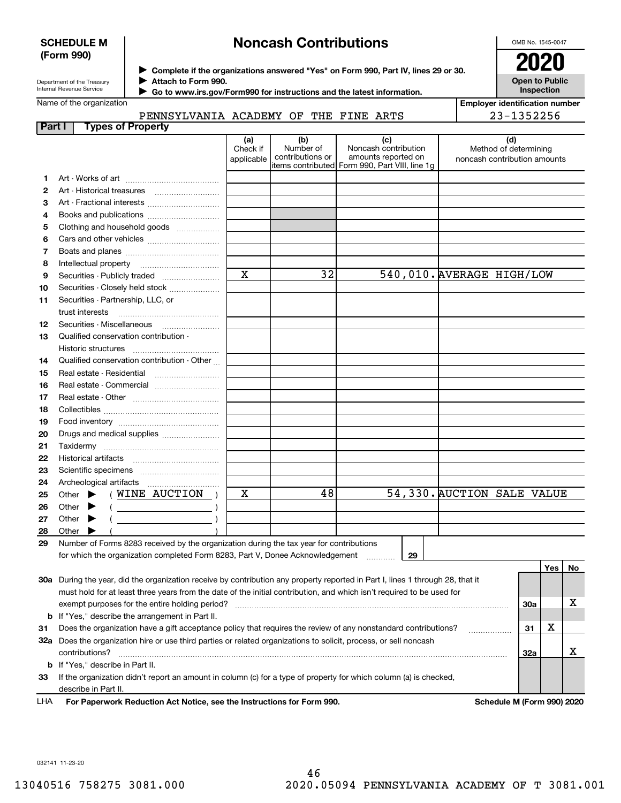## **SCHEDULE M (Form 990)**

## **Noncash Contributions**

OMB No. 1545-0047

| Department of the Treasury |
|----------------------------|
| Internal Revenue Service   |

**Complete if the organizations answered "Yes" on Form 990, Part IV, lines 29 or 30.** <sup>J</sup>**2020 Attach to Form 990.** J

**Open to Public Inspection**

| Name of the organization |  |
|--------------------------|--|

 $\blacktriangleright$ 

 **Go to www.irs.gov/Form990 for instructions and the latest information.**

| <b>Employer identification number</b> |
|---------------------------------------|
| 23-1352256                            |

## PENNSYLVANIA ACADEMY OF THE FINE ARTS

| Part I | <b>Types of Property</b>                                                                                                            |                         |                                      |                                                    |                            |                              |     |    |
|--------|-------------------------------------------------------------------------------------------------------------------------------------|-------------------------|--------------------------------------|----------------------------------------------------|----------------------------|------------------------------|-----|----|
|        |                                                                                                                                     | (a)<br>Check if         | (b)<br>Number of<br>contributions or | (c)<br>Noncash contribution<br>amounts reported on |                            | (d)<br>Method of determining |     |    |
|        |                                                                                                                                     | applicable              |                                      | items contributed Form 990, Part VIII, line 1g     |                            | noncash contribution amounts |     |    |
| 1      |                                                                                                                                     |                         |                                      |                                                    |                            |                              |     |    |
| 2      | Art - Historical treasures                                                                                                          |                         |                                      |                                                    |                            |                              |     |    |
| з      | Art - Fractional interests                                                                                                          |                         |                                      |                                                    |                            |                              |     |    |
| 4      | Books and publications                                                                                                              |                         |                                      |                                                    |                            |                              |     |    |
| 5      | Clothing and household goods                                                                                                        |                         |                                      |                                                    |                            |                              |     |    |
| 6      |                                                                                                                                     |                         |                                      |                                                    |                            |                              |     |    |
| 7      |                                                                                                                                     |                         |                                      |                                                    |                            |                              |     |    |
| 8      | Intellectual property                                                                                                               |                         |                                      |                                                    |                            |                              |     |    |
| 9      | Securities - Publicly traded                                                                                                        | $\overline{\mathbf{x}}$ | $\overline{32}$                      |                                                    | 540,010. AVERAGE HIGH/LOW  |                              |     |    |
| 10     | Securities - Closely held stock                                                                                                     |                         |                                      |                                                    |                            |                              |     |    |
| 11     | Securities - Partnership, LLC, or                                                                                                   |                         |                                      |                                                    |                            |                              |     |    |
|        | trust interests                                                                                                                     |                         |                                      |                                                    |                            |                              |     |    |
| 12     |                                                                                                                                     |                         |                                      |                                                    |                            |                              |     |    |
| 13     | Qualified conservation contribution -                                                                                               |                         |                                      |                                                    |                            |                              |     |    |
|        | Historic structures                                                                                                                 |                         |                                      |                                                    |                            |                              |     |    |
| 14     | Qualified conservation contribution - Other                                                                                         |                         |                                      |                                                    |                            |                              |     |    |
| 15     | Real estate - Residential                                                                                                           |                         |                                      |                                                    |                            |                              |     |    |
| 16     | Real estate - Commercial                                                                                                            |                         |                                      |                                                    |                            |                              |     |    |
| 17     |                                                                                                                                     |                         |                                      |                                                    |                            |                              |     |    |
| 18     |                                                                                                                                     |                         |                                      |                                                    |                            |                              |     |    |
| 19     |                                                                                                                                     |                         |                                      |                                                    |                            |                              |     |    |
| 20     | Drugs and medical supplies                                                                                                          |                         |                                      |                                                    |                            |                              |     |    |
| 21     |                                                                                                                                     |                         |                                      |                                                    |                            |                              |     |    |
| 22     |                                                                                                                                     |                         |                                      |                                                    |                            |                              |     |    |
| 23     |                                                                                                                                     |                         |                                      |                                                    |                            |                              |     |    |
| 24     |                                                                                                                                     |                         |                                      |                                                    |                            |                              |     |    |
| 25     | ( WINE AUCTION<br>Other<br>▶                                                                                                        | X                       | 48                                   |                                                    | 54,330. AUCTION SALE VALUE |                              |     |    |
| 26     | Other                                                                                                                               |                         |                                      |                                                    |                            |                              |     |    |
| 27     | Other<br>▶                                                                                                                          |                         |                                      |                                                    |                            |                              |     |    |
| 28     | Other                                                                                                                               |                         |                                      |                                                    |                            |                              |     |    |
| 29     | Number of Forms 8283 received by the organization during the tax year for contributions                                             |                         |                                      |                                                    |                            |                              |     |    |
|        | for which the organization completed Form 8283, Part V, Donee Acknowledgement                                                       |                         |                                      | 29                                                 |                            |                              |     |    |
|        |                                                                                                                                     |                         |                                      |                                                    |                            |                              | Yes | No |
|        | 30a During the year, did the organization receive by contribution any property reported in Part I, lines 1 through 28, that it      |                         |                                      |                                                    |                            |                              |     |    |
|        | must hold for at least three years from the date of the initial contribution, and which isn't required to be used for               |                         |                                      |                                                    |                            |                              |     |    |
|        | exempt purposes for the entire holding period?                                                                                      |                         |                                      |                                                    |                            | 30a                          |     | х  |
|        | <b>b</b> If "Yes," describe the arrangement in Part II.                                                                             |                         |                                      |                                                    |                            |                              | X   |    |
| 31     | Does the organization have a gift acceptance policy that requires the review of any nonstandard contributions?                      |                         |                                      |                                                    |                            | 31                           |     |    |
|        | 32a Does the organization hire or use third parties or related organizations to solicit, process, or sell noncash<br>contributions? |                         |                                      |                                                    |                            | 32a                          |     | х  |
|        | <b>b</b> If "Yes," describe in Part II.                                                                                             |                         |                                      |                                                    |                            |                              |     |    |
| 33     | If the organization didn't report an amount in column (c) for a type of property for which column (a) is checked,                   |                         |                                      |                                                    |                            |                              |     |    |
|        | describe in Part II.                                                                                                                |                         |                                      |                                                    |                            |                              |     |    |

**For Paperwork Reduction Act Notice, see the Instructions for Form 990. Schedule M (Form 990) 2020** LHA

032141 11-23-20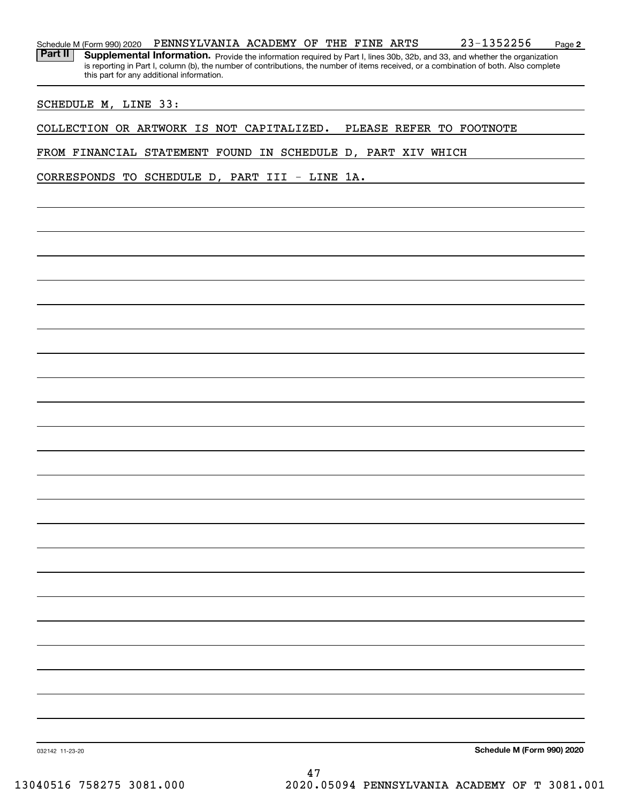| Part II |                      | Supplemental Information. Provide the information required by Part I, lines 30b, 32b, and 33, and whether the organization<br>is reporting in Part I, column (b), the number of contributions, the number of items received, or a combination of both. Also complete<br>this part for any additional information. |  |  |  |  |                          |  |
|---------|----------------------|-------------------------------------------------------------------------------------------------------------------------------------------------------------------------------------------------------------------------------------------------------------------------------------------------------------------|--|--|--|--|--------------------------|--|
|         | SCHEDULE M, LINE 33: |                                                                                                                                                                                                                                                                                                                   |  |  |  |  |                          |  |
|         |                      | COLLECTION OR ARTWORK IS NOT CAPITALIZED.                                                                                                                                                                                                                                                                         |  |  |  |  | PLEASE REFER TO FOOTNOTE |  |
|         |                      | FROM FINANCIAL STATEMENT FOUND IN SCHEDULE D, PART XIV WHICH                                                                                                                                                                                                                                                      |  |  |  |  |                          |  |
|         |                      | CORRESPONDS TO SCHEDULE D, PART III - LINE 1A.                                                                                                                                                                                                                                                                    |  |  |  |  |                          |  |
|         |                      |                                                                                                                                                                                                                                                                                                                   |  |  |  |  |                          |  |
|         |                      |                                                                                                                                                                                                                                                                                                                   |  |  |  |  |                          |  |
|         |                      |                                                                                                                                                                                                                                                                                                                   |  |  |  |  |                          |  |
|         |                      |                                                                                                                                                                                                                                                                                                                   |  |  |  |  |                          |  |
|         |                      |                                                                                                                                                                                                                                                                                                                   |  |  |  |  |                          |  |
|         |                      |                                                                                                                                                                                                                                                                                                                   |  |  |  |  |                          |  |
|         |                      |                                                                                                                                                                                                                                                                                                                   |  |  |  |  |                          |  |
|         |                      |                                                                                                                                                                                                                                                                                                                   |  |  |  |  |                          |  |
|         |                      |                                                                                                                                                                                                                                                                                                                   |  |  |  |  |                          |  |
|         |                      |                                                                                                                                                                                                                                                                                                                   |  |  |  |  |                          |  |
|         |                      |                                                                                                                                                                                                                                                                                                                   |  |  |  |  |                          |  |
|         |                      |                                                                                                                                                                                                                                                                                                                   |  |  |  |  |                          |  |
|         |                      |                                                                                                                                                                                                                                                                                                                   |  |  |  |  |                          |  |
|         |                      |                                                                                                                                                                                                                                                                                                                   |  |  |  |  |                          |  |
|         |                      |                                                                                                                                                                                                                                                                                                                   |  |  |  |  |                          |  |
|         |                      |                                                                                                                                                                                                                                                                                                                   |  |  |  |  |                          |  |
|         |                      |                                                                                                                                                                                                                                                                                                                   |  |  |  |  |                          |  |
|         |                      |                                                                                                                                                                                                                                                                                                                   |  |  |  |  |                          |  |
|         |                      |                                                                                                                                                                                                                                                                                                                   |  |  |  |  |                          |  |
|         |                      |                                                                                                                                                                                                                                                                                                                   |  |  |  |  |                          |  |
|         |                      |                                                                                                                                                                                                                                                                                                                   |  |  |  |  |                          |  |
|         |                      |                                                                                                                                                                                                                                                                                                                   |  |  |  |  |                          |  |
|         |                      |                                                                                                                                                                                                                                                                                                                   |  |  |  |  |                          |  |

Schedule M (Form 990) 2020 PENNSYLVANIA ACADEMY OF THE FINE ARTS 2 3-I 352 2 5 0 Page

PENNSYLVANIA ACADEMY OF THE FINE ARTS 23-1352256

**Schedule M (Form 990) 2020**

**2**

032142 11-23-20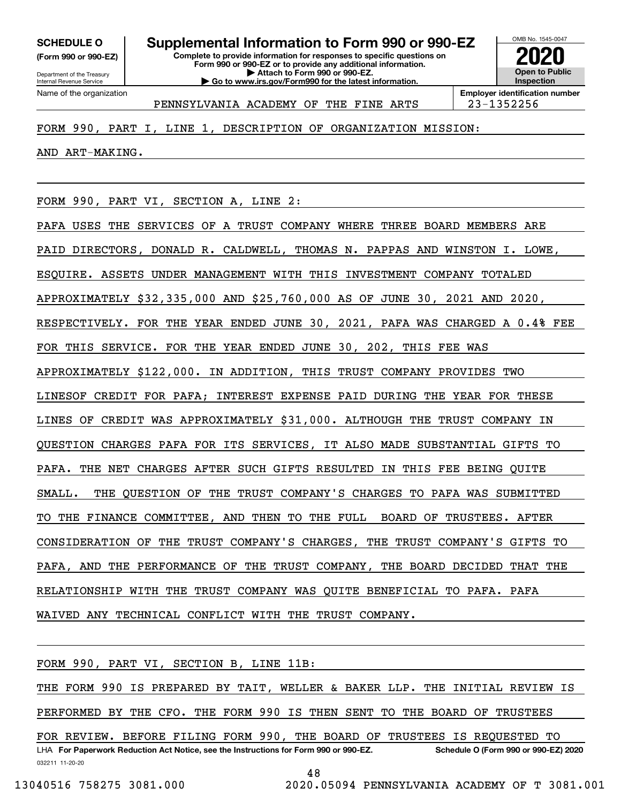**(Form 990 or 990-EZ)**

Department of the Treasury Internal Revenue Service Name of the organization

**Complete to provide information for responses to specific questions on Form 990 or 990-EZ or to provide any additional information. | Attach to Form 990 or 990-EZ. | Go to www.irs.gov/Form990 for the latest information. SCHEDULE O Supplemental Information to Form 990 or 990-EZ**



PENNSYLVANIA ACADEMY OF THE FINE ARTS | 23-1352256

## FORM 990, PART I, LINE 1, DESCRIPTION OF ORGANIZATION MISSION:

AND ART-MAKING.

FORM 990, PART VI, SECTION A, LINE 2:

PAFA USES THE SERVICES OF A TRUST COMPANY WHERE THREE BOARD MEMBERS ARE PAID DIRECTORS, DONALD R. CALDWELL, THOMAS N. PAPPAS AND WINSTON I. LOWE, ESQUIRE. ASSETS UNDER MANAGEMENT WITH THIS INVESTMENT COMPANY TOTALED APPROXIMATELY \$32,335,000 AND \$25,760,000 AS OF JUNE 30, 2021 AND 2020, RESPECTIVELY. FOR THE YEAR ENDED JUNE 30, 2021, PAFA WAS CHARGED A 0.4% FEE FOR THIS SERVICE. FOR THE YEAR ENDED JUNE 30, 202, THIS FEE WAS APPROXIMATELY \$122,000. IN ADDITION, THIS TRUST COMPANY PROVIDES TWO LINESOF CREDIT FOR PAFA; INTEREST EXPENSE PAID DURING THE YEAR FOR THESE LINES OF CREDIT WAS APPROXIMATELY \$31,000. ALTHOUGH THE TRUST COMPANY IN QUESTION CHARGES PAFA FOR ITS SERVICES, IT ALSO MADE SUBSTANTIAL GIFTS TO PAFA. THE NET CHARGES AFTER SUCH GIFTS RESULTED IN THIS FEE BEING QUITE SMALL. THE QUESTION OF THE TRUST COMPANY'S CHARGES TO PAFA WAS SUBMITTED TO THE FINANCE COMMITTEE, AND THEN TO THE FULL BOARD OF TRUSTEES. AFTER CONSIDERATION OF THE TRUST COMPANY'S CHARGES, THE TRUST COMPANY'S GIFTS TO PAFA, AND THE PERFORMANCE OF THE TRUST COMPANY, THE BOARD DECIDED THAT THE RELATIONSHIP WITH THE TRUST COMPANY WAS QUITE BENEFICIAL TO PAFA. PAFA WAIVED ANY TECHNICAL CONFLICT WITH THE TRUST COMPANY.

032211 11-20-20 LHA For Paperwork Reduction Act Notice, see the Instructions for Form 990 or 990-EZ. Schedule O (Form 990 or 990-EZ) 2020 FORM 990, PART VI, SECTION B, LINE 11B: THE FORM 990 IS PREPARED BY TAIT, WELLER & BAKER LLP. THE INITIAL REVIEW IS PERFORMED BY THE CFO. THE FORM 990 IS THEN SENT TO THE BOARD OF TRUSTEES FOR REVIEW. BEFORE FILING FORM 990, THE BOARD OF TRUSTEES IS REQUESTED TO

48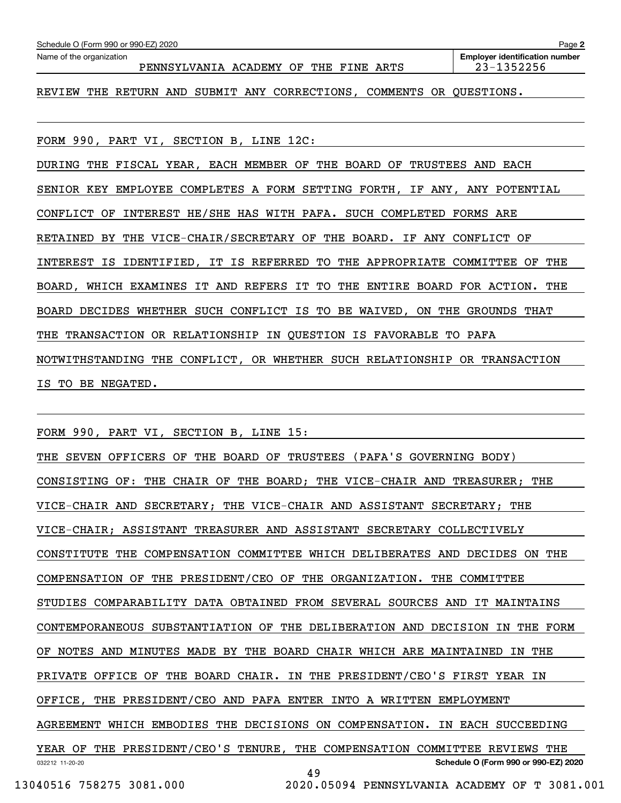| Schedule O (Form 990 or 990-EZ) 2020                                               | Page 2                                                  |
|------------------------------------------------------------------------------------|---------------------------------------------------------|
| Name of the organization<br>PENNSYLVANIA ACADEMY OF<br>THE<br>FINE ARTS            | <b>Employer identification number</b><br>$23 - 1352256$ |
| RETURN AND SUBMIT ANY CORRECTIONS, COMMENTS<br>REVIEW<br>THE<br>OR .               | OUESTIONS.                                              |
|                                                                                    |                                                         |
| FORM 990, PART VI, SECTION B, LINE 12C:                                            |                                                         |
| FISCAL YEAR, EACH MEMBER<br>OF THE BOARD OF<br>TRUSTEES AND<br>DURING<br>THE       | EACH                                                    |
| EMPLOYEE COMPLETES A FORM SETTING FORTH, IF ANY, ANY POTENTIAL<br>SENIOR KEY       |                                                         |
| INTEREST HE/SHE HAS WITH PAFA. SUCH COMPLETED<br>CONFLICT<br>OF                    | FORMS ARE                                               |
| THE VICE-CHAIR/SECRETARY OF THE BOARD.<br>RETAINED BY<br>IF ANY                    | CONFLICT OF                                             |
| IDENTIFIED, IT IS REFERRED TO<br>THE APPROPRIATE<br>INTEREST<br>IS.                | THE<br>COMMITTEE<br>OF                                  |
| IT AND REFERS<br>IT<br>TO<br>THE<br>BOARD<br>BOARD,<br>WHICH<br>EXAMINES<br>ENTIRE | THE<br>FOR ACTION.                                      |

BOARD DECIDES WHETHER SUCH CONFLICT IS TO BE WAIVED, ON THE GROUNDS THAT

THE TRANSACTION OR RELATIONSHIP IN QUESTION IS FAVORABLE TO PAFA

NOTWITHSTANDING THE CONFLICT, OR WHETHER SUCH RELATIONSHIP OR TRANSACTION IS TO BE NEGATED.

FORM 990, PART VI, SECTION B, LINE 15:

032212 11-20-20 **Schedule O (Form 990 or 990-EZ) 2020** THE SEVEN OFFICERS OF THE BOARD OF TRUSTEES (PAFA'S GOVERNING BODY) CONSISTING OF: THE CHAIR OF THE BOARD; THE VICE-CHAIR AND TREASURER; THE VICE-CHAIR AND SECRETARY; THE VICE-CHAIR AND ASSISTANT SECRETARY; THE VICE-CHAIR; ASSISTANT TREASURER AND ASSISTANT SECRETARY COLLECTIVELY CONSTITUTE THE COMPENSATION COMMITTEE WHICH DELIBERATES AND DECIDES ON THE COMPENSATION OF THE PRESIDENT/CEO OF THE ORGANIZATION. THE COMMITTEE STUDIES COMPARABILITY DATA OBTAINED FROM SEVERAL SOURCES AND IT MAINTAINS CONTEMPORANEOUS SUBSTANTIATION OF THE DELIBERATION AND DECISION IN THE FORM OF NOTES AND MINUTES MADE BY THE BOARD CHAIR WHICH ARE MAINTAINED IN THE PRIVATE OFFICE OF THE BOARD CHAIR. IN THE PRESIDENT/CEO'S FIRST YEAR IN OFFICE, THE PRESIDENT/CEO AND PAFA ENTER INTO A WRITTEN EMPLOYMENT AGREEMENT WHICH EMBODIES THE DECISIONS ON COMPENSATION. IN EACH SUCCEEDING YEAR OF THE PRESIDENT/CEO'S TENURE, THE COMPENSATION COMMITTEE REVIEWS THE 49

13040516 758275 3081.000 2020.05094 PENNSYLVANIA ACADEMY OF T 3081.001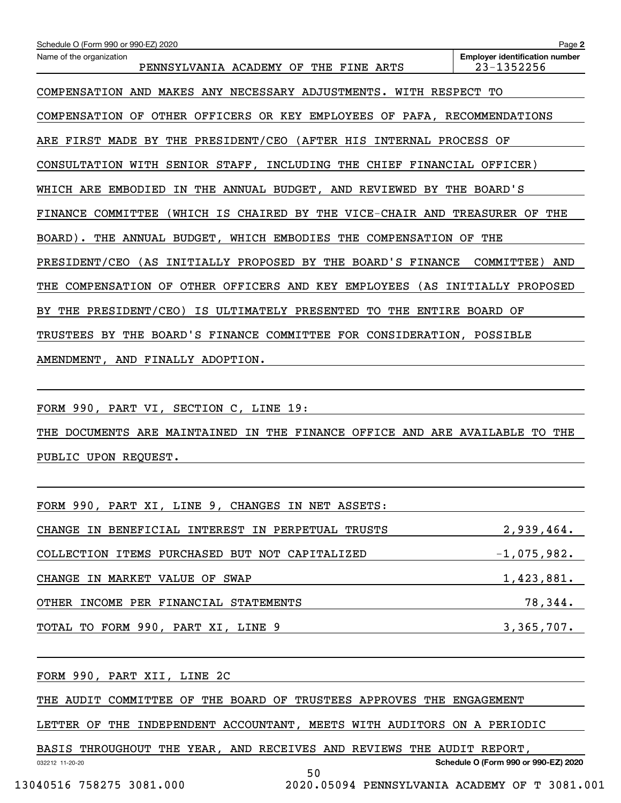| Schedule O (Form 990 or 990-EZ) 2020                                               | Page 2                                              |
|------------------------------------------------------------------------------------|-----------------------------------------------------|
| Name of the organization<br>PENNSYLVANIA ACADEMY OF<br>THE FINE ARTS               | <b>Employer identification number</b><br>23-1352256 |
| MAKES ANY NECESSARY ADJUSTMENTS.<br>WITH RESPECT TO<br>COMPENSATION AND            |                                                     |
| OTHER OFFICERS<br>COMPENSATION<br>OF<br>OR KEY EMPLOYEES OF PAFA, RECOMMENDATIONS  |                                                     |
| ARE FIRST MADE BY THE PRESIDENT/CEO (AFTER HIS<br>INTERNAL PROCESS                 | OF                                                  |
| CONSULTATION WITH SENIOR STAFF,<br>INCLUDING THE CHIEF FINANCIAL OFFICER)          |                                                     |
| WHICH ARE<br>THE ANNUAL BUDGET, AND REVIEWED BY THE BOARD'S<br>EMBODIED<br>IN      |                                                     |
| COMMITTEE<br>(WHICH IS CHAIRED BY THE VICE-CHAIR AND<br>FINANCE                    | <b>TREASURER</b><br>THE<br>OF                       |
| BOARD). THE ANNUAL BUDGET, WHICH EMBODIES THE COMPENSATION OF                      | THE                                                 |
| (AS INITIALLY PROPOSED BY THE BOARD'S FINANCE<br>PRESIDENT/CEO                     | COMMITTEE)<br>AND                                   |
| OTHER OFFICERS AND KEY<br><b>EMPLOYEES</b><br>(AS<br>COMPENSATION OF<br>THE        | INITIALLY PROPOSED                                  |
| THE PRESIDENT/CEO)<br>IS<br>ULTIMATELY PRESENTED<br>TО<br>THE<br>ENTIRE<br>BY .    | OF<br>BOARD                                         |
| THE BOARD'S FINANCE COMMITTEE FOR CONSIDERATION, POSSIBLE<br><b>TRUSTEES</b><br>BY |                                                     |
| AMENDMENT, AND FINALLY ADOPTION.                                                   |                                                     |

FORM 990, PART VI, SECTION C, LINE 19:

THE DOCUMENTS ARE MAINTAINED IN THE FINANCE OFFICE AND ARE AVAILABLE TO THE PUBLIC UPON REQUEST.

| FORM 990, PART XI, LINE 9, CHANGES IN NET ASSETS: |               |
|---------------------------------------------------|---------------|
| CHANGE IN BENEFICIAL INTEREST IN PERPETUAL TRUSTS | 2,939,464.    |
| COLLECTION ITEMS PURCHASED BUT NOT CAPITALIZED    | $-1,075,982.$ |
| CHANGE IN MARKET VALUE OF SWAP                    | 1,423,881.    |
| OTHER INCOME PER FINANCIAL STATEMENTS             | 78,344.       |
| TOTAL TO FORM 990, PART XI, LINE 9                | 3,365,707.    |

FORM 990, PART XII, LINE 2C

THE AUDIT COMMITTEE OF THE BOARD OF TRUSTEES APPROVES THE ENGAGEMENT

LETTER OF THE INDEPENDENT ACCOUNTANT, MEETS WITH AUDITORS ON A PERIODIC

BASIS THROUGHOUT THE YEAR, AND RECEIVES AND REVIEWS THE AUDIT REPORT,

**Schedule O (Form 990 or 990-EZ) 2020**

032212 11-20-20

50